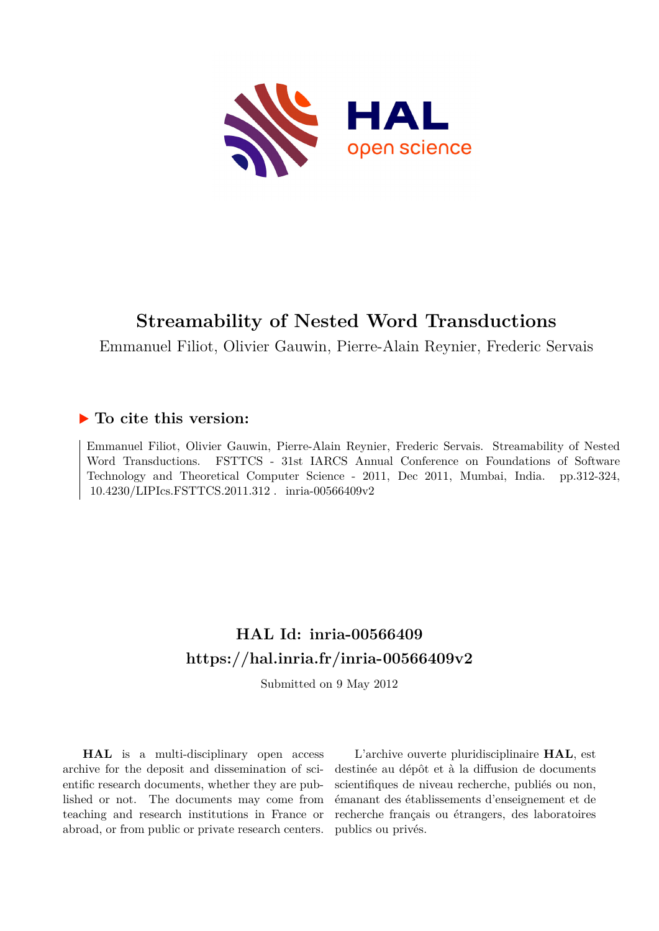

Emmanuel Filiot, Olivier Gauwin, Pierre-Alain Reynier, Frederic Servais

# **To cite this version:**

Emmanuel Filiot, Olivier Gauwin, Pierre-Alain Reynier, Frederic Servais. Streamability of Nested Word Transductions. FSTTCS - 31st IARCS Annual Conference on Foundations of Software Technology and Theoretical Computer Science - 2011, Dec 2011, Mumbai, India. pp.312-324,  $10.4230/LIP$ Ics.FSTTCS.2011.312. inria-00566409v2

# **HAL Id: inria-00566409 <https://hal.inria.fr/inria-00566409v2>**

Submitted on 9 May 2012

**HAL** is a multi-disciplinary open access archive for the deposit and dissemination of scientific research documents, whether they are published or not. The documents may come from teaching and research institutions in France or abroad, or from public or private research centers.

L'archive ouverte pluridisciplinaire **HAL**, est destinée au dépôt et à la diffusion de documents scientifiques de niveau recherche, publiés ou non, émanant des établissements d'enseignement et de recherche français ou étrangers, des laboratoires publics ou privés.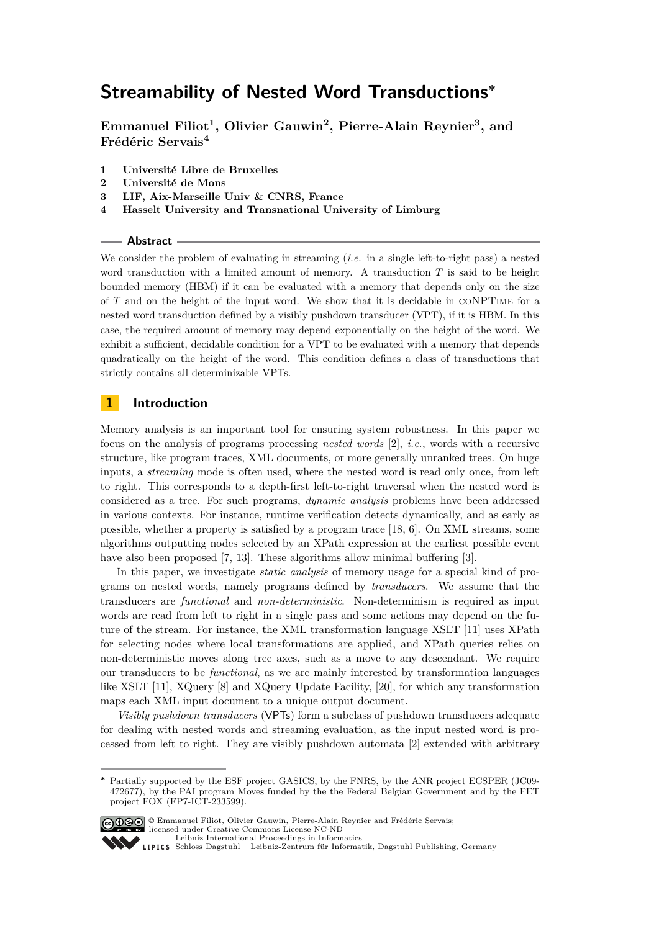<span id="page-1-0"></span>**Emmanuel Filiot<sup>1</sup> , Olivier Gauwin<sup>2</sup> , Pierre-Alain Reynier<sup>3</sup> , and Frédéric Servais<sup>4</sup>**

- **1 Université Libre de Bruxelles**
- **2 Université de Mons**
- **3 LIF, Aix-Marseille Univ & CNRS, France**
- **4 Hasselt University and Transnational University of Limburg**

## **Abstract**

We consider the problem of evaluating in streaming (*i.e.* in a single left-to-right pass) a nested word transduction with a limited amount of memory. A transduction *T* is said to be height bounded memory (HBM) if it can be evaluated with a memory that depends only on the size of *T* and on the height of the input word. We show that it is decidable in coNPTime for a nested word transduction defined by a visibly pushdown transducer (VPT), if it is HBM. In this case, the required amount of memory may depend exponentially on the height of the word. We exhibit a sufficient, decidable condition for a VPT to be evaluated with a memory that depends quadratically on the height of the word. This condition defines a class of transductions that strictly contains all determinizable VPTs.

# **1 Introduction**

Memory analysis is an important tool for ensuring system robustness. In this paper we focus on the analysis of programs processing *nested words* [2], *i.e.*, words with a recursive structure, like program traces, XML documents, or more generally unranked trees. On huge inputs, a *streaming* mode is often used, where the nested word is read only once, from left to right. This corresponds to a depth-first left-to-right traversal when the nested word is considered as a tree. For such programs, *dynamic analysis* problems have been addressed in various contexts. For instance, runtime verification detects dynamically, and as early as possible, whether a property is satisfied by a program trace [18, 6]. On XML streams, some algorithms outputting nodes selected by an XPath expression at the earliest possible event have also been proposed [7, 13]. These algorithms allow minimal buffering [3].

In this paper, we investigate *static analysis* of memory usage for a special kind of programs on nested words, namely programs defined by *transducers*. We assume that the transducers are *functional* and *non-deterministic*. Non-determinism is required as input words are read from left to right in a single pass and some actions may depend on the future of the stream. For instance, the XML transformation language XSLT [11] uses XPath for selecting nodes where local transformations are applied, and XPath queries relies on non-deterministic moves along tree axes, such as a move to any descendant. We require our transducers to be *functional*, as we are mainly interested by transformation languages like XSLT [11], XQuery [8] and XQuery Update Facility, [20], for which any transformation maps each XML input document to a unique output document.

*Visibly pushdown transducers* (VPTs) form a subclass of pushdown transducers adequate for dealing with nested words and streaming evaluation, as the input nested word is processed from left to right. They are visibly pushdown automata [2] extended with arbitrary

Partially supported by the ESF project GASICS, by the FNRS, by the ANR project ECSPER (JC09-472677), by the PAI program Moves funded by the the Federal Belgian Government and by the FET project FOX (FP7-ICT-233599).



<sup>©</sup> Emmanuel Filiot, Olivier Gauwin, Pierre-Alain Reynier and Frédéric Servais; licensed under Creative Commons License NC-ND [Leibniz International Proceedings in Informatics](http://www.dagstuhl.de/lipics/)

[Schloss Dagstuhl – Leibniz-Zentrum für Informatik, Dagstuhl Publishing, Germany](http://www.dagstuhl.de)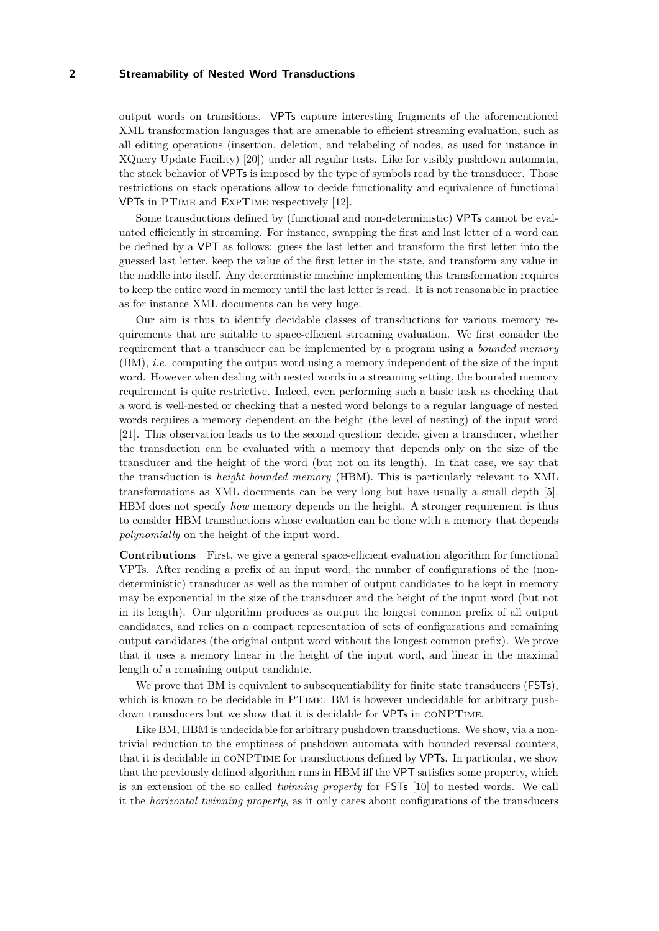output words on transitions. VPTs capture interesting fragments of the aforementioned XML transformation languages that are amenable to efficient streaming evaluation, such as all editing operations (insertion, deletion, and relabeling of nodes, as used for instance in XQuery Update Facility) [20]) under all regular tests. Like for visibly pushdown automata, the stack behavior of VPTs is imposed by the type of symbols read by the transducer. Those restrictions on stack operations allow to decide functionality and equivalence of functional VPTs in PTime and ExpTime respectively [12].

Some transductions defined by (functional and non-deterministic) VPTs cannot be evaluated efficiently in streaming. For instance, swapping the first and last letter of a word can be defined by a VPT as follows: guess the last letter and transform the first letter into the guessed last letter, keep the value of the first letter in the state, and transform any value in the middle into itself. Any deterministic machine implementing this transformation requires to keep the entire word in memory until the last letter is read. It is not reasonable in practice as for instance XML documents can be very huge.

Our aim is thus to identify decidable classes of transductions for various memory requirements that are suitable to space-efficient streaming evaluation. We first consider the requirement that a transducer can be implemented by a program using a *bounded memory* (BM), *i.e.* computing the output word using a memory independent of the size of the input word. However when dealing with nested words in a streaming setting, the bounded memory requirement is quite restrictive. Indeed, even performing such a basic task as checking that a word is well-nested or checking that a nested word belongs to a regular language of nested words requires a memory dependent on the height (the level of nesting) of the input word [21]. This observation leads us to the second question: decide, given a transducer, whether the transduction can be evaluated with a memory that depends only on the size of the transducer and the height of the word (but not on its length). In that case, we say that the transduction is *height bounded memory* (HBM). This is particularly relevant to XML transformations as XML documents can be very long but have usually a small depth [5]. HBM does not specify *how* memory depends on the height. A stronger requirement is thus to consider HBM transductions whose evaluation can be done with a memory that depends *polynomially* on the height of the input word.

**Contributions** First, we give a general space-efficient evaluation algorithm for functional VPTs. After reading a prefix of an input word, the number of configurations of the (nondeterministic) transducer as well as the number of output candidates to be kept in memory may be exponential in the size of the transducer and the height of the input word (but not in its length). Our algorithm produces as output the longest common prefix of all output candidates, and relies on a compact representation of sets of configurations and remaining output candidates (the original output word without the longest common prefix). We prove that it uses a memory linear in the height of the input word, and linear in the maximal length of a remaining output candidate.

We prove that BM is equivalent to subsequentiability for finite state transducers (**FSTs**), which is known to be decidable in PTIME. BM is however undecidable for arbitrary pushdown transducers but we show that it is decidable for VPTs in coNPTime.

Like BM, HBM is undecidable for arbitrary pushdown transductions. We show, via a nontrivial reduction to the emptiness of pushdown automata with bounded reversal counters, that it is decidable in coNPTime for transductions defined by VPTs. In particular, we show that the previously defined algorithm runs in HBM iff the VPT satisfies some property, which is an extension of the so called *twinning property* for FSTs [10] to nested words. We call it the *horizontal twinning property*, as it only cares about configurations of the transducers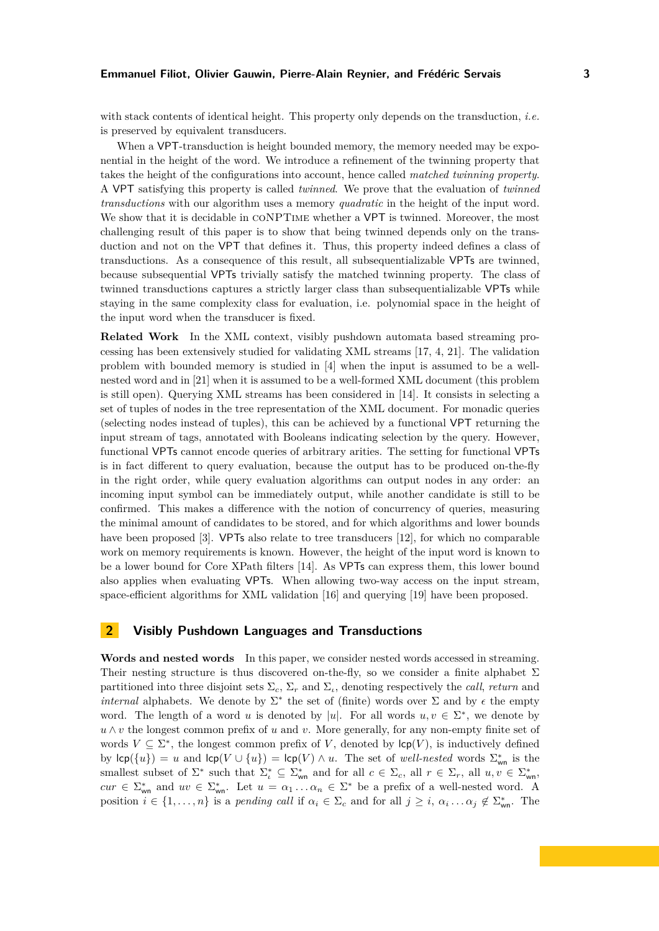### **Emmanuel Filiot, Olivier Gauwin, Pierre-Alain Reynier, and Frédéric Servais 3**

with stack contents of identical height. This property only depends on the transduction, *i.e.* is preserved by equivalent transducers.

When a VPT-transduction is height bounded memory, the memory needed may be exponential in the height of the word. We introduce a refinement of the twinning property that takes the height of the configurations into account, hence called *matched twinning property*. A VPT satisfying this property is called *twinned*. We prove that the evaluation of *twinned transductions* with our algorithm uses a memory *quadratic* in the height of the input word. We show that it is decidable in CONPTIME whether a VPT is twinned. Moreover, the most challenging result of this paper is to show that being twinned depends only on the transduction and not on the VPT that defines it. Thus, this property indeed defines a class of transductions. As a consequence of this result, all subsequentializable VPTs are twinned, because subsequential VPTs trivially satisfy the matched twinning property. The class of twinned transductions captures a strictly larger class than subsequentializable VPTs while staying in the same complexity class for evaluation, i.e. polynomial space in the height of the input word when the transducer is fixed.

**Related Work** In the XML context, visibly pushdown automata based streaming processing has been extensively studied for validating XML streams [17, 4, 21]. The validation problem with bounded memory is studied in [4] when the input is assumed to be a wellnested word and in [21] when it is assumed to be a well-formed XML document (this problem is still open). Querying XML streams has been considered in [14]. It consists in selecting a set of tuples of nodes in the tree representation of the XML document. For monadic queries (selecting nodes instead of tuples), this can be achieved by a functional VPT returning the input stream of tags, annotated with Booleans indicating selection by the query. However, functional VPTs cannot encode queries of arbitrary arities. The setting for functional VPTs is in fact different to query evaluation, because the output has to be produced on-the-fly in the right order, while query evaluation algorithms can output nodes in any order: an incoming input symbol can be immediately output, while another candidate is still to be confirmed. This makes a difference with the notion of concurrency of queries, measuring the minimal amount of candidates to be stored, and for which algorithms and lower bounds have been proposed [3]. VPTs also relate to tree transducers [12], for which no comparable work on memory requirements is known. However, the height of the input word is known to be a lower bound for Core XPath filters [14]. As VPTs can express them, this lower bound also applies when evaluating VPTs. When allowing two-way access on the input stream, space-efficient algorithms for XML validation [16] and querying [19] have been proposed.

# **2 Visibly Pushdown Languages and Transductions**

**Words and nested words** In this paper, we consider nested words accessed in streaming. Their nesting structure is thus discovered on-the-fly, so we consider a finite alphabet  $\Sigma$ partitioned into three disjoint sets  $\Sigma_c$ ,  $\Sigma_r$  and  $\Sigma_t$ , denoting respectively the *call*, *return* and *internal* alphabets. We denote by  $\Sigma^*$  the set of (finite) words over  $\Sigma$  and by  $\epsilon$  the empty word. The length of a word *u* is denoted by |*u*|. For all words  $u, v \in \Sigma^*$ , we denote by *u* ∧ *v* the longest common prefix of *u* and *v*. More generally, for any non-empty finite set of words  $V \subseteq \Sigma^*$ , the longest common prefix of *V*, denoted by  $\mathsf{lcp}(V)$ , is inductively defined by  $\text{lcp}(\{u\}) = u$  and  $\text{lcp}(V \cup \{u\}) = \text{lcp}(V) \wedge u$ . The set of *well-nested* words  $\Sigma^*_{\text{wn}}$  is the smallest subset of  $\Sigma^*$  such that  $\Sigma^*_{\iota} \subseteq \Sigma^*_{\mathsf{wn}}$  and for all  $c \in \Sigma_c$ , all  $r \in \Sigma_r$ , all  $u, v \in \Sigma^*_{\mathsf{wn}}$ ,  $cur \in \Sigma^*_{\text{wn}}$  and  $uv \in \Sigma^*_{\text{wn}}$ . Let  $u = \alpha_1 \dots \alpha_n \in \Sigma^*$  be a prefix of a well-nested word. A position  $i \in \{1, \ldots, n\}$  is a *pending call* if  $\alpha_i \in \Sigma_c$  and for all  $j \geq i$ ,  $\alpha_i \ldots \alpha_j \notin \Sigma_{\text{wn}}^*$ . The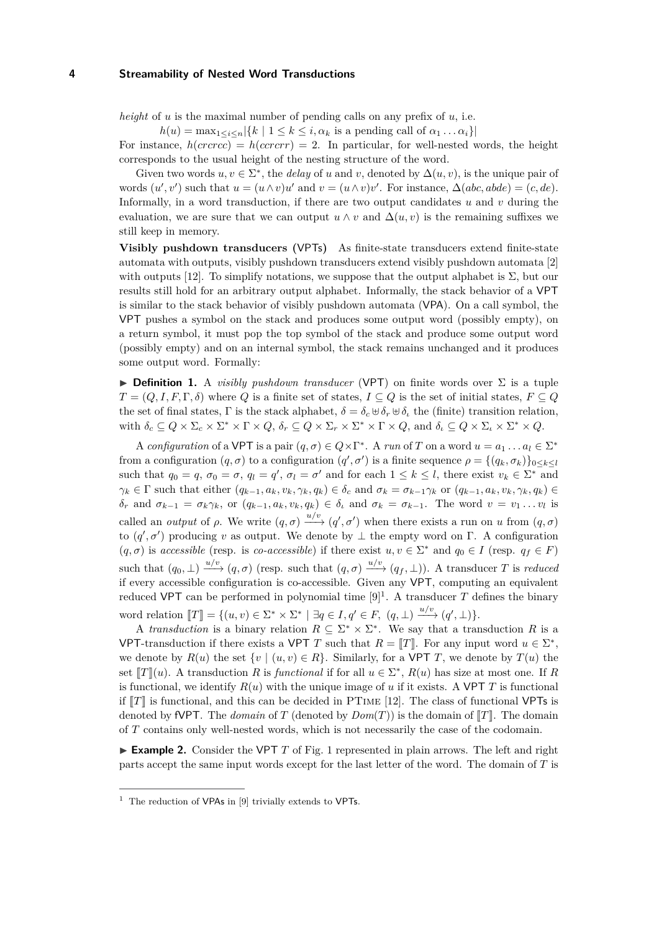*height* of *u* is the maximal number of pending calls on any prefix of *u*, i.e.

 $h(u) = \max_{1 \leq i \leq n} |\{k \mid 1 \leq k \leq i, \alpha_k \text{ is a pending call of } \alpha_1 \dots \alpha_i\}|$ 

For instance,  $h(crccc) = h(ccrcr) = 2$ . In particular, for well-nested words, the height corresponds to the usual height of the nesting structure of the word.

Given two words  $u, v \in \Sigma^*$ , the *delay* of *u* and *v*, denoted by  $\Delta(u, v)$ , is the unique pair of words  $(u', v')$  such that  $u = (u \wedge v)u'$  and  $v = (u \wedge v)v'$ . For instance,  $\Delta(abc, abde) = (c, de)$ . Informally, in a word transduction, if there are two output candidates *u* and *v* during the evaluation, we are sure that we can output  $u \wedge v$  and  $\Delta(u, v)$  is the remaining suffixes we still keep in memory.

**Visibly pushdown transducers (**VPTs**)** As finite-state transducers extend finite-state automata with outputs, visibly pushdown transducers extend visibly pushdown automata [2] with outputs [12]. To simplify notations, we suppose that the output alphabet is  $\Sigma$ , but our results still hold for an arbitrary output alphabet. Informally, the stack behavior of a VPT is similar to the stack behavior of visibly pushdown automata (VPA). On a call symbol, the VPT pushes a symbol on the stack and produces some output word (possibly empty), on a return symbol, it must pop the top symbol of the stack and produce some output word (possibly empty) and on an internal symbol, the stack remains unchanged and it produces some output word. Formally:

◮ **Definition 1.** A *visibly pushdown transducer* (VPT) on finite words over Σ is a tuple  $T = (Q, I, F, \Gamma, \delta)$  where  $Q$  is a finite set of states,  $I \subseteq Q$  is the set of initial states,  $F \subseteq Q$ the set of final states, Γ is the stack alphabet,  $\delta = \delta_c \oplus \delta_r \oplus \delta_t$  the (finite) transition relation, with  $\delta_c \subseteq Q \times \Sigma_c \times \Sigma^* \times \Gamma \times Q$ ,  $\delta_r \subseteq Q \times \Sigma_r \times \Sigma^* \times \Gamma \times Q$ , and  $\delta_\iota \subseteq Q \times \Sigma_\iota \times \Sigma^* \times Q$ .

A *configuration* of a VPT is a pair  $(q, \sigma) \in Q \times \Gamma^*$ . A *run* of *T* on a word  $u = a_1 \dots a_l \in \Sigma^*$ from a configuration  $(q, \sigma)$  to a configuration  $(q', \sigma')$  is a finite sequence  $\rho = \{(q_k, \sigma_k)\}_{0 \leq k \leq l}$ such that  $q_0 = q$ ,  $\sigma_0 = \sigma$ ,  $q_l = q'$ ,  $\sigma_l = \sigma'$  and for each  $1 \leq k \leq l$ , there exist  $v_k \in \Sigma^*$  and  $\gamma_k \in \Gamma$  such that either  $(q_{k-1}, a_k, v_k, \gamma_k, q_k) \in \delta_c$  and  $\sigma_k = \sigma_{k-1} \gamma_k$  or  $(q_{k-1}, a_k, v_k, \gamma_k, q_k) \in$  $\delta_r$  and  $\sigma_{k-1} = \sigma_k \gamma_k$ , or  $(q_{k-1}, a_k, v_k, q_k) \in \delta_t$  and  $\sigma_k = \sigma_{k-1}$ . The word  $v = v_1 \dots v_l$  is called an *output* of  $\rho$ . We write  $(q, \sigma) \xrightarrow{u/v} (q', \sigma')$  when there exists a run on *u* from  $(q, \sigma)$ to  $(q', \sigma')$  producing *v* as output. We denote by  $\perp$  the empty word on Γ. A configuration  $(q, \sigma)$  is *accessible* (resp. is *co-accessible*) if there exist  $u, v \in \Sigma^*$  and  $q_0 \in I$  (resp.  $q_f \in F$ ) such that  $(q_0, \perp) \xrightarrow{u/v} (q, \sigma)$  (resp. such that  $(q, \sigma) \xrightarrow{u/v} (q_f, \perp)$ ). A transducer *T* is *reduced* if every accessible configuration is co-accessible. Given any VPT, computing an equivalent reduced VPT can be performed in polynomial time  $[9]$ <sup>1</sup>. A transducer T defines the binary word relation  $\llbracket T \rrbracket = \{ (u, v) \in \Sigma^* \times \Sigma^* \mid \exists q \in I, q' \in F, (q, \bot) \xrightarrow{u/v} (q', \bot) \}.$ 

A *transduction* is a binary relation  $R \subseteq \Sigma^* \times \Sigma^*$ . We say that a transduction R is a VPT-transduction if there exists a VPT *T* such that  $R = [T]$ . For any input word  $u \in \Sigma^*$ , we denote by  $R(u)$  the set  $\{v \mid (u, v) \in R\}$ . Similarly, for a VPT *T*, we denote by  $T(u)$  the set  $[T](u)$ . A transduction *R* is *functional* if for all  $u \in \Sigma^*$ ,  $R(u)$  has size at most one. If *R* is functional, we identify  $R(u)$  with the unique image of *u* if it exists. A VPT *T* is functional if  $\llbracket T \rrbracket$  is functional, and this can be decided in PTIME [12]. The class of functional VPTs is denoted by fVPT. The *domain* of *T* (denoted by  $Dom(T)$ ) is the domain of  $T$ , The domain of *T* contains only well-nested words, which is not necessarily the case of the codomain.

► **Example 2.** Consider the VPT *T* of Fig. [1](#page-5-0) represented in plain arrows. The left and right parts accept the same input words except for the last letter of the word. The domain of *T* is

 $<sup>1</sup>$  The reduction of VPAs in [9] trivially extends to VPTs.</sup>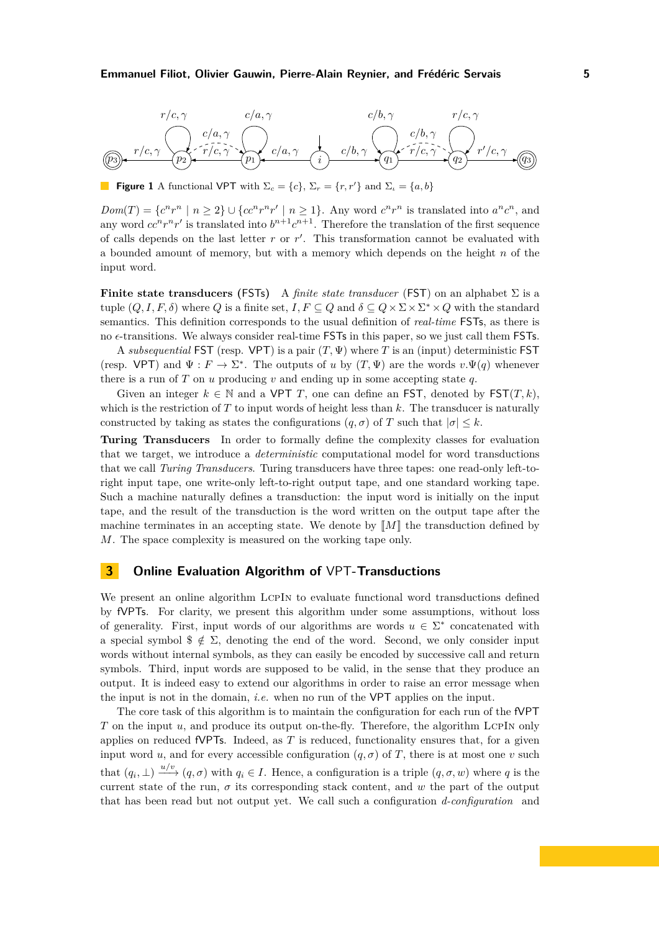### **Emmanuel Filiot, Olivier Gauwin, Pierre-Alain Reynier, and Frédéric Servais 5**

<span id="page-5-0"></span>

**Figure 1** A functional VPT with  $\Sigma_c = \{c\}$ ,  $\Sigma_r = \{r, r'\}$  and  $\Sigma_t = \{a, b\}$ 

 $Dom(T) = \{c^n r^n \mid n \geq 2\} \cup \{cc^n r^n r' \mid n \geq 1\}.$  Any word  $c^n r^n$  is translated into  $a^n c^n$ , and any word  $cc^n r^n r'$  is translated into  $b^{n+1}c^{n+1}$ . Therefore the translation of the first sequence of calls depends on the last letter *r* or *r* ′ . This transformation cannot be evaluated with a bounded amount of memory, but with a memory which depends on the height *n* of the input word.

**Finite state transducers (**FSTs**)** A *finite state transducer* (FST) on an alphabet Σ is a tuple  $(Q, I, F, \delta)$  where  $Q$  is a finite set,  $I, F \subseteq Q$  and  $\delta \subseteq Q \times \Sigma \times \Sigma^* \times Q$  with the standard semantics. This definition corresponds to the usual definition of *real-time* FSTs, as there is no *ǫ*-transitions. We always consider real-time FSTs in this paper, so we just call them FSTs.

A *subsequential* FST (resp. VPT) is a pair (*T,* Ψ) where *T* is an (input) deterministic FST (resp. VPT) and  $\Psi : F \to \Sigma^*$ . The outputs of *u* by  $(T, \Psi)$  are the words  $v \cdot \Psi(q)$  whenever there is a run of *T* on *u* producing *v* and ending up in some accepting state *q*.

Given an integer  $k \in \mathbb{N}$  and a VPT *T*, one can define an FST, denoted by FST $(T, k)$ , which is the restriction of *T* to input words of height less than *k*. The transducer is naturally constructed by taking as states the configurations  $(q, \sigma)$  of *T* such that  $|\sigma| \leq k$ .

**Turing Transducers** In order to formally define the complexity classes for evaluation that we target, we introduce a *deterministic* computational model for word transductions that we call *Turing Transducers*. Turing transducers have three tapes: one read-only left-toright input tape, one write-only left-to-right output tape, and one standard working tape. Such a machine naturally defines a transduction: the input word is initially on the input tape, and the result of the transduction is the word written on the output tape after the machine terminates in an accepting state. We denote by  $\llbracket M \rrbracket$  the transduction defined by *M*. The space complexity is measured on the working tape only.

## <span id="page-5-1"></span>**3 Online Evaluation Algorithm of** VPT**-Transductions**

We present an online algorithm LCPIN to evaluate functional word transductions defined by fVPTs. For clarity, we present this algorithm under some assumptions, without loss of generality. First, input words of our algorithms are words  $u \in \Sigma^*$  concatenated with a special symbol  $\frac{2}{5} \notin \Sigma$ , denoting the end of the word. Second, we only consider input words without internal symbols, as they can easily be encoded by successive call and return symbols. Third, input words are supposed to be valid, in the sense that they produce an output. It is indeed easy to extend our algorithms in order to raise an error message when the input is not in the domain, *i.e.* when no run of the VPT applies on the input.

The core task of this algorithm is to maintain the configuration for each run of the fVPT *T* on the input *u*, and produce its output on-the-fly. Therefore, the algorithm LCPIN only applies on reduced fVPTs. Indeed, as *T* is reduced, functionality ensures that, for a given input word *u*, and for every accessible configuration  $(q, \sigma)$  of *T*, there is at most one *v* such that  $(q_i, \perp) \xrightarrow{u/v} (q, \sigma)$  with  $q_i \in I$ . Hence, a configuration is a triple  $(q, \sigma, w)$  where q is the current state of the run,  $\sigma$  its corresponding stack content, and w the part of the output that has been read but not output yet. We call such a configuration *d-configuration* and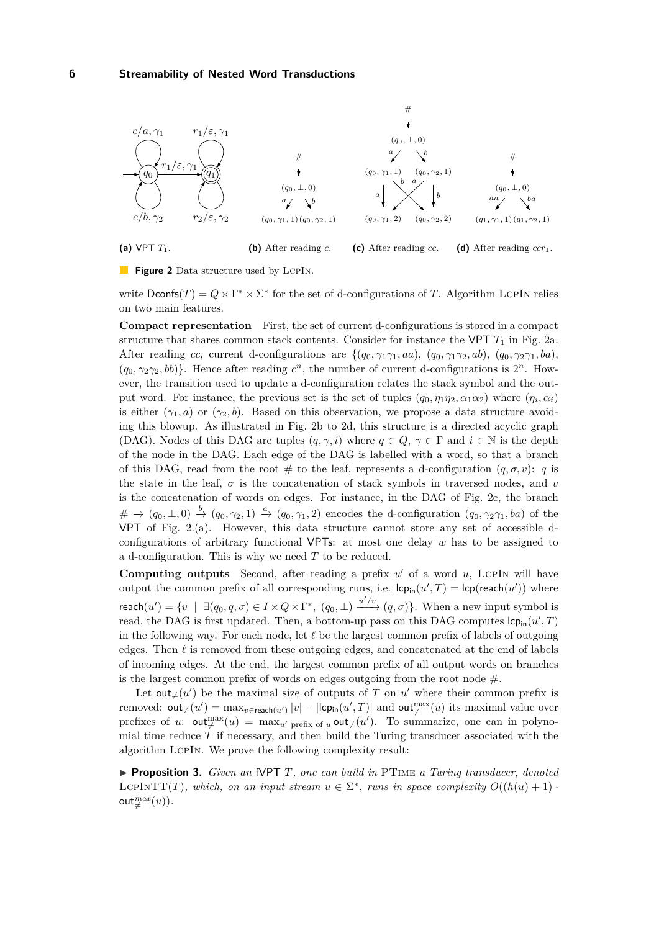<span id="page-6-4"></span>

<span id="page-6-3"></span><span id="page-6-2"></span><span id="page-6-1"></span><span id="page-6-0"></span>**Figure 2** Data structure used by LCPIN.

write  $\text{Dconfs}(T) = Q \times \Gamma^* \times \Sigma^*$  for the set of d-configurations of *T*. Algorithm LCPIN relies on two main features.

**Compact representation** First, the set of current d-configurations is stored in a compact structure that shares common stack contents. Consider for instance the VPT *T*<sup>1</sup> in Fig. [2a.](#page-6-0) After reading *cc*, current d-configurations are  $\{(q_0, \gamma_1\gamma_1, aa), (q_0, \gamma_1\gamma_2, ab), (q_0, \gamma_2\gamma_1, ba),\}$  $(q_0, \gamma_2\gamma_2, bb)$ . Hence after reading  $c^n$ , the number of current d-configurations is  $2^n$ . However, the transition used to update a d-configuration relates the stack symbol and the output word. For instance, the previous set is the set of tuples  $(q_0, \eta_1\eta_2, \alpha_1\alpha_2)$  where  $(\eta_i, \alpha_i)$ is either  $(\gamma_1, a)$  or  $(\gamma_2, b)$ . Based on this observation, we propose a data structure avoiding this blowup. As illustrated in Fig. [2b](#page-6-1) to [2d,](#page-6-2) this structure is a directed acyclic graph (DAG). Nodes of this DAG are tuples  $(q, \gamma, i)$  where  $q \in Q$ ,  $\gamma \in \Gamma$  and  $i \in \mathbb{N}$  is the depth of the node in the DAG. Each edge of the DAG is labelled with a word, so that a branch of this DAG, read from the root  $\#$  to the leaf, represents a d-configuration  $(q, \sigma, v)$ : *q* is the state in the leaf,  $\sigma$  is the concatenation of stack symbols in traversed nodes, and  $v$ is the concatenation of words on edges. For instance, in the DAG of Fig. [2c,](#page-6-3) the branch  $\# \rightarrow (q_0, \perp, 0) \stackrel{b}{\rightarrow} (q_0, \gamma_2, 1) \stackrel{a}{\rightarrow} (q_0, \gamma_1, 2)$  encodes the d-configuration  $(q_0, \gamma_2\gamma_1, ba)$  of the VPT of Fig. [2.](#page-6-4)(a). However, this data structure cannot store any set of accessible dconfigurations of arbitrary functional VPTs: at most one delay *w* has to be assigned to a d-configuration. This is why we need *T* to be reduced.

**Computing outputs** Second, after reading a prefix  $u'$  of a word  $u$ , LCPIN will have output the common prefix of all corresponding runs, i.e.  $\mathsf{lcp}_{\mathsf{in}}(u',T) = \mathsf{lcp}(\mathsf{reach}(u'))$  where  $\mathsf{reach}(u') = \{v \mid \exists (q_0, q, \sigma) \in I \times Q \times \Gamma^*, \ (q_0, \bot) \xrightarrow{u'/v} (q, \sigma) \}.$  When a new input symbol is read, the DAG is first updated. Then, a bottom-up pass on this DAG computes  $\mathsf{lcp}_{\mathsf{in}}(u',T)$ in the following way. For each node, let *ℓ* be the largest common prefix of labels of outgoing edges. Then *ℓ* is removed from these outgoing edges, and concatenated at the end of labels of incoming edges. At the end, the largest common prefix of all output words on branches is the largest common prefix of words on edges outgoing from the root node  $#$ .

Let  $\text{out}_{\neq}(u')$  be the maximal size of outputs of *T* on *u'* where their common prefix is removed:  $\text{out}_{\neq}(u') = \max_{v \in \text{reach}(u')} |v| - |\text{lcp}_{\text{in}}(u', T)|$  and  $\text{out}_{\neq}^{\text{max}}(u)$  its maximal value over prefixes of *u*:  $\text{out}_{\neq}^{\max}(u) = \max_{u' \text{ prefix of } u} \text{out}_{\neq}(u')$ . To summarize, one can in polynomial time reduce *T* if necessary, and then build the Turing transducer associated with the algorithm LcpIn. We prove the following complexity result:

<span id="page-6-5"></span>◮ **Proposition 3.** *Given an* fVPT *T, one can build in* PTime *a Turing transducer, denoted* LCPINTT(*T*)*, which, on an input stream*  $u \in \Sigma^*$ *, runs in space complexity*  $O((h(u) + 1))$  $\mathsf{out}^{max}_\neq(u)).$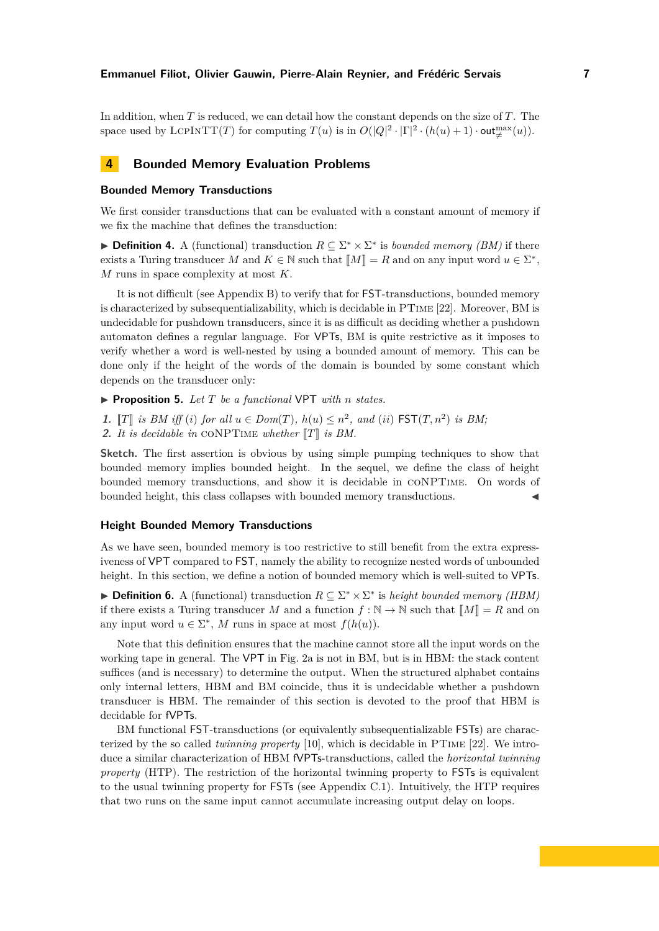In addition, when *T* is reduced, we can detail how the constant depends on the size of *T*. The space used by LCPINTT(*T*) for computing  $T(u)$  is in  $O(|Q|^2 \cdot |\Gamma|^2 \cdot (h(u) + 1) \cdot \text{out}_{\neq}^{\max}(u))$ .

# **4 Bounded Memory Evaluation Problems**

## **Bounded Memory Transductions**

We first consider transductions that can be evaluated with a constant amount of memory if we fix the machine that defines the transduction:

► **Definition 4.** A (functional) transduction  $R \subseteq \Sigma^* \times \Sigma^*$  is *bounded memory (BM)* if there exists a Turing transducer *M* and  $K \in \mathbb{N}$  such that  $\llbracket M \rrbracket = R$  and on any input word  $u \in \Sigma^*$ , *M* runs in space complexity at most *K*.

It is not difficult (see Appendix [B\)](#page-21-0) to verify that for FST-transductions, bounded memory is characterized by subsequentializability, which is decidable in PTime [22]. Moreover, BM is undecidable for pushdown transducers, since it is as difficult as deciding whether a pushdown automaton defines a regular language. For VPTs, BM is quite restrictive as it imposes to verify whether a word is well-nested by using a bounded amount of memory. This can be done only if the height of the words of the domain is bounded by some constant which depends on the transducer only:

<span id="page-7-0"></span>◮ **Proposition 5.** *Let T be a functional* VPT *with n states.*

**1.**  $\llbracket T \rrbracket$  is BM iff (*i*) for all  $u \in Dom(T)$ ,  $h(u) \leq n^2$ , and (*ii*)  $\text{FST}(T, n^2)$  is BM; **2.** It is decidable in CONPTIME whether  $\llbracket T \rrbracket$  is BM.

**Sketch.** The first assertion is obvious by using simple pumping techniques to show that bounded memory implies bounded height. In the sequel, we define the class of height bounded memory transductions, and show it is decidable in coNPTime. On words of bounded height, this class collapses with bounded memory transductions. ◭

## **Height Bounded Memory Transductions**

As we have seen, bounded memory is too restrictive to still benefit from the extra expressiveness of VPT compared to FST, namely the ability to recognize nested words of unbounded height. In this section, we define a notion of bounded memory which is well-suited to VPTs.

**► Definition 6.** A (functional) transduction  $R \subseteq \Sigma^* \times \Sigma^*$  is *height bounded memory (HBM)* if there exists a Turing transducer *M* and a function  $f : \mathbb{N} \to \mathbb{N}$  such that  $\llbracket M \rrbracket = R$  and on any input word  $u \in \Sigma^*$ , M runs in space at most  $f(h(u))$ .

Note that this definition ensures that the machine cannot store all the input words on the working tape in general. The VPT in Fig. [2a](#page-6-0) is not in BM, but is in HBM: the stack content suffices (and is necessary) to determine the output. When the structured alphabet contains only internal letters, HBM and BM coincide, thus it is undecidable whether a pushdown transducer is HBM. The remainder of this section is devoted to the proof that HBM is decidable for fVPTs.

BM functional FST-transductions (or equivalently subsequentializable FSTs) are characterized by the so called *twinning property* [10], which is decidable in PTime [22]. We introduce a similar characterization of HBM fVPTs-transductions, called the *horizontal twinning property* (HTP). The restriction of the horizontal twinning property to **FSTs** is equivalent to the usual twinning property for FSTs (see Appendix [C.1\)](#page-23-0). Intuitively, the HTP requires that two runs on the same input cannot accumulate increasing output delay on loops.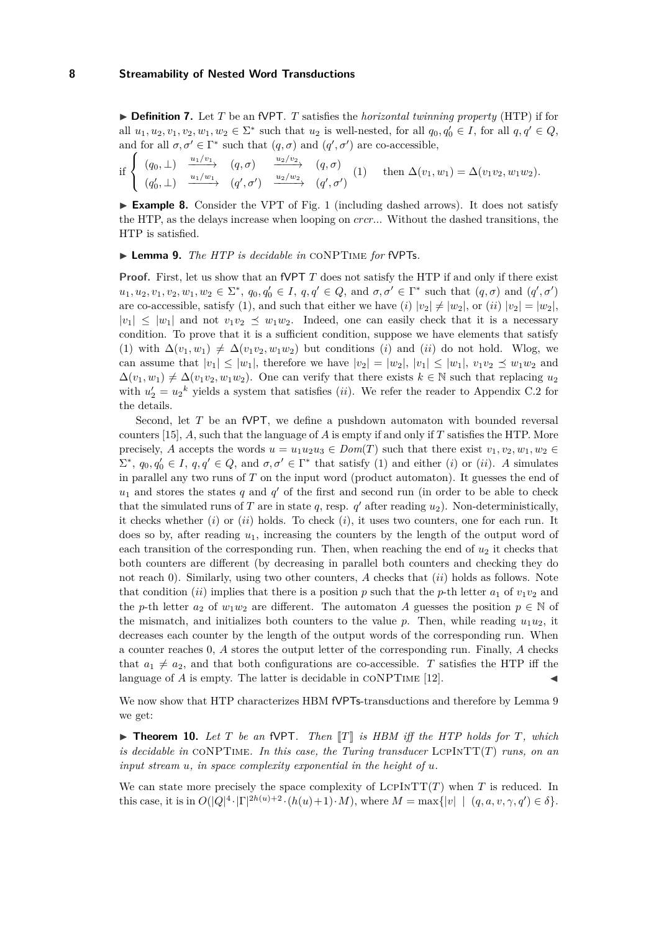▶ **Definition 7.** Let *T* be an fVPT. *T* satisfies the *horizontal twinning property* (HTP) if for all  $u_1, u_2, v_1, v_2, w_1, w_2 \in \Sigma^*$  such that  $u_2$  is well-nested, for all  $q_0, q'_0 \in I$ , for all  $q, q' \in Q$ , and for all  $\sigma, \sigma' \in \Gamma^*$  such that  $(q, \sigma)$  and  $(q', \sigma')$  are co-accessible,

$$
\text{if }\begin{cases} (q_0,\perp) & \xrightarrow{u_1/v_1} (q,\sigma) \\ (q_0',\perp) & \xrightarrow{u_1/w_1} (q',\sigma') \end{cases} \xrightarrow{\frac{u_2/v_2}{2}} (q,\sigma) \quad (1) \quad \text{then } \Delta(v_1,w_1) = \Delta(v_1v_2,w_1w_2).
$$

► **Example 8.** Consider the VPT of Fig. [1](#page-5-0) (including dashed arrows). It does not satisfy the HTP, as the delays increase when looping on *crcr..*. Without the dashed transitions, the HTP is satisfied.

<span id="page-8-0"></span>◮ **Lemma 9.** *The HTP is decidable in* coNPTime *for* fVPTs*.*

**Proof.** First, let us show that an fVPT *T* does not satisfy the HTP if and only if there exist  $u_1, u_2, v_1, v_2, w_1, w_2 \in \Sigma^*, q_0, q'_0 \in I, q, q' \in Q$ , and  $\sigma, \sigma' \in \Gamma^*$  such that  $(q, \sigma)$  and  $(q', \sigma')$ are co-accessible, satisfy (1), and such that either we have (*i*)  $|v_2| \neq |w_2|$ , or (*ii*)  $|v_2| = |w_2|$ ,  $|v_1| \leq |w_1|$  and not  $v_1v_2 \leq w_1w_2$ . Indeed, one can easily check that it is a necessary condition. To prove that it is a sufficient condition, suppose we have elements that satisfy (1) with  $\Delta(v_1, w_1) \neq \Delta(v_1v_2, w_1w_2)$  but conditions (*i*) and (*ii*) do not hold. Wlog, we can assume that  $|v_1| \leq |w_1|$ , therefore we have  $|v_2| = |w_2|, |v_1| \leq |w_1|, v_1v_2 \leq w_1w_2$  and  $\Delta(v_1, w_1) \neq \Delta(v_1v_2, w_1w_2)$ . One can verify that there exists  $k \in \mathbb{N}$  such that replacing  $u_2$ with  $u_2' = u_2^k$  yields a system that satisfies *(ii)*. We refer the reader to Appendix [C.2](#page-24-0) for the details.

Second, let *T* be an fVPT, we define a pushdown automaton with bounded reversal counters [15], *A*, such that the language of *A* is empty if and only if *T* satisfies the HTP. More precisely, *A* accepts the words  $u = u_1u_2u_3 \in Dom(T)$  such that there exist  $v_1, v_2, w_1, w_2 \in$  $Σ^*$ ,  $q_0, q'_0 ∈ I$ ,  $q, q' ∈ Q$ , and  $σ, σ' ∈ Γ^*$  that satisfy (1) and either (*i*) or (*ii*). *A* simulates in parallel any two runs of *T* on the input word (product automaton). It guesses the end of  $u_1$  and stores the states  $q$  and  $q'$  of the first and second run (in order to be able to check that the simulated runs of  $T$  are in state  $q$ , resp.  $q'$  after reading  $u_2$ ). Non-deterministically, it checks whether (*i*) or (*ii*) holds. To check (*i*), it uses two counters, one for each run. It does so by, after reading *u*1, increasing the counters by the length of the output word of each transition of the corresponding run. Then, when reaching the end of  $u_2$  it checks that both counters are different (by decreasing in parallel both counters and checking they do not reach 0). Similarly, using two other counters, *A* checks that (*ii*) holds as follows. Note that condition (*ii*) implies that there is a position p such that the p-th letter  $a_1$  of  $v_1v_2$  and the *p*-th letter  $a_2$  of  $w_1w_2$  are different. The automaton *A* guesses the position  $p \in \mathbb{N}$  of the mismatch, and initializes both counters to the value  $p$ . Then, while reading  $u_1u_2$ , it decreases each counter by the length of the output words of the corresponding run. When a counter reaches 0, *A* stores the output letter of the corresponding run. Finally, *A* checks that  $a_1 \neq a_2$ , and that both configurations are co-accessible. *T* satisfies the HTP iff the language of  $A$  is empty. The latter is decidable in  $\text{CONFTime}$  [12].

We now show that HTP characterizes HBM fVPTs-transductions and therefore by Lemma [9](#page-8-0) we get:

<span id="page-8-1"></span> $\triangleright$  **Theorem 10.** Let *T* be an fVPT. Then  $\llbracket T \rrbracket$  is HBM iff the HTP holds for *T*, which *is decidable in* coNPTime*. In this case, the Turing transducer* LcpInTT(*T*) *runs, on an input stream u, in space complexity exponential in the height of u.*

We can state more precisely the space complexity of  $LCPINT(T)$  when *T* is reduced. In this case, it is in  $O(|Q|^4 \cdot |\Gamma|^{2h(u)+2} \cdot (h(u)+1) \cdot M)$ , where  $M = \max\{|v| \mid (q, a, v, \gamma, q') \in \delta\}.$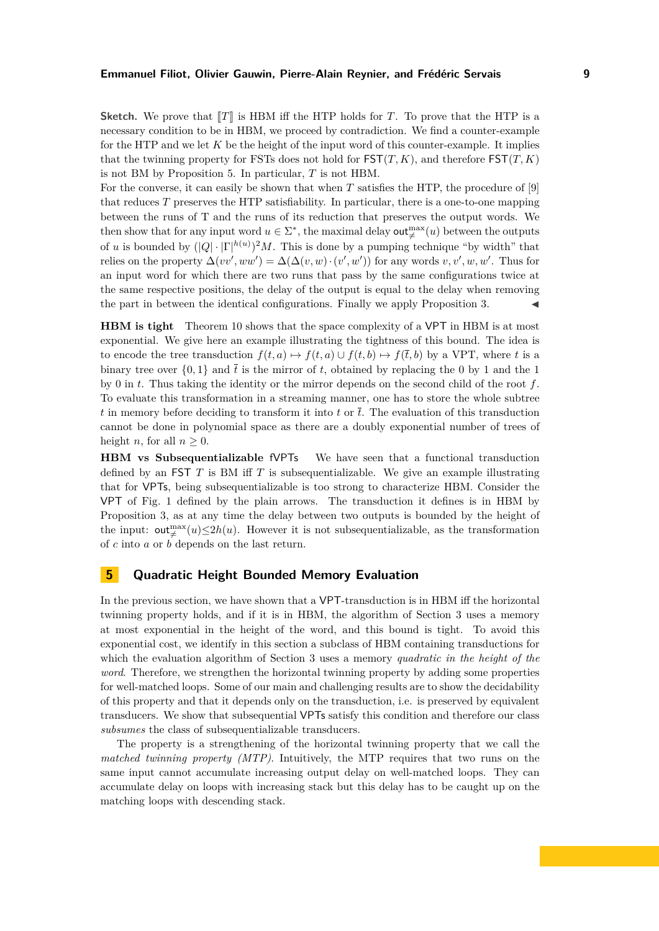**Sketch.** We prove that  $\llbracket T \rrbracket$  is HBM iff the HTP holds for *T*. To prove that the HTP is a necessary condition to be in HBM, we proceed by contradiction. We find a counter-example for the HTP and we let *K* be the height of the input word of this counter-example. It implies that the twinning property for FSTs does not hold for  $\mathsf{FST}(T,K)$ , and therefore  $\mathsf{FST}(T,K)$ is not BM by Proposition [5.](#page-7-0) In particular, *T* is not HBM.

For the converse, it can easily be shown that when *T* satisfies the HTP, the procedure of [9] that reduces *T* preserves the HTP satisfiability. In particular, there is a one-to-one mapping between the runs of T and the runs of its reduction that preserves the output words. We then show that for any input word  $u \in \Sigma^*$ , the maximal delay **out**<sup>max</sup> $(u)$  between the outputs of *u* is bounded by  $(|Q| \cdot |\Gamma|^{h(u)})^2 M$ . This is done by a pumping technique "by width" that relies on the property  $\Delta(vv',ww') = \Delta(\Delta(v,w) \cdot (v',w'))$  for any words  $v, v', w, w'$ . Thus for an input word for which there are two runs that pass by the same configurations twice at the same respective positions, the delay of the output is equal to the delay when removing the part in between the identical configurations. Finally we apply Proposition [3.](#page-6-5)  $\blacksquare$ 

**HBM is tight** Theorem [10](#page-8-1) shows that the space complexity of a VPT in HBM is at most exponential. We give here an example illustrating the tightness of this bound. The idea is to encode the tree transduction  $f(t, a) \mapsto f(t, b) \mapsto f(\bar{t}, b)$  by a VPT, where *t* is a binary tree over  $\{0, 1\}$  and  $\bar{t}$  is the mirror of t, obtained by replacing the 0 by 1 and the 1 by 0 in *t*. Thus taking the identity or the mirror depends on the second child of the root *f*. To evaluate this transformation in a streaming manner, one has to store the whole subtree *t* in memory before deciding to transform it into *t* or  $\overline{t}$ . The evaluation of this transduction cannot be done in polynomial space as there are a doubly exponential number of trees of height *n*, for all  $n > 0$ .

**HBM vs Subsequentializable** fVPTs We have seen that a functional transduction defined by an FST *T* is BM iff *T* is subsequentializable. We give an example illustrating that for VPTs, being subsequentializable is too strong to characterize HBM. Consider the VPT of Fig. [1](#page-5-0) defined by the plain arrows. The transduction it defines is in HBM by Proposition [3,](#page-6-5) as at any time the delay between two outputs is bounded by the height of the input:  $\text{out}_{\neq}^{\max}(u) \leq 2h(u)$ . However it is not subsequentializable, as the transformation of *c* into *a* or *b* depends on the last return.

# **5 Quadratic Height Bounded Memory Evaluation**

In the previous section, we have shown that a VPT-transduction is in HBM iff the horizontal twinning property holds, and if it is in HBM, the algorithm of Section [3](#page-5-1) uses a memory at most exponential in the height of the word, and this bound is tight. To avoid this exponential cost, we identify in this section a subclass of HBM containing transductions for which the evaluation algorithm of Section [3](#page-5-1) uses a memory *quadratic in the height of the word*. Therefore, we strengthen the horizontal twinning property by adding some properties for well-matched loops. Some of our main and challenging results are to show the decidability of this property and that it depends only on the transduction, i.e. is preserved by equivalent transducers. We show that subsequential VPTs satisfy this condition and therefore our class *subsumes* the class of subsequentializable transducers.

The property is a strengthening of the horizontal twinning property that we call the *matched twinning property (MTP)*. Intuitively, the MTP requires that two runs on the same input cannot accumulate increasing output delay on well-matched loops. They can accumulate delay on loops with increasing stack but this delay has to be caught up on the matching loops with descending stack.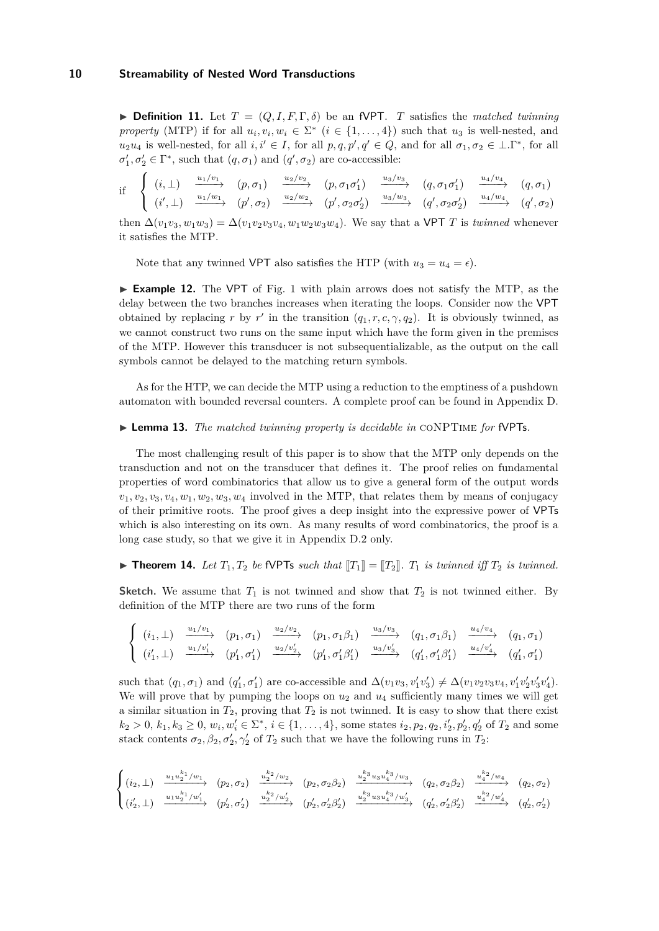$\triangleright$  **Definition 11.** Let  $T = (Q, I, F, \Gamma, \delta)$  be an fVPT. *T* satisfies the *matched twinning property* (MTP) if for all  $u_i, v_i, w_i \in \Sigma^*$   $(i \in \{1, ..., 4\})$  such that  $u_3$  is well-nested, and  $u_2u_4$  is well-nested, for all  $i, i' \in I$ , for all  $p, q, p', q' \in Q$ , and for all  $\sigma_1, \sigma_2 \in \bot \Gamma^*$ , for all  $\sigma'_{1}, \sigma'_{2} \in \Gamma^{*}$ , such that  $(q, \sigma_{1})$  and  $(q', \sigma_{2})$  are co-accessible:

$$
\text{if} \quad\n\begin{cases}\n(i, \perp) & \xrightarrow{u_1/v_1} \\
(i', \perp) & \xrightarrow{u_1/w_1} \\
(i', \perp) & \xrightarrow{u_1/w_1} \\
(i', \infty)\n\end{cases}\n\quad\n\begin{cases}\n(p, \sigma_1) & \xrightarrow{u_2/v_2} \\
(p, \sigma_1 \sigma'_1) & \xrightarrow{u_3/v_3} \\
(p', \sigma_2 \sigma'_2) & \xrightarrow{u_3/w_3} \\
(p', \sigma_2 \sigma'_2) & \xrightarrow{u_3/w_3} \\
(i', \sigma'_2 \sigma'_2)\n\end{cases}\n\quad\n\begin{cases}\n(i, \perp) & \xrightarrow{u_1/v_1} \\
(i, \sigma_1) & \xrightarrow{u_2/v_2} \\
(i, \sigma_2) & \xrightarrow{u_3/w_3} \\
(i, \sigma'_1) & \xrightarrow{u_4/w_4} \\
(i, \sigma'_2) & \xrightarrow{u_4/w_4} \\
(i', \sigma'_2) & \xrightarrow{u_4/w_4} \\
(i', \sigma'_1) & \xrightarrow{u_4/w_4} \\
(i', \sigma'_2) & \xrightarrow{u_4/w_4} \\
(i', \sigma'_2) & \xrightarrow{u_4/w_4} \\
(i', \sigma'_1) & \xrightarrow{u_4/w_4} \\
(i', \sigma'_2) & \xrightarrow{u_4/w_4} \\
(i', \sigma'_2) & \xrightarrow{u_4/w_4} \\
(i', \sigma'_1) & \xrightarrow{u_4/w_4} \\
(i', \sigma'_2) & \xrightarrow{u_4/w_4} \\
(i', \sigma'_2) & \xrightarrow{u_4/w_4} \\
(i', \sigma'_2) & \xrightarrow{u_4/w_4} \\
(i', \sigma'_1) & \xrightarrow{u_4/w_4} \\
(i', \sigma'_2) & \xrightarrow{u_4/w_4} \\
(i', \sigma'_2) & \xrightarrow{u_4/w_4} \\
(i', \sigma'_1) & \xrightarrow{u_4/w_4} \\
(i', \sigma'_2) & \xrightarrow{u_4/w_4} \\
(i', \sigma'_2) & \xrightarrow{u_4/w_4} \\
(i', \sigma'_2) & \xrightarrow{u_4/w_4} \\
(i', \sigma'_1) & \xrightarrow{u_4/w_4} \\
(i', \sigma'_2)
$$

then  $\Delta(v_1v_3, w_1w_3) = \Delta(v_1v_2v_3v_4, w_1w_2w_3w_4)$ . We say that a VPT *T* is *twinned* whenever it satisfies the MTP.

Note that any twinned VPT also satisfies the HTP (with  $u_3 = u_4 = \epsilon$ ).

<span id="page-10-0"></span>► **Example [1](#page-5-0)2.** The VPT of Fig. 1 with plain arrows does not satisfy the MTP, as the delay between the two branches increases when iterating the loops. Consider now the VPT obtained by replacing *r* by *r'* in the transition  $(q_1, r, c, \gamma, q_2)$ . It is obviously twinned, as we cannot construct two runs on the same input which have the form given in the premises of the MTP. However this transducer is not subsequentializable, as the output on the call symbols cannot be delayed to the matching return symbols.

As for the HTP, we can decide the MTP using a reduction to the emptiness of a pushdown automaton with bounded reversal counters. A complete proof can be found in Appendix [D.](#page-26-0)

#### <span id="page-10-1"></span>► **Lemma 13.** *The matched twinning property is decidable in* CONPTIME *for* fVPTs.

The most challenging result of this paper is to show that the MTP only depends on the transduction and not on the transducer that defines it. The proof relies on fundamental properties of word combinatorics that allow us to give a general form of the output words  $v_1, v_2, v_3, v_4, w_1, w_2, w_3, w_4$  involved in the MTP, that relates them by means of conjugacy of their primitive roots. The proof gives a deep insight into the expressive power of VPTs which is also interesting on its own. As many results of word combinatorics, the proof is a long case study, so that we give it in Appendix [D.2](#page-28-0) only.

<span id="page-10-2"></span> $\triangleright$  **Theorem 14.** Let  $T_1, T_2$  be fVPTs such that  $T_1$  =  $T_2$ .  $T_1$  is twinned iff  $T_2$  is twinned.

**Sketch.** We assume that  $T_1$  is not twinned and show that  $T_2$  is not twinned either. By definition of the MTP there are two runs of the form

$$
\begin{cases}\n(i_1, \perp) \xrightarrow{u_1/v_1} (p_1, \sigma_1) \xrightarrow{u_2/v_2} (p_1, \sigma_1 \beta_1) \xrightarrow{u_3/v_3} (q_1, \sigma_1 \beta_1) \xrightarrow{u_4/v_4} (q_1, \sigma_1) \\
(i'_1, \perp) \xrightarrow{u_1/v'_1} (p'_1, \sigma'_1) \xrightarrow{u_2/v'_2} (p'_1, \sigma'_1 \beta'_1) \xrightarrow{u_3/v'_3} (q'_1, \sigma'_1 \beta'_1) \xrightarrow{u_4/v'_4} (q'_1, \sigma'_1)\n\end{cases}
$$

such that  $(q_1, \sigma_1)$  and  $(q'_1, \sigma'_1)$  are co-accessible and  $\Delta(v_1v_3, v'_1v'_3) \neq \Delta(v_1v_2v_3v_4, v'_1v'_2v'_3v'_4)$ . We will prove that by pumping the loops on  $u_2$  and  $u_4$  sufficiently many times we will get a similar situation in  $T_2$ , proving that  $T_2$  is not twinned. It is easy to show that there exist  $k_2 > 0, k_1, k_3 \ge 0, w_i, w'_i \in \Sigma^*, i \in \{1, ..., 4\}$ , some states  $i_2, p_2, q_2, i'_2, p'_2, q'_2$  of  $T_2$  and some stack contents  $\sigma_2, \beta_2, \sigma'_2, \gamma'_2$  of  $T_2$  such that we have the following runs in  $T_2$ :

$$
\begin{cases}\n(i_2, \perp) \xrightarrow{u_1 u_2^{k_1}/w_1} (p_2, \sigma_2) \xrightarrow{u_2^{k_2}/w_2} (p_2, \sigma_2 \beta_2) \xrightarrow{u_2^{k_3} u_3 u_4^{k_3}/w_3} (q_2, \sigma_2 \beta_2) \xrightarrow{u_4^{k_2}/w_4} (q_2, \sigma_2) \\
(i_2', \perp) \xrightarrow{u_1 u_2^{k_1}/w_1'} (p_2', \sigma_2') \xrightarrow{u_2^{k_2}/w_2'} (p_2', \sigma_2' \beta_2') \xrightarrow{u_2^{k_3} u_3 u_4^{k_3}/w_3'} (q_2', \sigma_2' \beta_2') \xrightarrow{u_4^{k_2}/w_4'} (q_2', \sigma_2')\n\end{cases}
$$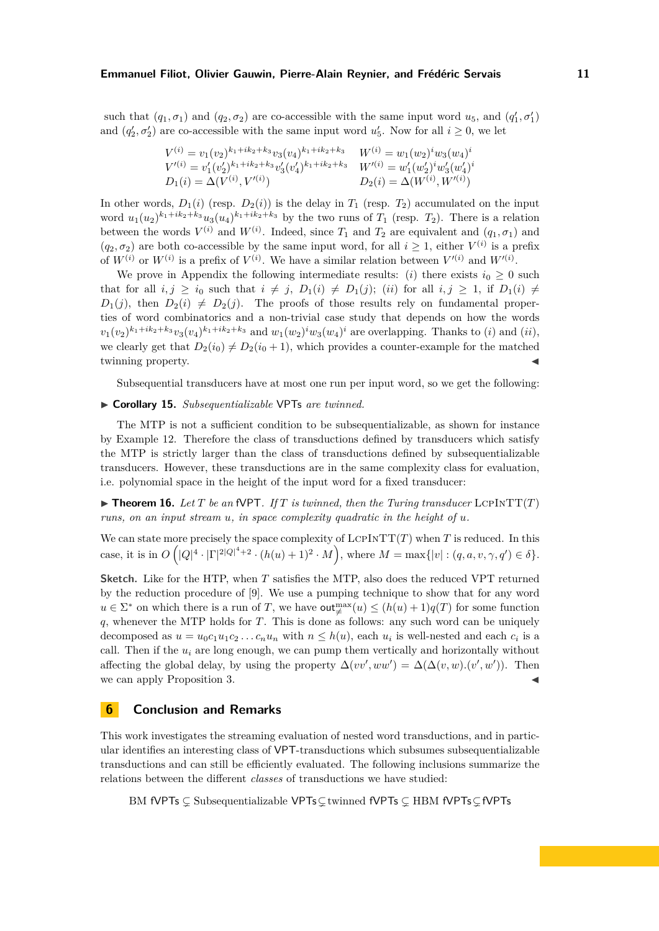such that  $(q_1, \sigma_1)$  and  $(q_2, \sigma_2)$  are co-accessible with the same input word  $u_5$ , and  $(q'_1, \sigma'_1)$ and  $(q'_2, \sigma'_2)$  are co-accessible with the same input word  $u'_5$ . Now for all  $i \geq 0$ , we let

$$
V^{(i)} = v_1(v_2)^{k_1 + ik_2 + k_3} v_3(v_4)^{k_1 + ik_2 + k_3} \t W^{(i)} = w_1(w_2)^i w_3(w_4)^i
$$
  
\n
$$
V'^{(i)} = v'_1(v'_2)^{k_1 + ik_2 + k_3} v'_3(v'_4)^{k_1 + ik_2 + k_3} \t W'^{(i)} = w'_1(w'_2)^i w'_3(w'_4)^i
$$
  
\n
$$
D_1(i) = \Delta(V^{(i)}, V'^{(i)}) \t D_2(i) = \Delta(W^{(i)}, W'^{(i)})
$$

In other words,  $D_1(i)$  (resp.  $D_2(i)$ ) is the delay in  $T_1$  (resp.  $T_2$ ) accumulated on the input word  $u_1(u_2)^{k_1+ik_2+k_3}u_3(u_4)^{k_1+ik_2+k_3}$  by the two runs of  $T_1$  (resp.  $T_2$ ). There is a relation between the words  $V^{(i)}$  and  $W^{(i)}$ . Indeed, since  $T_1$  and  $T_2$  are equivalent and  $(q_1, \sigma_1)$  and  $(q_2, \sigma_2)$  are both co-accessible by the same input word, for all  $i \geq 1$ , either  $V^{(i)}$  is a prefix of  $W^{(i)}$  or  $W^{(i)}$  is a prefix of  $V^{(i)}$ . We have a similar relation between  $V'^{(i)}$  and  $W'^{(i)}$ .

We prove in Appendix the following intermediate results: (*i*) there exists  $i_0 \geq 0$  such that for all  $i, j \geq i_0$  such that  $i \neq j$ ,  $D_1(i) \neq D_1(j)$ ; (*ii*) for all  $i, j \geq 1$ , if  $D_1(i) \neq j$  $D_1(j)$ , then  $D_2(i) \neq D_2(j)$ . The proofs of those results rely on fundamental properties of word combinatorics and a non-trivial case study that depends on how the words  $v_1(v_2)^{k_1+ik_2+k_3}v_3(v_4)^{k_1+ik_2+k_3}$  and  $w_1(w_2)^i w_3(w_4)^i$  are overlapping. Thanks to (*i*) and (*ii*), we clearly get that  $D_2(i_0) \neq D_2(i_0 + 1)$ , which provides a counter-example for the matched twinning property.

Subsequential transducers have at most one run per input word, so we get the following:

## ▶ **Corollary 15.** *Subsequentializable* VPTs *are twinned.*

The MTP is not a sufficient condition to be subsequentializable, as shown for instance by Example [12.](#page-10-0) Therefore the class of transductions defined by transducers which satisfy the MTP is strictly larger than the class of transductions defined by subsequentializable transducers. However, these transductions are in the same complexity class for evaluation, i.e. polynomial space in the height of the input word for a fixed transducer:

<span id="page-11-0"></span> $\triangleright$  **Theorem 16.** Let *T* be an fVPT. If *T* is twinned, then the Turing transducer LCPINTT(*T*) *runs, on an input stream u, in space complexity quadratic in the height of u.*

We can state more precisely the space complexity of  $LCPINTT(T)$  when *T* is reduced. In this case, it is in  $O(|Q|^4 \cdot |\Gamma|^{2|Q|^4+2} \cdot (h(u)+1)^2 \cdot M)$ , where  $M = \max\{|v| : (q, a, v, \gamma, q') \in \delta\}.$ 

**Sketch.** Like for the HTP, when *T* satisfies the MTP, also does the reduced VPT returned by the reduction procedure of [9]. We use a pumping technique to show that for any word  $u \in \Sigma^*$  on which there is a run of *T*, we have  $\text{out}_{\neq}^{\max}(u) \leq (h(u) + 1)q(T)$  for some function *q*, whenever the MTP holds for *T*. This is done as follows: any such word can be uniquely decomposed as  $u = u_0 c_1 u_1 c_2 \dots c_n u_n$  with  $n \leq h(u)$ , each  $u_i$  is well-nested and each  $c_i$  is a call. Then if the *u<sup>i</sup>* are long enough, we can pump them vertically and horizontally without affecting the global delay, by using the property  $\Delta(vv',ww') = \Delta(\Delta(v,w).(v',w'))$ . Then we can apply Proposition [3.](#page-6-5)

# **6 Conclusion and Remarks**

This work investigates the streaming evaluation of nested word transductions, and in particular identifies an interesting class of VPT-transductions which subsumes subsequentializable transductions and can still be efficiently evaluated. The following inclusions summarize the relations between the different *classes* of transductions we have studied:

BM fVPTs ⊊ Subsequentializable VPTs⊊twinned fVPTs ⊊ HBM fVPTs⊊fVPTs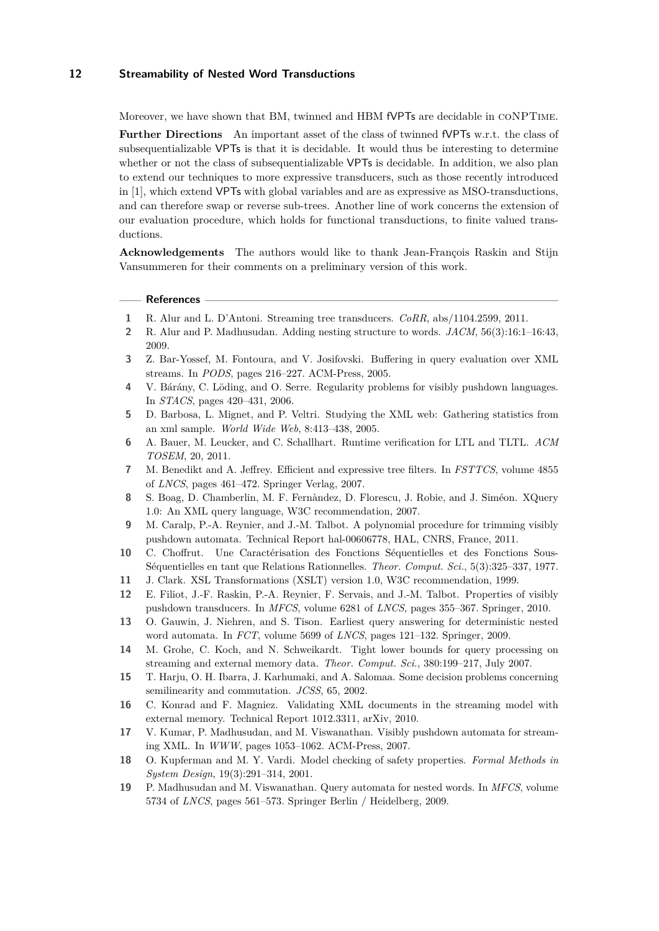Moreover, we have shown that BM, twinned and HBM fVPTs are decidable in coNPTime. **Further Directions** An important asset of the class of twinned fVPTs w.r.t. the class of subsequentializable VPTs is that it is decidable. It would thus be interesting to determine whether or not the class of subsequentializable VPTs is decidable. In addition, we also plan to extend our techniques to more expressive transducers, such as those recently introduced in [1], which extend VPTs with global variables and are as expressive as MSO-transductions, and can therefore swap or reverse sub-trees. Another line of work concerns the extension of our evaluation procedure, which holds for functional transductions, to finite valued transductions.

**Acknowledgements** The authors would like to thank Jean-François Raskin and Stijn Vansummeren for their comments on a preliminary version of this work.

#### **References**

- **1** R. Alur and L. D'Antoni. Streaming tree transducers. *CoRR*, abs/1104.2599, 2011.
- **2** R. Alur and P. Madhusudan. Adding nesting structure to words. *JACM*, 56(3):16:1–16:43, 2009.
- **3** Z. Bar-Yossef, M. Fontoura, and V. Josifovski. Buffering in query evaluation over XML streams. In *PODS*, pages 216–227. ACM-Press, 2005.
- **4** V. Bárány, C. Löding, and O. Serre. Regularity problems for visibly pushdown languages. In *STACS*, pages 420–431, 2006.
- **5** D. Barbosa, L. Mignet, and P. Veltri. Studying the XML web: Gathering statistics from an xml sample. *World Wide Web*, 8:413–438, 2005.
- **6** A. Bauer, M. Leucker, and C. Schallhart. Runtime verification for LTL and TLTL. *ACM TOSEM*, 20, 2011.
- **7** M. Benedikt and A. Jeffrey. Efficient and expressive tree filters. In *FSTTCS*, volume 4855 of *LNCS*, pages 461–472. Springer Verlag, 2007.
- **8** S. Boag, D. Chamberlin, M. F. Fernàndez, D. Florescu, J. Robie, and J. Siméon. XQuery 1.0: An XML query language, W3C recommendation, 2007.
- **9** M. Caralp, P.-A. Reynier, and J.-M. Talbot. A polynomial procedure for trimming visibly pushdown automata. Technical Report hal-00606778, HAL, CNRS, France, 2011.
- **10** C. Choffrut. Une Caractérisation des Fonctions Séquentielles et des Fonctions Sous-Séquentielles en tant que Relations Rationnelles. *Theor. Comput. Sci.*, 5(3):325–337, 1977.
- **11** J. Clark. XSL Transformations (XSLT) version 1.0, W3C recommendation, 1999.
- **12** E. Filiot, J.-F. Raskin, P.-A. Reynier, F. Servais, and J.-M. Talbot. Properties of visibly pushdown transducers. In *MFCS*, volume 6281 of *LNCS*, pages 355–367. Springer, 2010.
- **13** O. Gauwin, J. Niehren, and S. Tison. Earliest query answering for deterministic nested word automata. In *FCT*, volume 5699 of *LNCS*, pages 121–132. Springer, 2009.
- **14** M. Grohe, C. Koch, and N. Schweikardt. Tight lower bounds for query processing on streaming and external memory data. *Theor. Comput. Sci.*, 380:199–217, July 2007.
- **15** T. Harju, O. H. Ibarra, J. Karhumaki, and A. Salomaa. Some decision problems concerning semilinearity and commutation. *JCSS*, 65, 2002.
- **16** C. Konrad and F. Magniez. Validating XML documents in the streaming model with external memory. Technical Report 1012.3311, arXiv, 2010.
- **17** V. Kumar, P. Madhusudan, and M. Viswanathan. Visibly pushdown automata for streaming XML. In *WWW*, pages 1053–1062. ACM-Press, 2007.
- **18** O. Kupferman and M. Y. Vardi. Model checking of safety properties. *Formal Methods in System Design*, 19(3):291–314, 2001.
- **19** P. Madhusudan and M. Viswanathan. Query automata for nested words. In *MFCS*, volume 5734 of *LNCS*, pages 561–573. Springer Berlin / Heidelberg, 2009.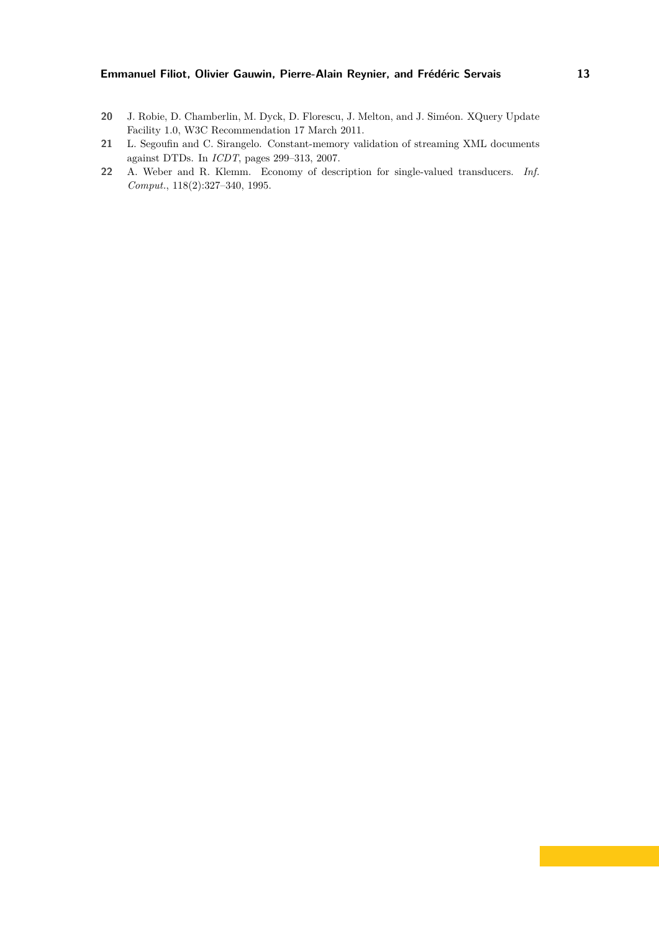- **20** J. Robie, D. Chamberlin, M. Dyck, D. Florescu, J. Melton, and J. Siméon. XQuery Update Facility 1.0, W3C Recommendation 17 March 2011.
- **21** L. Segoufin and C. Sirangelo. Constant-memory validation of streaming XML documents against DTDs. In *ICDT*, pages 299–313, 2007.
- **22** A. Weber and R. Klemm. Economy of description for single-valued transducers. *Inf. Comput.*, 118(2):327–340, 1995.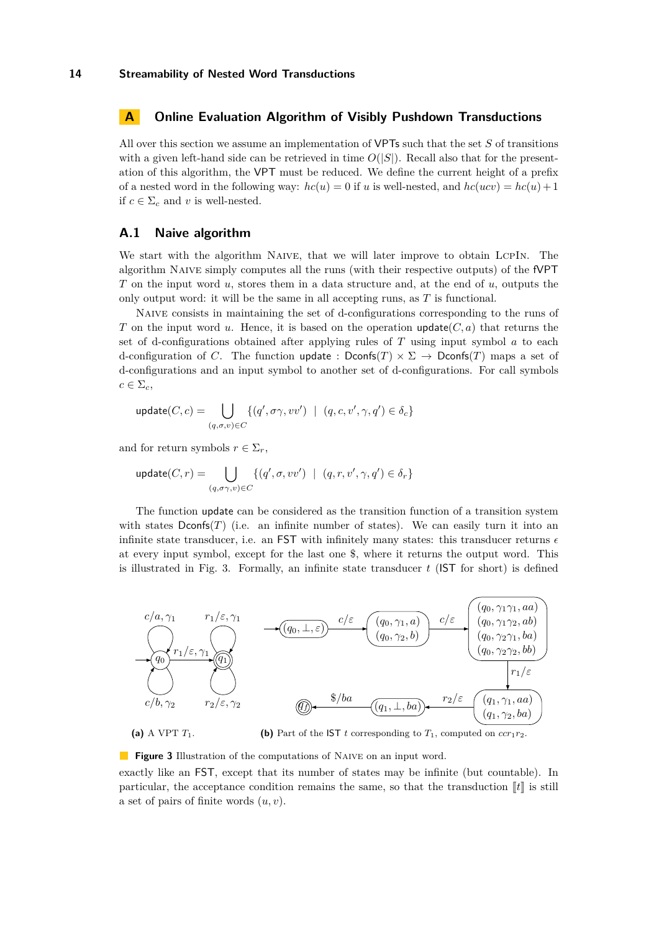## <span id="page-14-1"></span>**A Online Evaluation Algorithm of Visibly Pushdown Transductions**

All over this section we assume an implementation of VPTs such that the set *S* of transitions with a given left-hand side can be retrieved in time  $O(|S|)$ . Recall also that for the presentation of this algorithm, the VPT must be reduced. We define the current height of a prefix of a nested word in the following way:  $hc(u) = 0$  if *u* is well-nested, and  $hc(ucv) = hc(u) + 1$ if  $c \in \Sigma_c$  and *v* is well-nested.

# **A.1 Naive algorithm**

We start with the algorithm NAIVE, that we will later improve to obtain LCPIN. The algorithm Naive simply computes all the runs (with their respective outputs) of the fVPT *T* on the input word *u*, stores them in a data structure and, at the end of *u*, outputs the only output word: it will be the same in all accepting runs, as *T* is functional.

Naive consists in maintaining the set of d-configurations corresponding to the runs of *T* on the input word *u*. Hence, it is based on the operation  $update(C, a)$  that returns the set of d-configurations obtained after applying rules of *T* using input symbol *a* to each d-configuration of *C*. The function update :  $\text{Dconfs}(T) \times \Sigma \rightarrow \text{Dconfs}(T)$  maps a set of d-configurations and an input symbol to another set of d-configurations. For call symbols  $c \in \Sigma_c$ 

$$
\text{update}(C, c) = \bigcup_{(q, \sigma, v) \in C} \{ (q', \sigma\gamma, vv') \mid (q, c, v', \gamma, q') \in \delta_c \}
$$

and for return symbols  $r \in \Sigma_r$ ,

$$
\text{update}(C, r) = \bigcup_{(q, \sigma\gamma, v) \in C} \{ (q', \sigma, vv') \mid (q, r, v', \gamma, q') \in \delta_r \}
$$

The function update can be considered as the transition function of a transition system with states  $Domf(s(T))$  (i.e. an infinite number of states). We can easily turn it into an infinite state transducer, i.e. an FST with infinitely many states: this transducer returns  $\epsilon$ at every input symbol, except for the last one \$, where it returns the output word. This is illustrated in Fig. [3.](#page-14-0) Formally, an infinite state transducer  $t$  (IST for short) is defined

<span id="page-14-0"></span>

**(b)** Part of the IST *t* corresponding to  $T_1$ , computed on  $ccr_1r_2$ .

**Figure 3** Illustration of the computations of NAIVE on an input word.

exactly like an FST, except that its number of states may be infinite (but countable). In particular, the acceptance condition remains the same, so that the transduction  $\llbracket t \rrbracket$  is still a set of pairs of finite words (*u, v*).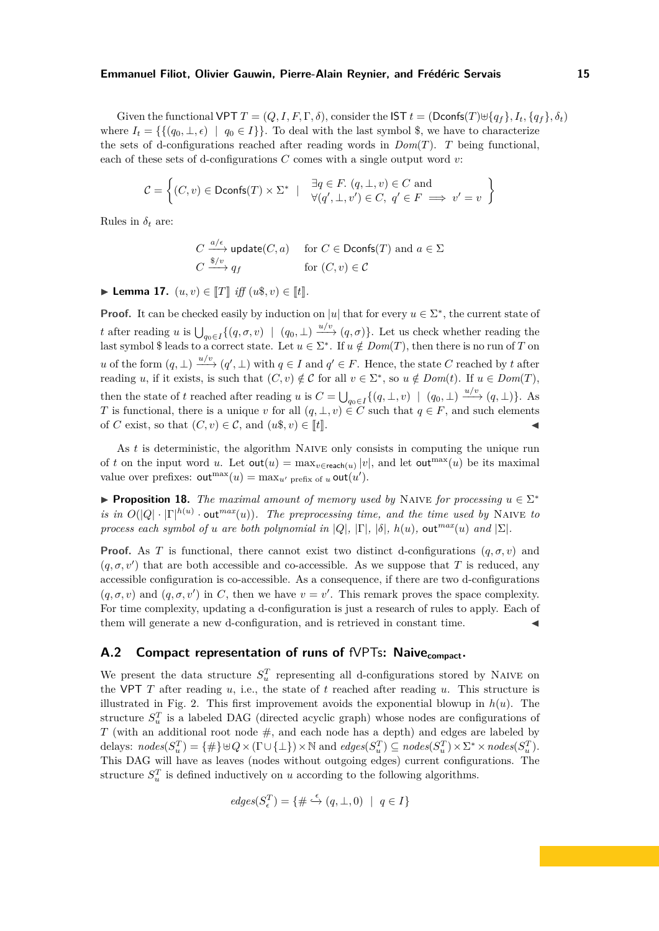Given the functional VPT  $T = (Q, I, F, \Gamma, \delta)$ , consider the  $\mathsf{IST} t = (\mathsf{Dconfs}(T) \cup \{q_f\}, I_t, \{q_f\}, \delta_t)$ where  $I_t = \{\{(q_0, \perp, \epsilon) \mid q_0 \in I\}\}\.$  To deal with the last symbol \$, we have to characterize the sets of d-configurations reached after reading words in *Dom*(*T*). *T* being functional, each of these sets of d-configurations *C* comes with a single output word *v*:

$$
\mathcal{C} = \left\{ (C, v) \in \text{Dconfs}(T) \times \Sigma^* \mid \begin{array}{c} \exists q \in F. \ (q, \perp, v) \in C \ \text{and} \\ \forall (q', \perp, v') \in C, \ q' \in F \implies v' = v \end{array} \right\}
$$

Rules in  $\delta_t$  are:

$$
C \xrightarrow{a/\epsilon} \text{update}(C, a) \quad \text{for } C \in \text{Dconfs}(T) \text{ and } a \in \Sigma
$$
  

$$
C \xrightarrow{\$/\upsilon$} q_f \quad \text{for } (C, \upsilon) \in \mathcal{C}
$$

<span id="page-15-0"></span>► Lemma 17.  $(u, v) \in [T]$  *iff*  $(u\$, v) \in [t]$ .

**Proof.** It can be checked easily by induction on |*u*| that for every  $u \in \Sigma^*$ , the current state of *t* after reading *u* is  $\bigcup_{q_0 \in I} \{ (q, \sigma, v) \mid (q_0, \bot) \xrightarrow{u/v} (q, \sigma) \}.$  Let us check whether reading the last symbol \$ leads to a correct state. Let  $u \in \Sigma^*$ . If  $u \notin Dom(T)$ , then there is no run of *T* on *u* of the form  $(q, \perp) \xrightarrow{u/v} (q', \perp)$  with  $q \in I$  and  $q' \in F$ . Hence, the state *C* reached by *t* after reading *u*, if it exists, is such that  $(C, v) \notin C$  for all  $v \in \Sigma^*$ , so  $u \notin Dom(t)$ . If  $u \in Dom(T)$ , then the state of *t* reached after reading *u* is  $C = \bigcup_{q_0 \in I} \{(q, \perp, v) \mid (q_0, \perp) \xrightarrow{u/v} (q, \perp)\}.$  As *T* is functional, there is a unique *v* for all  $(q, \perp, v) \in C$  such that  $q \in F$ , and such elements of *C* exist, so that  $(C, v) \in \mathcal{C}$ , and  $(u\$ frak{s}, v) \in \llbracket t \rrbracket.

As *t* is deterministic, the algorithm Naive only consists in computing the unique run of *t* on the input word *u*. Let  $\text{out}(u) = \max_{v \in \text{reach}(u)} |v|$ , and let  $\text{out}^{\max}(u)$  be its maximal value over prefixes:  $\text{out}^{\max}(u) = \max_{u'} \text{prefix of } u \text{ out}(u').$ 

**• Proposition 18.** *The maximal amount of memory used by* NAIVE *for processing*  $u \in \Sigma^*$ *is in*  $O(|Q| \cdot |\Gamma|^{h(u)} \cdot \text{out}^{max}(u))$ *. The preprocessing time, and the time used by* NAIVE *to process each symbol of <i>u are both polynomial in*  $|Q|$ ,  $|\Gamma|$ *,*  $|\delta|$ *,*  $h(u)$ *, out*<sup>*max*</sup>(*u*) *and*  $|\Sigma|$ *.* 

**Proof.** As *T* is functional, there cannot exist two distinct d-configurations  $(q, \sigma, v)$  and  $(q, \sigma, v')$  that are both accessible and co-accessible. As we suppose that *T* is reduced, any accessible configuration is co-accessible. As a consequence, if there are two d-configurations  $(q, \sigma, v)$  and  $(q, \sigma, v')$  in *C*, then we have  $v = v'$ . This remark proves the space complexity. For time complexity, updating a d-configuration is just a research of rules to apply. Each of them will generate a new d-configuration, and is retrieved in constant time.

# A.2 Compact representation of runs of fVPTs: Naive<sub>compact</sub>.

We present the data structure  $S_u^T$  representing all d-configurations stored by NAIVE on the VPT  $T$  after reading  $u$ , i.e., the state of  $t$  reached after reading  $u$ . This structure is illustrated in Fig. [2.](#page-6-4) This first improvement avoids the exponential blowup in *h*(*u*). The structure  $S_u^T$  is a labeled DAG (directed acyclic graph) whose nodes are configurations of *T* (with an additional root node  $\#$ , and each node has a depth) and edges are labeled by  $\text{delays: } nodes(S_u^T) = \{\#\} \cup Q \times (\Gamma \cup \{\bot\}) \times \mathbb{N} \text{ and } edges(S_u^T) \subseteq nodes(S_u^T) \times \Sigma^* \times nodes(S_u^T).$ This DAG will have as leaves (nodes without outgoing edges) current configurations. The structure  $S_u^T$  is defined inductively on *u* according to the following algorithms.

$$
\textit{edges}(S_{\epsilon}^T) = \{ \# \stackrel{\epsilon}{\hookrightarrow} (q,\bot,0) \ | \ q \in I \}
$$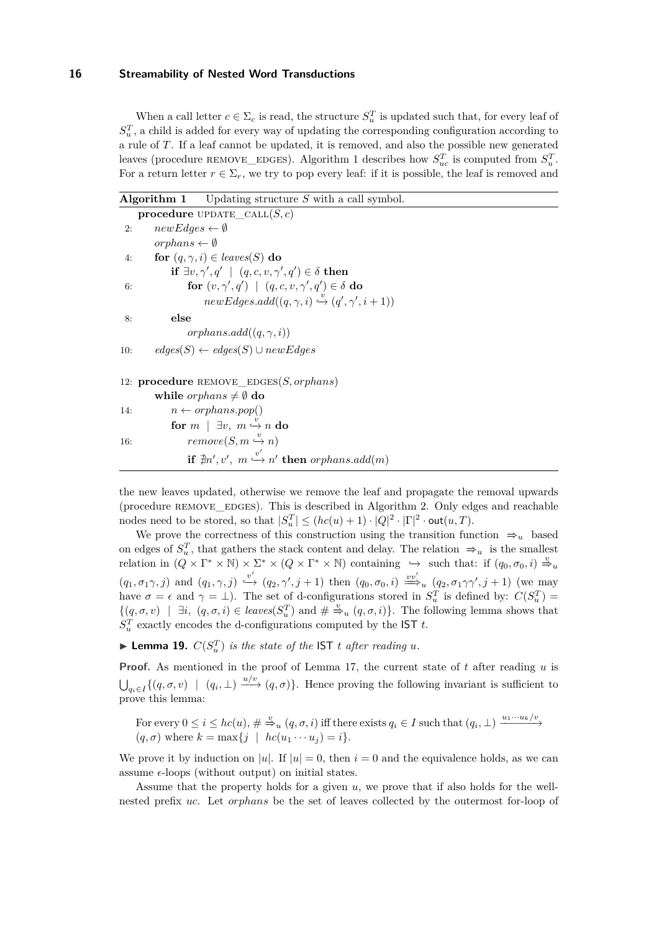When a call letter  $c \in \Sigma_c$  is read, the structure  $S_u^T$  is updated such that, for every leaf of  $S<sub>u</sub><sup>T</sup>$ , a child is added for every way of updating the corresponding configuration according to a rule of *T*. If a leaf cannot be updated, it is removed, and also the possible new generated leaves (procedure REMOVE\_EDGES). Algorithm [1](#page-1-0) describes how  $S_{uc}^T$  is computed from  $S_{u}^T$ . For a return letter  $r \in \Sigma_r$ , we try to pop every leaf: if it is possible, the leaf is removed and

|     | <b>Algorithm 1</b> Updating structure S with a call symbol.                                                               |
|-----|---------------------------------------------------------------------------------------------------------------------------|
|     | procedure UPDATE_CALL $(S, c)$                                                                                            |
| 2:  | $newEdges \leftarrow \emptyset$                                                                                           |
|     | orphans $\leftarrow \emptyset$                                                                                            |
| 4:  | for $(q, \gamma, i) \in leaves(S)$ do                                                                                     |
|     | if $\exists v, \gamma', q' \mid (q, c, v, \gamma', q') \in \delta$ then                                                   |
| 6:  | for $(v, \gamma', q') \mid (q, c, v, \gamma', q') \in \delta$ do                                                          |
|     | $newEdges.add((q, \gamma, i) \stackrel{v}{\hookrightarrow} (q', \gamma', i+1))$                                           |
| 8:  | else                                                                                                                      |
|     | orphans.add $((q, \gamma, i))$                                                                                            |
| 10: | $edges(S) \leftarrow edges(S) \cup newEdges$                                                                              |
|     | 12: procedure REMOVE_EDGES $(S, or phans)$                                                                                |
|     | while <i>orphans</i> $\neq \emptyset$ do                                                                                  |
| 14: | $n \leftarrow or phans.pop()$                                                                                             |
|     | for $m \mid \exists v, m \stackrel{v}{\rightarrow} n$ do                                                                  |
| 16: | $remove(S, m \overset{v}{\hookrightarrow} n)$                                                                             |
|     | $\textbf{if} \,\, \nexists n', v', \,\, m \stackrel{v'}{\hookrightarrow} n' \,\, \textbf{then} \,\, or \,\, phans.add(m)$ |

the new leaves updated, otherwise we remove the leaf and propagate the removal upwards (procedure remove\_edges). This is described in Algorithm [2.](#page-1-0) Only edges and reachable nodes need to be stored, so that  $|S_u^T| \leq (hc(u) + 1) \cdot |Q|^2 \cdot |\Gamma|^2 \cdot \text{out}(u, T)$ .

We prove the correctness of this construction using the transition function  $\Rightarrow$ <sup>*u*</sup> based on edges of  $S_u^T$ , that gathers the stack content and delay. The relation  $\Rightarrow_u$  is the smallest  $\text{relation in } (Q \times \Gamma^* \times \mathbb{N}) \times \Sigma^* \times (Q \times \Gamma^* \times \mathbb{N}) \text{ containing } \hookrightarrow \text{ such that: if } (q_0, \sigma_0, i) \stackrel{v}{\Rightarrow} u$  $(q_1, \sigma_1 \gamma, j)$  and  $(q_1, \gamma, j) \stackrel{v'}{\hookrightarrow} (q_2, \gamma', j+1)$  then  $(q_0, \sigma_0, i) \stackrel{vv'}{\Longrightarrow_u} (q_2, \sigma_1 \gamma\gamma', j+1)$  (we may have  $\sigma = \epsilon$  and  $\gamma = \bot$ ). The set of d-configurations stored in  $S_u^T$  is defined by:  $C(S_u^T)$  $\{(q, \sigma, v) \mid \exists i, (q, \sigma, i) \in leaves(S_u^T) \text{ and } \#\overset{v}{\Rightarrow}_u (q, \sigma, i)\}.$  The following lemma shows that  $S_u^T$  exactly encodes the d-configurations computed by the IST *t*.

<span id="page-16-0"></span> $\blacktriangleright$  **Lemma 19.**  $C(S_u^T)$  *is the state of the* IST *t after reading u.* 

**Proof.** As mentioned in the proof of Lemma [17,](#page-15-0) the current state of *t* after reading *u* is  $\bigcup_{q_i \in I} \{(q, \sigma, v) \mid (q_i, \perp) \xrightarrow{u/v} (q, \sigma)\}.$  Hence proving the following invariant is sufficient to prove this lemma:

For every  $0 \leq i \leq hc(u)$ ,  $\#\stackrel{v}{\Rightarrow}_u (q, \sigma, i)$  iff there exists  $q_i \in I$  such that  $(q_i, \perp) \xrightarrow{u_1 \cdots u_k/v}$  $(q, \sigma)$  where  $k = \max\{j \mid hc(u_1 \cdots u_j) = i\}.$ 

We prove it by induction on |*u*|. If  $|u| = 0$ , then  $i = 0$  and the equivalence holds, as we can assume  $\epsilon$ -loops (without output) on initial states.

Assume that the property holds for a given *u*, we prove that if also holds for the wellnested prefix *uc*. Let *orphans* be the set of leaves collected by the outermost for-loop of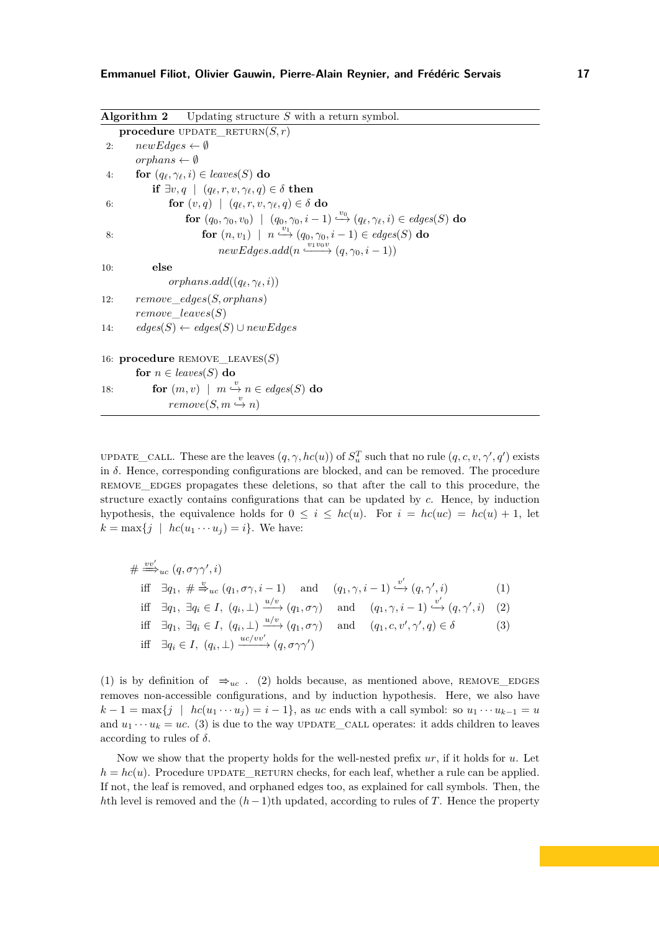|     | <b>Algorithm 2</b> Updating structure $S$ with a return symbol.                                                              |
|-----|------------------------------------------------------------------------------------------------------------------------------|
|     | <b>procedure</b> UPDATE_RETURN $(S, r)$                                                                                      |
| 2:  | $newEdges \leftarrow \emptyset$                                                                                              |
|     | orphans $\leftarrow \emptyset$                                                                                               |
| 4:  | for $(q_{\ell}, \gamma_{\ell}, i) \in leaves(S)$ do                                                                          |
|     | if $\exists v, q \mid (q_{\ell}, r, v, \gamma_{\ell}, q) \in \delta$ then                                                    |
| 6:  | for $(v, q) \mid (q_{\ell}, r, v, \gamma_{\ell}, q) \in \delta$ do                                                           |
|     | for $(q_0, \gamma_0, v_0)$   $(q_0, \gamma_0, i-1) \stackrel{v_0}{\hookrightarrow} (q_\ell, \gamma_\ell, i) \in edges(S)$ do |
| 8:  | for $(n, v_1)$   $n \stackrel{v_1}{\longrightarrow} (q_0, \gamma_0, i-1) \in edges(S)$ do                                    |
|     | $newEdges.add(n \xrightarrow{v_1v_0v} (q, \gamma_0, i-1))$                                                                   |
| 10: | else                                                                                                                         |
|     | orphans.add( $(q_{\ell}, \gamma_{\ell}, i)$ )                                                                                |
| 12: | $remove\_edges(S, or phans)$                                                                                                 |
|     | $remove\_leaves(S)$                                                                                                          |
| 14: | $edges(S) \leftarrow edges(S) \cup newEdges$                                                                                 |
|     | 16: procedure REMOVE_LEAVES(S)                                                                                               |
|     | for $n \in leaves(S)$ do                                                                                                     |
| 18: | for $(m, v)$   $m \stackrel{v}{\hookrightarrow} n \in edges(S)$ do                                                           |
|     | $remove(S, m \overset{v}{\hookrightarrow} n)$                                                                                |

UPDATE\_CALL. These are the leaves  $(q, \gamma, hc(u))$  of  $S_u^T$  such that no rule  $(q, c, v, \gamma', q')$  exists in  $\delta$ . Hence, corresponding configurations are blocked, and can be removed. The procedure remove\_edges propagates these deletions, so that after the call to this procedure, the structure exactly contains configurations that can be updated by *c*. Hence, by induction hypothesis, the equivalence holds for  $0 \leq i \leq hc(u)$ . For  $i = hc(uc) = hc(u) + 1$ , let  $k = \max\{j \mid hc(u_1 \cdots u_j) = i\}.$  We have:

$$
\# \stackrel{vv'}{\Longrightarrow}_{uc} (q, \sigma \gamma \gamma', i)
$$
  
iff  $\exists q_1, \# \stackrel{v}{\Rightarrow}_{uc} (q_1, \sigma \gamma, i - 1)$  and  $(q_1, \gamma, i - 1) \stackrel{v'}{\hookrightarrow} (q, \gamma', i)$  (1)  
iff  $\exists q_1, \exists q_i \in I, (q_i, \bot) \stackrel{u/v}{\longrightarrow} (q_1, \sigma \gamma)$  and  $(q_1, \gamma, i - 1) \stackrel{v'}{\hookrightarrow} (q, \gamma', i)$  (2)  
iff  $\exists q_1, \exists q_i \in I, (q_i, \bot) \stackrel{u/v}{\longrightarrow} (q_1, \sigma \gamma)$  and  $(q_1, c, v', \gamma', q) \in \delta$  (3)  
iff  $\exists q_i \in I, (q_i, \bot) \stackrel{uc/vv'}{\longrightarrow} (q, \sigma \gamma \gamma')$ 

(1) is by definition of  $\Rightarrow_{uc}$ . (2) holds because, as mentioned above, REMOVE\_EDGES removes non-accessible configurations, and by induction hypothesis. Here, we also have  $k - 1 = \max\{j \mid hc(u_1 \cdots u_j) = i - 1\}$ , as *uc* ends with a call symbol: so  $u_1 \cdots u_{k-1} = u$ and  $u_1 \cdots u_k = uc$ . (3) is due to the way UPDATE\_CALL operates: it adds children to leaves according to rules of *δ*.

Now we show that the property holds for the well-nested prefix *ur*, if it holds for *u*. Let  $h = hc(u)$ . Procedure UPDATE RETURN checks, for each leaf, whether a rule can be applied. If not, the leaf is removed, and orphaned edges too, as explained for call symbols. Then, the *h*th level is removed and the  $(h-1)$ th updated, according to rules of *T*. Hence the property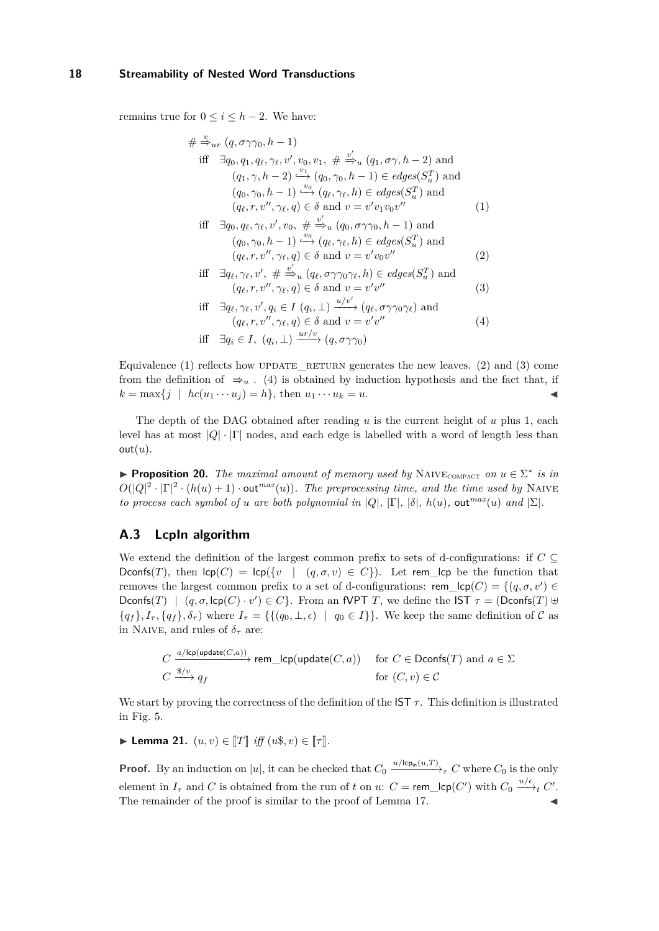remains true for  $0 \le i \le h - 2$ . We have:

$$
\# \stackrel{v}{\Rightarrow}_{ur} (q, \sigma \gamma \gamma_0, h - 1)
$$
  
\niff 
$$
\exists q_0, q_1, q_\ell, \gamma_\ell, v', v_0, v_1, \# \stackrel{v'}{\Rightarrow}_{u} (q_1, \sigma \gamma, h - 2) \text{ and } (q_1, \gamma, h - 2) \stackrel{v_1}{\hookrightarrow} (q_0, \gamma_0, h - 1) \in edges(S_u^T) \text{ and } (q_0, \gamma_0, h - 1) \stackrel{v_0}{\hookrightarrow} (q_\ell, \gamma_\ell, h) \in edges(S_u^T) \text{ and } (q_\ell, r, v'', \gamma_\ell, q) \in \delta \text{ and } v = v'v_1v_0v''
$$
\n(1)  
\niff 
$$
\exists q_0, q_\ell, \gamma_\ell, v', v_0, \# \stackrel{v'}{\Rightarrow}_{u} (q_0, \sigma \gamma \gamma_0, h - 1) \text{ and } (q_0, \gamma_0, h - 1) \stackrel{v_0}{\hookrightarrow} (q_\ell, \gamma_\ell, h) \in edges(S_u^T) \text{ and } (q_\ell, r, v'', \gamma_\ell, q) \in \delta \text{ and } v = v'v_0v''
$$
\n(2)  
\niff 
$$
\exists q_\ell, \gamma_\ell, v', \# \stackrel{v'}{\Rightarrow}_{u} (q_\ell, \sigma \gamma \gamma_0 \gamma_\ell, h) \in edges(S_u^T) \text{ and } (q_\ell, r, v'', \gamma_\ell, q) \in \delta \text{ and } v = v'v''
$$
\n(3)  
\niff 
$$
\exists q_\ell, \gamma_\ell, v', q_i \in I (q_i, \bot) \xrightarrow{u/v'} (q_\ell, \sigma \gamma \gamma_0 \gamma_\ell) \text{ and } (q_\ell, r, v'', \gamma_\ell, q) \in \delta \text{ and } v = v'v''
$$
\n(4)  
\niff 
$$
\exists q_i \in I, (q_i, \bot) \xrightarrow{ur/v} (q, \sigma \gamma \gamma_0)
$$

Equivalence  $(1)$  reflects how UPDATE\_RETURN generates the new leaves.  $(2)$  and  $(3)$  come from the definition of  $\Rightarrow_u$ . (4) is obtained by induction hypothesis and the fact that, if  $k = \max\{i \mid hc(u_1 \cdots u_i) = h\}$ , then  $u_1 \cdots u_k = u$ .

The depth of the DAG obtained after reading *u* is the current height of *u* plus 1, each level has at most  $|Q| \cdot |\Gamma|$  nodes, and each edge is labelled with a word of length less than  $out(u)$ .

**Proposition 20.** *The maximal amount of memory used by* NAIVE<sub>COMPACT</sub> *on*  $u \in \Sigma^*$  *is in*  $O(|Q|^2 \cdot |\Gamma|^2 \cdot (h(u) + 1) \cdot \text{out}^{max}(u))$ . The preprocessing time, and the time used by NAIVE *to process each symbol of <i>u* are *both polynomial in*  $|Q|$ ,  $|\Gamma|$ ,  $|\delta|$ ,  $h(u)$ ,  $\text{out}^{max}(u)$  *and*  $|\Sigma|$ *.* 

# **A.3 LcpIn algorithm**

We extend the definition of the largest common prefix to sets of d-configurations: if  $C \subseteq$ Dconfs(*T*), then  $\text{lcp}(C) = \text{lcp}(\{v \mid (q, \sigma, v) \in C\})$ . Let rem\_lcp be the function that removes the largest common prefix to a set of d-configurations:  $\mathsf{rem\_lcp}(C) = \{ (q, \sigma, v') \in$ Dconfs(*T*) |  $(q, \sigma, \text{lcp}(C) \cdot v') \in C$ . From an fVPT *T*, we define the IST  $\tau = (\text{Dconfs}(T) \cup$  ${q<sub>f</sub>}, I<sub>\tau</sub>, {q<sub>f</sub>}, \delta<sub>\tau</sub>}$  where  $I<sub>\tau</sub> = {{(q<sub>0</sub>, \bot, \epsilon) | q<sub>0</sub> \in I}}.$  We keep the same definition of C as in NAIVE, and rules of  $\delta_{\tau}$  are:

$$
C \xrightarrow{a/lcp(\text{update}(C,a))} \text{rem\_lcp}(\text{update}(C,a)) \quad \text{ for } C \in \text{Dconfs}(T) \text{ and } a \in \Sigma
$$
  

$$
C \xrightarrow{\$/\upsilon$} q_f \quad \text{ for } (C,\upsilon) \in \mathcal{C}
$$

We start by proving the correctness of the definition of the IST  $\tau$ . This definition is illustrated in Fig. [5.](#page-19-0)

► Lemma 21.  $(u, v) \in [T]$  *iff*  $(u\$, v) \in [T]$ .

**Proof.** By an induction on |u|, it can be checked that  $C_0 \xrightarrow{u/lcp_{in}(u,T)}$ <sub> $\tau$ </sub> *C* where  $C_0$  is the only element in  $I_{\tau}$  and *C* is obtained from the run of *t* on *u*:  $C = \text{rem\_lop}(C')$  with  $C_0 \xrightarrow{u/\epsilon} C'.$ The remainder of the proof is similar to the proof of Lemma [17.](#page-15-0)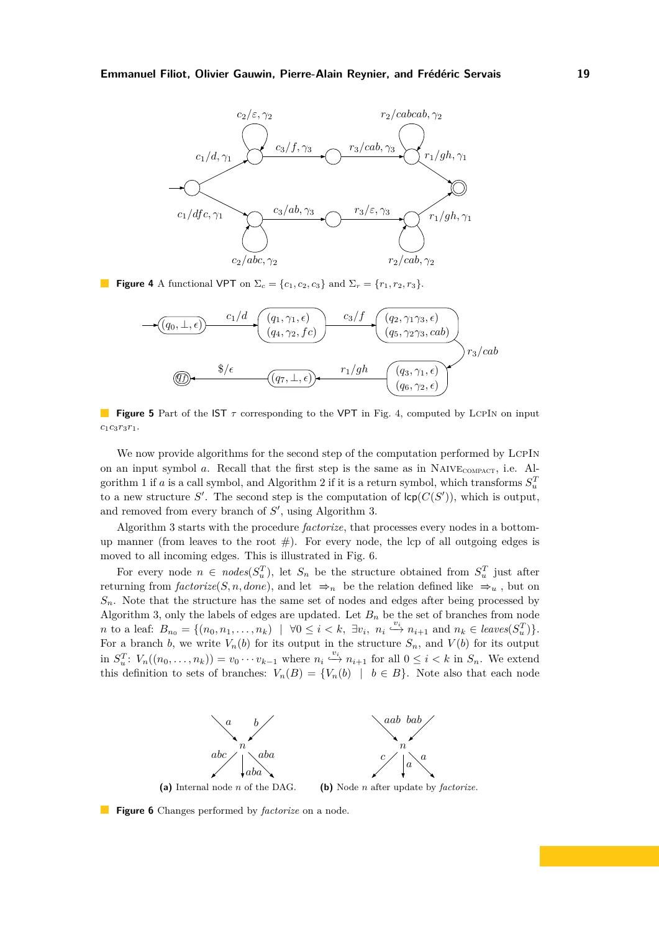<span id="page-19-1"></span>

<span id="page-19-0"></span>**Figure 4** A functional VPT on  $\Sigma_c = \{c_1, c_2, c_3\}$  and  $\Sigma_r = \{r_1, r_2, r_3\}$ .



**Figure 5** Part of the IST  $\tau$  corresponding to the VPT in Fig. [4,](#page-19-1) computed by LCPIN on input *c*1*c*3*r*3*r*1.

We now provide algorithms for the second step of the computation performed by LCPIN on an input symbol  $a$ . Recall that the first step is the same as in NAIVE<sub>COMPACT</sub>, i.e. Al-gorithm [1](#page-1-0) if *a* is a call symbol, and Algorithm [2](#page-1-0) if it is a return symbol, which transforms  $S_u^T$ to a new structure S'. The second step is the computation of  $\textsf{lcp}(C(S'))$ , which is output, and removed from every branch of  $S'$ , using Algorithm [3.](#page-1-0)

Algorithm [3](#page-1-0) starts with the procedure *factorize*, that processes every nodes in a bottomup manner (from leaves to the root  $#$ ). For every node, the lcp of all outgoing edges is moved to all incoming edges. This is illustrated in Fig. [6.](#page-19-2)

For every node  $n \in nodes(S_u^T)$ , let  $S_n$  be the structure obtained from  $S_u^T$  just after returning from  $factorize(S, n, done)$ , and let  $\Rightarrow_n$  be the relation defined like  $\Rightarrow_u$ , but on  $S_n$ . Note that the structure has the same set of nodes and edges after being processed by Algorithm [3,](#page-1-0) only the labels of edges are updated. Let  $B_n$  be the set of branches from node *n* to a leaf:  $B_{n_0} = \{(n_0, n_1, \ldots, n_k) \mid \forall 0 \leq i \leq k, \exists v_i, n_i \stackrel{v_i}{\hookrightarrow} n_{i+1} \text{ and } n_k \in leaves(S_u^T)\}.$ For a branch *b*, we write  $V_n(b)$  for its output in the structure  $S_n$ , and  $V(b)$  for its output in  $S_u^T$ :  $V_n((n_0,\ldots,n_k)) = v_0 \cdots v_{k-1}$  where  $n_i \stackrel{v_i}{\longrightarrow} n_{i+1}$  for all  $0 \leq i < k$  in  $S_n$ . We extend this definition to sets of branches:  $V_n(B) = \{V_n(b) \mid b \in B\}$ . Note also that each node

<span id="page-19-2"></span>

**Figure 6** Changes performed by *factorize* on a node.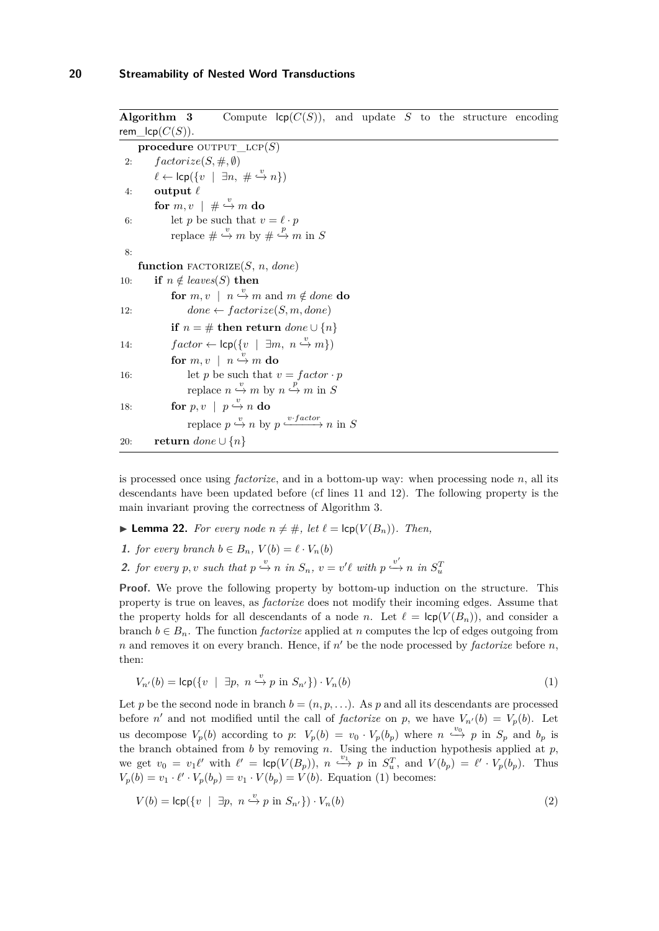|     | Algorithm 3        | Compute $\textsf{lcp}(C(S))$ , and update S to the structure encoding                  |  |  |  |  |
|-----|--------------------|----------------------------------------------------------------------------------------|--|--|--|--|
|     | rem_lcp $(C(S))$ . |                                                                                        |  |  |  |  |
|     |                    | procedure OUTPUT_LCP $(S)$                                                             |  |  |  |  |
| 2:  |                    | $factorize(S, \#,\emptyset)$                                                           |  |  |  |  |
|     |                    | $\ell \leftarrow \text{lcp}(\{v \mid \exists n, \# \stackrel{v}{\hookrightarrow} n\})$ |  |  |  |  |
| 4:  | output $\ell$      |                                                                                        |  |  |  |  |
|     |                    | for $m, v \mid # \stackrel{v}{\hookrightarrow} m$ do                                   |  |  |  |  |
| 6:  |                    | let p be such that $v = \ell \cdot p$                                                  |  |  |  |  |
|     |                    | replace $\#\stackrel{v}{\hookrightarrow}m$ by $\#\stackrel{p}{\hookrightarrow}m$ in S  |  |  |  |  |
| 8:  |                    |                                                                                        |  |  |  |  |
|     |                    | function FACTORIZE $(S, n, done)$                                                      |  |  |  |  |
| 10: |                    | if $n \notin leaves(S)$ then                                                           |  |  |  |  |
|     |                    | for $m, v \mid n \stackrel{v}{\hookrightarrow} m$ and $m \notin done$ do               |  |  |  |  |
| 12: |                    | $done \leftarrow factorize(S, m, done)$                                                |  |  |  |  |
|     |                    | if $n = #$ then return $done \cup \{n\}$                                               |  |  |  |  |
| 14: |                    | $factor \leftarrow \text{lcp}(\{v \mid \exists m, n \stackrel{v}{\rightarrow} m\})$    |  |  |  |  |
|     |                    | for $m, v \mid n \stackrel{v}{\hookrightarrow} m$ do                                   |  |  |  |  |
| 16: |                    | let p be such that $v = factor \cdot p$                                                |  |  |  |  |
|     |                    | replace $n \xrightarrow{v} m$ by $n \xrightarrow{p} m$ in S                            |  |  |  |  |
| 18: |                    | for $p, v \mid p \stackrel{v}{\hookrightarrow} n$ do                                   |  |  |  |  |
|     |                    | replace $p \xrightarrow{v} n$ by $p \xrightarrow{v \cdot factor} n$ in S               |  |  |  |  |
| 20: |                    | <b>return</b> done $\cup$ $\{n\}$                                                      |  |  |  |  |

is processed once using *factorize*, and in a bottom-up way: when processing node *n*, all its descendants have been updated before (cf lines 11 and 12). The following property is the main invariant proving the correctness of Algorithm [3.](#page-1-0)

- <span id="page-20-1"></span>▶ **Lemma 22.** *For every node*  $n ≠ #$ *, let*  $\ell = \text{lcp}(V(B_n))$ *. Then,*
- **1.** *for every branch*  $b \in B_n$ ,  $V(b) = \ell \cdot V_n(b)$
- 2. for every p, v such that  $p \stackrel{v}{\hookrightarrow} n$  in  $S_n$ ,  $v = v'\ell$  with  $p \stackrel{v'}{\hookrightarrow} n$  in  $S_u^T$

Proof. We prove the following property by bottom-up induction on the structure. This property is true on leaves, as *factorize* does not modify their incoming edges. Assume that the property holds for all descendants of a node *n*. Let  $\ell = \text{lcp}(V(B_n))$ , and consider a branch  $b \in B_n$ . The function *factorize* applied at *n* computes the lcp of edges outgoing from *n* and removes it on every branch. Hence, if *n* ′ be the node processed by *factorize* before *n*, then:

<span id="page-20-0"></span>
$$
V_{n'}(b) = \mathsf{lcp}(\{v \mid \exists p, \ n \stackrel{v}{\hookrightarrow} p \text{ in } S_{n'}\}) \cdot V_n(b) \tag{1}
$$

Let *p* be the second node in branch  $b = (n, p, \ldots)$ . As *p* and all its descendants are processed before *n*' and not modified until the call of *factorize* on *p*, we have  $V_{n'}(b) = V_p(b)$ . Let us decompose  $V_p(b)$  according to p:  $V_p(b) = v_0 \cdot V_p(b_p)$  where  $n \stackrel{v_0}{\leftrightarrow} p$  in  $S_p$  and  $b_p$  is the branch obtained from *b* by removing *n*. Using the induction hypothesis applied at *p*, we get  $v_0 = v_1 \ell'$  with  $\ell' = \text{lcp}(V(B_p)), n \stackrel{v_1}{\longrightarrow} p$  in  $S_u^T$ , and  $V(b_p) = \ell' \cdot V_p(b_p)$ . Thus  $V_p(b) = v_1 \cdot \ell' \cdot V_p(b_p) = v_1 \cdot V(b_p) = V(b)$ . Equation [\(1\)](#page-20-0) becomes:

$$
V(b) = \mathsf{lcp}(\{v \mid \exists p, \ n \stackrel{v}{\hookrightarrow} p \text{ in } S_{n'}\}) \cdot V_n(b) \tag{2}
$$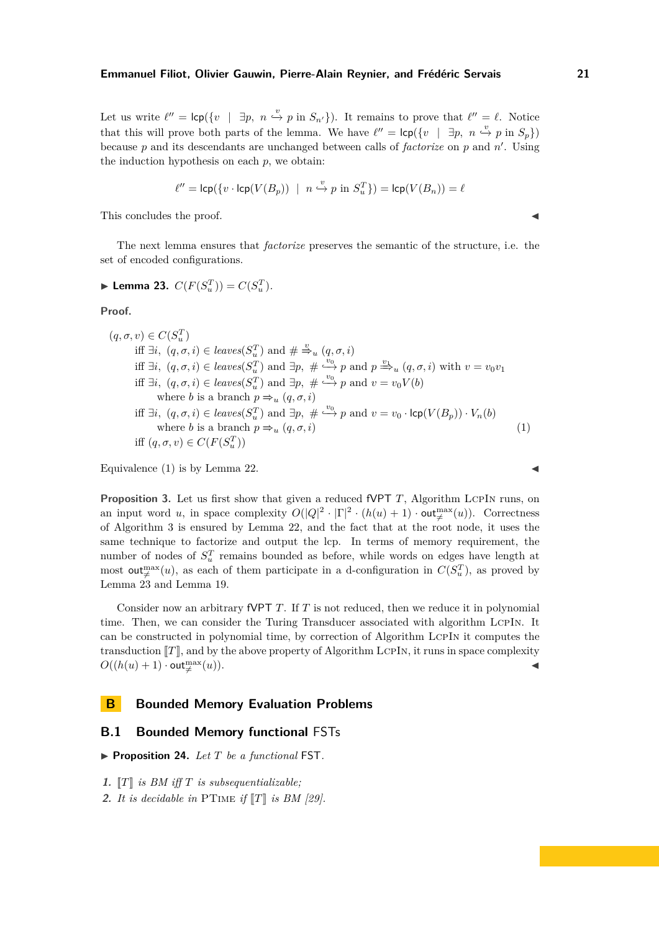Let us write  $\ell'' = \text{lcp}(\{v \mid \exists p, n \stackrel{v}{\hookrightarrow} p \text{ in } S_{n'}\})$ . It remains to prove that  $\ell'' = \ell$ . Notice that this will prove both parts of the lemma. We have  $\ell'' = \text{lcp}(\{v \mid \exists p, n \stackrel{v}{\hookrightarrow} p \text{ in } S_p\})$ because *p* and its descendants are unchanged between calls of *factorize* on *p* and *n* ′ . Using the induction hypothesis on each *p*, we obtain:

$$
\ell'' = \operatorname{lcp}(\{v \cdot \operatorname{lcp}(V(B_p)) \ \mid \ n \stackrel{v}{\hookrightarrow} p \text{ in } S_u^T\}) = \operatorname{lcp}(V(B_n)) = \ell
$$

This concludes the proof.

The next lemma ensures that *factorize* preserves the semantic of the structure, i.e. the set of encoded configurations.

<span id="page-21-1"></span>
$$
\blacktriangleright
$$
 Lemma 23.  $C(F(S_u^T)) = C(S_u^T)$ .

**Proof.**

$$
(q, \sigma, v) \in C(S_u^T)
$$
  
iff  $\exists i, (q, \sigma, i) \in leaves(S_u^T)$  and  $\# \xrightarrow{v} u (q, \sigma, i)$   
iff  $\exists i, (q, \sigma, i) \in leaves(S_u^T)$  and  $\exists p, \# \xrightarrow{v_0} p$  and  $p \xrightarrow{v_1} u (q, \sigma, i)$  with  $v = v_0v_1$   
iff  $\exists i, (q, \sigma, i) \in leaves(S_u^T)$  and  $\exists p, \# \xrightarrow{v_0} p$  and  $v = v_0V(b)$   
where *b* is a branch  $p \Rightarrow u (q, \sigma, i)$   
iff  $\exists i, (q, \sigma, i) \in leaves(S_u^T)$  and  $\exists p, \# \xrightarrow{v_0} p$  and  $v = v_0 \cdot \text{lcp}(V(B_p)) \cdot V_n(b)$   
where *b* is a branch  $p \Rightarrow u (q, \sigma, i)$   
iff  $(q, \sigma, v) \in C(F(S_u^T))$  (1)

Equivalence  $(1)$  is by Lemma [22.](#page-20-1)

**Proposition** [3.](#page-6-5) Let us first show that given a reduced fVPT *T*, Algorithm LCPIN runs, on an input word *u*, in space complexity  $O(|Q|^2 \cdot |\Gamma|^2 \cdot (h(u) + 1) \cdot \text{out}_{\neq}^{\max}(u))$ . Correctness of Algorithm [3](#page-1-0) is ensured by Lemma [22,](#page-20-1) and the fact that at the root node, it uses the same technique to factorize and output the lcp. In terms of memory requirement, the number of nodes of  $S_u^T$  remains bounded as before, while words on edges have length at most out<sup>max</sup>(u), as each of them participate in a d-configuration in  $C(S_u^T)$ , as proved by Lemma [23](#page-21-1) and Lemma [19.](#page-16-0)

Consider now an arbitrary fVPT *T*. If *T* is not reduced, then we reduce it in polynomial time. Then, we can consider the Turing Transducer associated with algorithm LcpIn. It can be constructed in polynomial time, by correction of Algorithm LcpIn it computes the transduction  $\llbracket T \rrbracket$ , and by the above property of Algorithm LCPIN, it runs in space complexity  $O((h(u) + 1) \cdot \text{out}^{\max}_{\neq}(u)).$ 

# <span id="page-21-0"></span>**B** Bounded Memory Evaluation Problems

# **B.1 Bounded Memory functional** FSTs

<span id="page-21-2"></span>▶ **Proposition 24.** *Let T be a functional* FST.

- **1.**  $\llbracket T \rrbracket$  *is BM iff*  $T$  *is subsequentializable;*
- **2.** *It is decidable in* PTIME *if*  $T \parallel$  *is BM [29]*.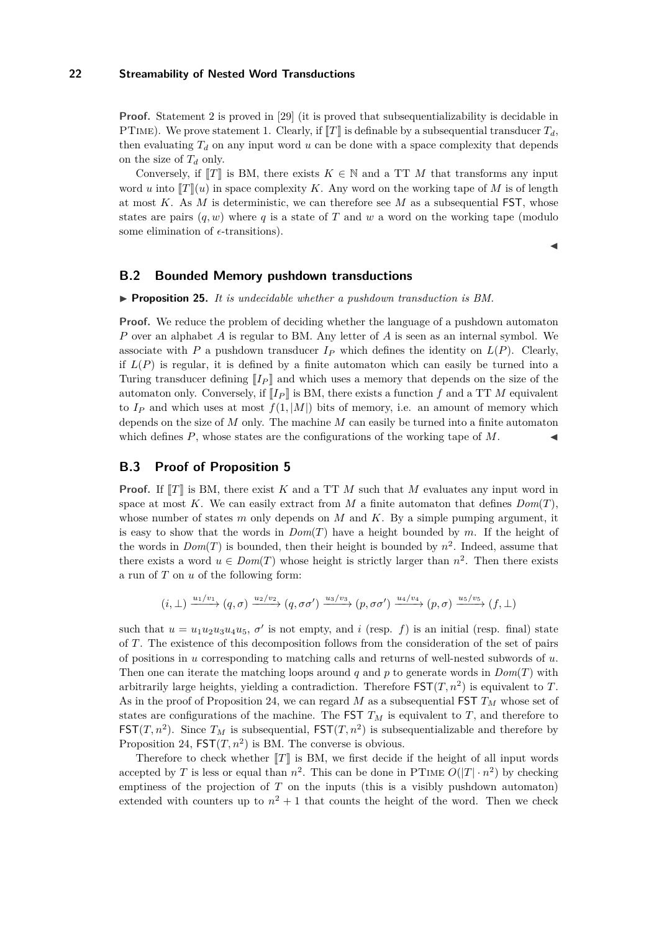**Proof.** Statement 2 is proved in [29] (it is proved that subsequentializability is decidable in PTIME). We prove statement 1. Clearly, if  $\llbracket T \rrbracket$  is definable by a subsequential transducer  $T_d$ , then evaluating  $T_d$  on any input word  $u$  can be done with a space complexity that depends on the size of *T<sup>d</sup>* only.

Conversely, if  $\llbracket T \rrbracket$  is BM, there exists  $K \in \mathbb{N}$  and a TT M that transforms any input word *u* into  $T(x)$  in space complexity *K*. Any word on the working tape of *M* is of length at most *K*. As *M* is deterministic, we can therefore see *M* as a subsequential FST, whose states are pairs  $(q, w)$  where q is a state of T and w a word on the working tape (modulo some elimination of  $\epsilon$ -transitions).

◭

# **B.2 Bounded Memory pushdown transductions**

◮ **Proposition 25.** *It is undecidable whether a pushdown transduction is BM.*

**Proof.** We reduce the problem of deciding whether the language of a pushdown automaton *P* over an alphabet *A* is regular to BM. Any letter of *A* is seen as an internal symbol. We associate with *P* a pushdown transducer  $I_P$  which defines the identity on  $L(P)$ . Clearly, if  $L(P)$  is regular, it is defined by a finite automaton which can easily be turned into a Turing transducer defining  $\llbracket I_P \rrbracket$  and which uses a memory that depends on the size of the automaton only. Conversely, if  $\llbracket I_P \rrbracket$  is BM, there exists a function f and a TT M equivalent to  $I_P$  and which uses at most  $f(1, |M|)$  bits of memory, i.e. an amount of memory which depends on the size of *M* only. The machine *M* can easily be turned into a finite automaton which defines  $P$ , whose states are the configurations of the working tape of  $M$ .

# **B.3 Proof of Proposition [5](#page-7-0)**

**Proof.** If  $\llbracket T \rrbracket$  is BM, there exist *K* and a TT *M* such that *M* evaluates any input word in space at most K. We can easily extract from M a finite automaton that defines  $Dom(T)$ , whose number of states *m* only depends on *M* and *K*. By a simple pumping argument, it is easy to show that the words in *Dom*(*T*) have a height bounded by *m*. If the height of the words in  $Dom(T)$  is bounded, then their height is bounded by  $n^2$ . Indeed, assume that there exists a word  $u \in Dom(T)$  whose height is strictly larger than  $n^2$ . Then there exists a run of *T* on *u* of the following form:

$$
(i, \perp) \xrightarrow{u_1/v_1} (q, \sigma) \xrightarrow{u_2/v_2} (q, \sigma\sigma') \xrightarrow{u_3/v_3} (p, \sigma\sigma') \xrightarrow{u_4/v_4} (p, \sigma) \xrightarrow{u_5/v_5} (f, \perp)
$$

such that  $u = u_1 u_2 u_3 u_4 u_5$ ,  $\sigma'$  is not empty, and *i* (resp. *f*) is an initial (resp. final) state of *T*. The existence of this decomposition follows from the consideration of the set of pairs of positions in *u* corresponding to matching calls and returns of well-nested subwords of *u*. Then one can iterate the matching loops around *q* and *p* to generate words in  $Dom(T)$  with arbitrarily large heights, yielding a contradiction. Therefore  $\text{FST}(T, n^2)$  is equivalent to T. As in the proof of Proposition [24,](#page-21-2) we can regard *M* as a subsequential FST *T<sup>M</sup>* whose set of states are configurations of the machine. The FST  $T_M$  is equivalent to  $T$ , and therefore to  $\mathsf{FST}(T,n^2)$ . Since  $T_M$  is subsequential,  $\mathsf{FST}(T,n^2)$  is subsequentializable and therefore by Proposition [24,](#page-21-2)  $\textsf{FST}(T,n^2)$  is BM. The converse is obvious.

Therefore to check whether  $\llbracket T \rrbracket$  is BM, we first decide if the height of all input words accepted by *T* is less or equal than  $n^2$ . This can be done in PTIME  $O(|T| \cdot n^2)$  by checking emptiness of the projection of *T* on the inputs (this is a visibly pushdown automaton) extended with counters up to  $n^2 + 1$  that counts the height of the word. Then we check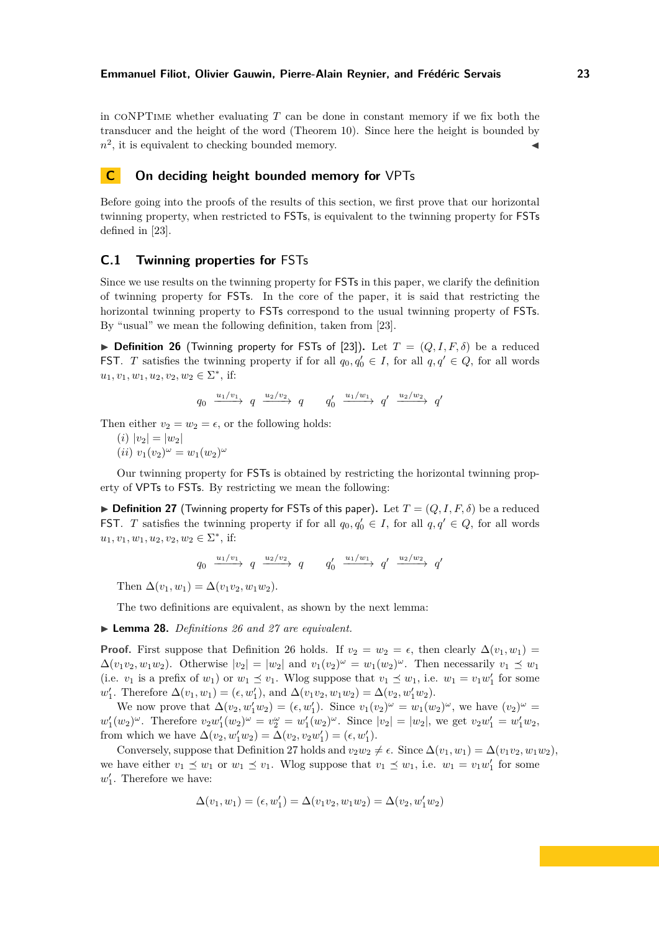in coNPTime whether evaluating *T* can be done in constant memory if we fix both the transducer and the height of the word (Theorem [10\)](#page-8-1). Since here the height is bounded by  $n^2$ , it is equivalent to checking bounded memory.

# **C On deciding height bounded memory for** VPTs

Before going into the proofs of the results of this section, we first prove that our horizontal twinning property, when restricted to FSTs, is equivalent to the twinning property for FSTs defined in [23].

## <span id="page-23-0"></span>**C.1 Twinning properties for** FSTs

Since we use results on the twinning property for FSTs in this paper, we clarify the definition of twinning property for FSTs. In the core of the paper, it is said that restricting the horizontal twinning property to FSTs correspond to the usual twinning property of FSTs. By "usual" we mean the following definition, taken from [23].

<span id="page-23-1"></span> $\triangleright$  **Definition 26** (Twinning property for FSTs of [23]). Let  $T = (Q, I, F, \delta)$  be a reduced **FST**. *T* satisfies the twinning property if for all  $q_0, q'_0 \in I$ , for all  $q, q' \in Q$ , for all words  $u_1, v_1, w_1, u_2, v_2, w_2 \in \Sigma^*$ , if:

$$
q_0 \xrightarrow{u_1/v_1} q \xrightarrow{u_2/v_2} q \qquad q'_0 \xrightarrow{u_1/w_1} q' \xrightarrow{u_2/w_2} q'
$$

Then either  $v_2 = w_2 = \epsilon$ , or the following holds:

 $(i) |v_2| = |w_2|$ 

 $(iii)$   $v_1(v_2)^{\omega} = w_1(w_2)^{\omega}$ 

Our twinning property for FSTs is obtained by restricting the horizontal twinning property of VPTs to FSTs. By restricting we mean the following:

<span id="page-23-2"></span> $\triangleright$  **Definition 27** (Twinning property for FSTs of this paper). Let  $T = (Q, I, F, \delta)$  be a reduced **FST**. *T* satisfies the twinning property if for all  $q_0, q'_0 \in I$ , for all  $q, q' \in Q$ , for all words  $u_1, v_1, w_1, u_2, v_2, w_2 \in \Sigma^*$ , if:

$$
q_0 \xrightarrow{u_1/v_1} q \xrightarrow{u_2/v_2} q \qquad q'_0 \xrightarrow{u_1/w_1} q' \xrightarrow{u_2/w_2} q'
$$

Then  $\Delta(v_1, w_1) = \Delta(v_1v_2, w_1w_2)$ .

The two definitions are equivalent, as shown by the next lemma:

◮ **Lemma 28.** *Definitions [26](#page-23-1) and [27](#page-23-2) are equivalent.*

**Proof.** First suppose that Definition [26](#page-23-1) holds. If  $v_2 = w_2 = \epsilon$ , then clearly  $\Delta(v_1, w_1) =$  $\Delta(v_1v_2, w_1w_2)$ . Otherwise  $|v_2| = |w_2|$  and  $v_1(v_2)^\omega = w_1(w_2)^\omega$ . Then necessarily  $v_1 \preceq w_1$ (i.e.  $v_1$  is a prefix of  $w_1$ ) or  $w_1 \preceq v_1$ . Wlog suppose that  $v_1 \preceq w_1$ , i.e.  $w_1 = v_1w'_1$  for some  $w'_1$ . Therefore  $\Delta(v_1, w_1) = (\epsilon, w'_1)$ , and  $\Delta(v_1v_2, w_1w_2) = \Delta(v_2, w'_1w_2)$ .

We now prove that  $\Delta(v_2, w'_1w_2) = (\epsilon, w'_1)$ . Since  $v_1(v_2)^\omega = w_1(w_2)^\omega$ , we have  $(v_2)^\omega =$  $w'_1(w_2)^{\omega}$ . Therefore  $v_2w'_1(w_2)^{\omega} = v_2^{\omega} = w'_1(w_2)^{\omega}$ . Since  $|v_2| = |w_2|$ , we get  $v_2w'_1 = w'_1w_2$ , from which we have  $\Delta(v_2, w'_1w_2) = \Delta(v_2, v_2w'_1) = (\epsilon, w'_1)$ .

Conversely, suppose that Definition [27](#page-23-2) holds and  $v_2w_2 \neq \epsilon$ . Since  $\Delta(v_1, w_1) = \Delta(v_1v_2, w_1w_2)$ , we have either  $v_1 \preceq w_1$  or  $w_1 \preceq v_1$ . Wlog suppose that  $v_1 \preceq w_1$ , i.e.  $w_1 = v_1 w_1'$  for some  $w'_1$ . Therefore we have:

$$
\Delta(v_1, w_1) = (\epsilon, w_1') = \Delta(v_1v_2, w_1w_2) = \Delta(v_2, w_1'w_2)
$$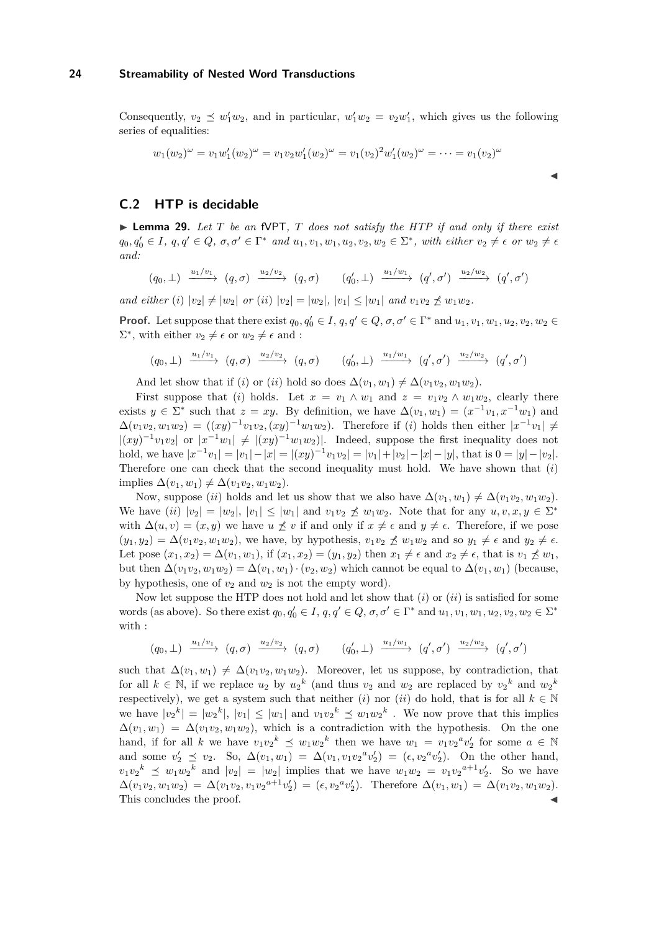Consequently,  $v_2 \preceq w_1' w_2$ , and in particular,  $w_1' w_2 = v_2 w_1'$ , which gives us the following series of equalities:

◭

$$
w_1(w_2)^{\omega} = v_1 w_1'(w_2)^{\omega} = v_1 v_2 w_1'(w_2)^{\omega} = v_1(v_2)^2 w_1'(w_2)^{\omega} = \dots = v_1(v_2)^{\omega}
$$

# <span id="page-24-0"></span>**C.2 HTP is decidable**

◮ **Lemma 29.** *Let T be an* fVPT*, T does not satisfy the HTP if and only if there exist*  $q_0, q'_0 \in I$ ,  $q, q' \in Q$ ,  $\sigma, \sigma' \in \Gamma^*$  and  $u_1, v_1, w_1, u_2, v_2, w_2 \in \Sigma^*$ , with either  $v_2 \neq \epsilon$  or  $w_2 \neq \epsilon$ *and:*

 $(q_0,\perp) \xrightarrow{u_1/v_1} (q,\sigma) \xrightarrow{u_2/v_2} (q,\sigma) \qquad (q_0',\perp) \xrightarrow{u_1/w_1} (q',\sigma') \xrightarrow{u_2/w_2} (q',\sigma')$ 

*and either* (*i*)  $|v_2| \neq |w_2|$  *or* (*ii*)  $|v_2| = |w_2|$ ,  $|v_1| \leq |w_1|$  *and*  $v_1v_2 \nless v_1w_2$ .

**Proof.** Let suppose that there exist  $q_0, q'_0 \in I$ ,  $q, q' \in Q$ ,  $\sigma, \sigma' \in \Gamma^*$  and  $u_1, v_1, w_1, u_2, v_2, w_2 \in \Gamma^*$  $\Sigma^*$ , with either  $v_2 \neq \epsilon$  or  $w_2 \neq \epsilon$  and :

$$
(q_0, \perp) \xrightarrow{u_1/v_1} (q, \sigma) \xrightarrow{u_2/v_2} (q, \sigma) \qquad (q'_0, \perp) \xrightarrow{u_1/w_1} (q', \sigma') \xrightarrow{u_2/w_2} (q', \sigma')
$$

And let show that if (*i*) or (*ii*) hold so does  $\Delta(v_1, w_1) \neq \Delta(v_1v_2, w_1w_2)$ .

First suppose that (*i*) holds. Let  $x = v_1 \wedge w_1$  and  $z = v_1v_2 \wedge w_1w_2$ , clearly there exists  $y \in \Sigma^*$  such that  $z = xy$ . By definition, we have  $\Delta(v_1, w_1) = (x^{-1}v_1, x^{-1}w_1)$  and  $\Delta(v_1v_2, w_1w_2) = ((xy)^{-1}v_1v_2, (xy)^{-1}w_1w_2)$ . Therefore if (*i*) holds then either  $|x^{-1}v_1| \neq$  $|(xy)^{-1}v_1v_2|$  or  $|x^{-1}w_1| \neq |(xy)^{-1}w_1w_2|$ . Indeed, suppose the first inequality does not hold, we have  $|x^{-1}v_1| = |v_1| - |x| = |(xy)^{-1}v_1v_2| = |v_1| + |v_2| - |x| - |y|$ , that is  $0 = |y| - |v_2|$ . Therefore one can check that the second inequality must hold. We have shown that (*i*)  $\text{implies } \Delta(v_1, w_1) \neq \Delta(v_1v_2, w_1w_2).$ 

Now, suppose (*ii*) holds and let us show that we also have  $\Delta(v_1, w_1) \neq \Delta(v_1v_2, w_1w_2)$ . We have  $(ii) |v_2| = |w_2|, |v_1| \le |w_1|$  and  $v_1v_2 \nle u_1w_2$ . Note that for any  $u, v, x, y \in \Sigma^*$ with  $\Delta(u, v) = (x, y)$  we have  $u \nleq v$  if and only if  $x \neq \epsilon$  and  $y \neq \epsilon$ . Therefore, if we pose  $(y_1, y_2) = \Delta(v_1v_2, w_1w_2)$ , we have, by hypothesis,  $v_1v_2 \npreceq w_1w_2$  and so  $y_1 \neq \epsilon$  and  $y_2 \neq \epsilon$ . Let pose  $(x_1, x_2) = \Delta(v_1, w_1)$ , if  $(x_1, x_2) = (y_1, y_2)$  then  $x_1 \neq \epsilon$  and  $x_2 \neq \epsilon$ , that is  $v_1 \not\preceq w_1$ , but then  $\Delta(v_1v_2, w_1w_2) = \Delta(v_1, w_1) \cdot (v_2, w_2)$  which cannot be equal to  $\Delta(v_1, w_1)$  (because, by hypothesis, one of  $v_2$  and  $w_2$  is not the empty word).

Now let suppose the HTP does not hold and let show that (*i*) or (*ii*) is satisfied for some words (as above). So there exist  $q_0, q'_0 \in I$ ,  $q, q' \in Q$ ,  $\sigma, \sigma' \in \Gamma^*$  and  $u_1, v_1, w_1, u_2, v_2, w_2 \in \Sigma^*$ with :

$$
(q_0, \perp) \xrightarrow{u_1/v_1} (q, \sigma) \xrightarrow{u_2/v_2} (q, \sigma) \qquad (q'_0, \perp) \xrightarrow{u_1/w_1} (q', \sigma') \xrightarrow{u_2/w_2} (q', \sigma')
$$

such that  $\Delta(v_1, w_1) \neq \Delta(v_1v_2, w_1w_2)$ . Moreover, let us suppose, by contradiction, that for all  $k \in \mathbb{N}$ , if we replace  $u_2$  by  $u_2^k$  (and thus  $v_2$  and  $w_2$  are replaced by  $v_2^k$  and  $w_2^k$ respectively), we get a system such that neither (*i*) nor (*ii*) do hold, that is for all  $k \in \mathbb{N}$ we have  $|v_2^k| = |w_2^k|, |v_1| \le |w_1|$  and  $v_1v_2^k \le w_1w_2^k$ . We now prove that this implies  $\Delta(v_1, w_1) = \Delta(v_1v_2, w_1w_2)$ , which is a contradiction with the hypothesis. On the one hand, if for all *k* we have  $v_1v_2^k \preceq w_1w_2^k$  then we have  $w_1 = v_1v_2^av_2^{\prime}$  for some  $a \in \mathbb{N}$ and some  $v'_2 \preceq v_2$ . So,  $\Delta(v_1, w_1) = \Delta(v_1, v_1v_2^av'_2) = (\epsilon, v_2^av'_2)$ . On the other hand,  $v_1v_2^k \leq w_1w_2^k$  and  $|v_2| = |w_2|$  implies that we have  $w_1w_2 = v_1v_2^{a+1}v_2'$ . So we have  $\Delta(v_1v_2, w_1w_2) = \Delta(v_1v_2, v_1v_2^{a+1}v_2') = (\epsilon, v_2^av_2').$  Therefore  $\Delta(v_1, w_1) = \Delta(v_1v_2, w_1w_2).$ This concludes the proof.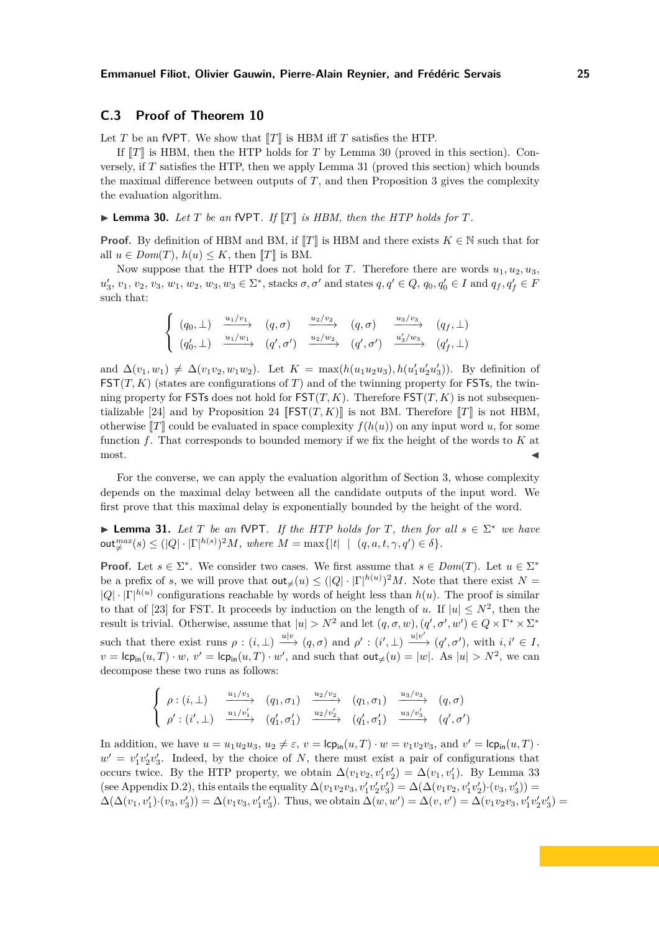# **C.3 Proof of Theorem [10](#page-8-1)**

Let *T* be an fVPT. We show that  $T$  is HBM iff *T* satisfies the HTP.

If  $\llbracket T \rrbracket$  is HBM, then the HTP holds for *T* by Lemma [30](#page-25-0) (proved in this section). Conversely, if *T* satisfies the HTP, then we apply Lemma [31](#page-25-1) (proved this section) which bounds the maximal difference between outputs of *T*, and then Proposition [3](#page-6-5) gives the complexity the evaluation algorithm.

<span id="page-25-0"></span> $\blacktriangleright$  **Lemma 30.** Let *T* be an fVPT. If  $\llbracket T \rrbracket$  is HBM, then the HTP holds for *T*.

**Proof.** By definition of HBM and BM, if  $T\|T\|$  is HBM and there exists  $K \in \mathbb{N}$  such that for all  $u \in Dom(T)$ ,  $h(u) \leq K$ , then  $T$  is BM.

Now suppose that the HTP does not hold for *T*. Therefore there are words  $u_1, u_2, u_3$ ,  $u'_3, v_1, v_2, v_3, w_1, w_2, w_3, w_3 \in \Sigma^*$ , stacks  $\sigma, \sigma'$  and states  $q, q' \in Q$ ,  $q_0, q'_0 \in I$  and  $q_f, q'_f \in F$ such that:

$$
\begin{cases}\n(q_0, \perp) & \xrightarrow{u_1/v_1} (q, \sigma) & \xrightarrow{u_2/v_2} (q, \sigma) & \xrightarrow{u_3/v_3} (q_f, \perp) \\
(q'_0, \perp) & \xrightarrow{u_1/w_1} (q', \sigma') & \xrightarrow{u_2/w_2} (q', \sigma') & \xrightarrow{u'_3/w_3} (q'_f, \perp)\n\end{cases}
$$

and  $\Delta(v_1, w_1) \neq \Delta(v_1v_2, w_1w_2)$ . Let  $K = \max(h(u_1u_2u_3), h(u'_1u'_2u'_3))$ . By definition of  $\mathsf{FST}(T,K)$  (states are configurations of *T*) and of the twinning property for FSTs, the twinning property for FSTs does not hold for  $\text{FST}(T, K)$ . Therefore  $\text{FST}(T, K)$  is not subsequen-tializable [24] and by Proposition [24](#page-21-2)  $\left[\mathsf{FST}(T,K)\right]$  is not BM. Therefore  $\left[\![T]\!]\!\right]$  is not HBM, otherwise  $\llbracket T \rrbracket$  could be evaluated in space complexity  $f(h(u))$  on any input word *u*, for some function *f*. That corresponds to bounded memory if we fix the height of the words to *K* at  $\blacksquare$  most.

For the converse, we can apply the evaluation algorithm of Section [3,](#page-5-1) whose complexity depends on the maximal delay between all the candidate outputs of the input word. We first prove that this maximal delay is exponentially bounded by the height of the word.

<span id="page-25-1"></span>► **Lemma 31.** Let  $T$  be an fVPT. If the HTP holds for  $T$ , then for all  $s \in \Sigma^*$  we have  $\text{out}_{\neq}^{max}(s) \leq (|Q| \cdot |\Gamma|^{h(s)})^2 M$ *, where*  $M = \max\{|t| \mid (q, a, t, \gamma, q') \in \delta\}.$ 

**Proof.** Let  $s \in \Sigma^*$ . We consider two cases. We first assume that  $s \in Dom(T)$ . Let  $u \in \Sigma^*$ be a prefix of *s*, we will prove that  $\text{out}_{\neq}(u) \leq (|Q| \cdot |\Gamma|^{h(u)})^2 M$ . Note that there exist  $N =$  $|Q| \cdot |\Gamma|^{h(u)}$  configurations reachable by words of height less than  $h(u)$ . The proof is similar to that of [23] for FST. It proceeds by induction on the length of *u*. If  $|u| \leq N^2$ , then the result is trivial. Otherwise, assume that  $|u| > N^2$  and let  $(q, \sigma, w)$ ,  $(q', \sigma', w') \in Q \times \Gamma^* \times \Sigma^*$ such that there exist runs  $\rho : (i, \perp) \xrightarrow{u|v} (q, \sigma)$  and  $\rho' : (i', \perp) \xrightarrow{u|v'} (q', \sigma')$ , with  $i, i' \in I$ ,  $v = \mathsf{lcp}_{\mathsf{in}}(u,T) \cdot w$ ,  $v' = \mathsf{lcp}_{\mathsf{in}}(u,T) \cdot w'$ , and such that  $\mathsf{out}_{\neq}(u) = |w|$ . As  $|u| > N^2$ , we can decompose these two runs as follows:

$$
\begin{cases}\n\rho:(i,\perp) \quad \xrightarrow{u_1/v_1} \quad (q_1,\sigma_1) \quad \xrightarrow{u_2/v_2} \quad (q_1,\sigma_1) \quad \xrightarrow{u_3/v_3} \quad (q,\sigma) \\
\rho':(i',\perp) \quad \xrightarrow{u_1/v'_1} \quad (q'_1,\sigma'_1) \quad \xrightarrow{u_2/v'_2} \quad (q'_1,\sigma'_1) \quad \xrightarrow{u_3/v'_3} \quad (q',\sigma')\n\end{cases}
$$

In addition, we have  $u = u_1 u_2 u_3$ ,  $u_2 \neq \varepsilon$ ,  $v = \text{lcp}_{\text{in}}(u, T) \cdot w = v_1 v_2 v_3$ , and  $v' = \text{lcp}_{\text{in}}(u, T) \cdot w$  $w' = v'_1v'_2v'_3$ . Indeed, by the choice of *N*, there must exist a pair of configurations that occurs twice. By the HTP property, we obtain  $\Delta(v_1v_2, v'_1v'_2) = \Delta(v_1, v'_1)$ . By Lemma [33](#page-29-0)  $($ see Appendix D.2 $)$ , this entails the equality  $\Delta(v_1v_2v_3, v'_1v'_2v'_3) = \Delta(\Delta(v_1v_2, v'_1v'_2) \cdot (v_3, v'_3)) =$  $\Delta(\Delta(v_1, v'_1) \cdot (v_3, v'_3)) = \Delta(v_1v_3, v'_1v'_3)$ . Thus, we obtain  $\Delta(w, w') = \Delta(v_1v') = \Delta(v_1v_2v_3, v'_1v'_2v'_3)$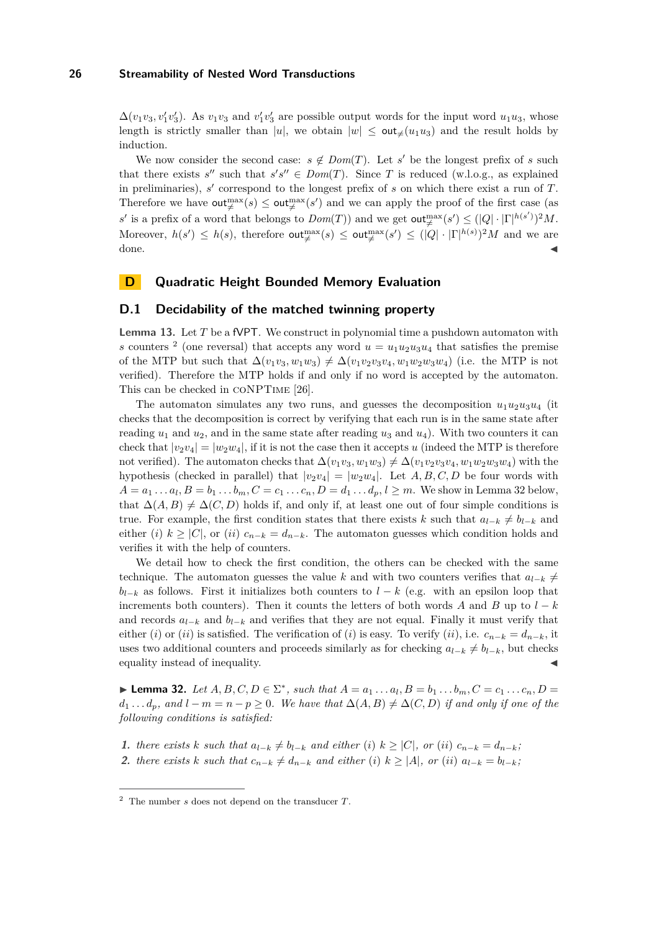$\Delta(v_1v_3, v'_1v'_3)$ . As  $v_1v_3$  and  $v'_1v'_3$  are possible output words for the input word  $u_1u_3$ , whose length is strictly smaller than |u|, we obtain  $|w| \leq \text{out}_{\neq}(u_1u_3)$  and the result holds by induction.

We now consider the second case:  $s \notin Dom(T)$ . Let *s'* be the longest prefix of *s* such that there exists  $s''$  such that  $s's'' \in Dom(T)$ . Since T is reduced (w.l.o.g., as explained in preliminaries), *s* ′ correspond to the longest prefix of *s* on which there exist a run of *T*. Therefore we have  $\text{out}^{\max}_{\neq}(s) \leq \text{out}^{\max}_{\neq}(s')$  and we can apply the proof of the first case (as *s*' is a prefix of a word that belongs to  $Dom(T)$  and we get  $out_{\neq}^{\max}(s') \leq (|Q| \cdot |\Gamma|^{h(s')})^2 M$ . Moreover,  $h(s') \leq h(s)$ , therefore  $\text{out}_{\neq}^{\max}(s) \leq \text{out}_{\neq}^{\max}(s') \leq (|Q| \cdot |\Gamma|^{h(s)})^2 M$  and we are  $\blacksquare$  done.

# <span id="page-26-0"></span>**D Quadratic Height Bounded Memory Evaluation**

## **D.1 Decidability of the matched twinning property**

**Lemma [13.](#page-10-1)** Let *T* be a fVPT. We construct in polynomial time a pushdown automaton with s counters <sup>2</sup> (one reversal) that accepts any word  $u = u_1 u_2 u_3 u_4$  that satisfies the premise of the MTP but such that  $\Delta(v_1v_3, w_1w_3) \neq \Delta(v_1v_2v_3v_4, w_1w_2w_3w_4)$  (i.e. the MTP is not verified). Therefore the MTP holds if and only if no word is accepted by the automaton. This can be checked in coNPTime [26].

The automaton simulates any two runs, and guesses the decomposition  $u_1u_2u_3u_4$  (it checks that the decomposition is correct by verifying that each run is in the same state after reading  $u_1$  and  $u_2$ , and in the same state after reading  $u_3$  and  $u_4$ ). With two counters it can check that  $|v_2v_4| = |w_2w_4|$ , if it is not the case then it accepts *u* (indeed the MTP is therefore not verified). The automaton checks that  $\Delta(v_1v_3, w_1w_3) \neq \Delta(v_1v_2v_3v_4, w_1w_2w_3w_4)$  with the hypothesis (checked in parallel) that  $|v_2v_4| = |w_2w_4|$ . Let  $A, B, C, D$  be four words with  $A = a_1 \dots a_l$ ,  $B = b_1 \dots b_m$ ,  $C = c_1 \dots c_n$ ,  $D = d_1 \dots d_p$ ,  $l \ge m$ . We show in Lemma [32](#page-26-1) below, that  $\Delta(A, B) \neq \Delta(C, D)$  holds if, and only if, at least one out of four simple conditions is true. For example, the first condition states that there exists *k* such that  $a_{l-k} \neq b_{l-k}$  and either (*i*)  $k \geq |C|$ , or (*ii*)  $c_{n-k} = d_{n-k}$ . The automaton guesses which condition holds and verifies it with the help of counters.

We detail how to check the first condition, the others can be checked with the same technique. The automaton guesses the value k and with two counters verifies that  $a_{l-k} \neq$  $b_{l-k}$  as follows. First it initializes both counters to  $l-k$  (e.g. with an epsilon loop that increments both counters). Then it counts the letters of both words *A* and *B* up to  $l - k$ and records  $a_{l-k}$  and  $b_{l-k}$  and verifies that they are not equal. Finally it must verify that either (*i*) or (*ii*) is satisfied. The verification of (*i*) is easy. To verify (*ii*), i.e.  $c_{n-k} = d_{n-k}$ , it uses two additional counters and proceeds similarly as for checking  $a_{l-k} \neq b_{l-k}$ , but checks equality instead of inequality.

<span id="page-26-1"></span>► **Lemma 32.** *Let*  $A, B, C, D \in \Sigma^*$ , *such that*  $A = a_1 ... a_l, B = b_1 ... b_m, C = c_1 ... c_n, D =$  $d_1 \ldots d_p$ , and  $l - m = n - p \geq 0$ . We have that  $\Delta(A, B) \neq \Delta(C, D)$  *if and only if one of the following conditions is satisfied:*

1. there exists k such that  $a_{l-k} \neq b_{l-k}$  and either (i)  $k \geq |C|$ , or (ii)  $c_{n-k} = d_{n-k}$ ; 2. there exists k such that  $c_{n-k} \neq d_{n-k}$  and either (i)  $k \geq |A|$ , or (ii)  $a_{l-k} = b_{l-k}$ ;

<sup>2</sup> The number *s* does not depend on the transducer *T*.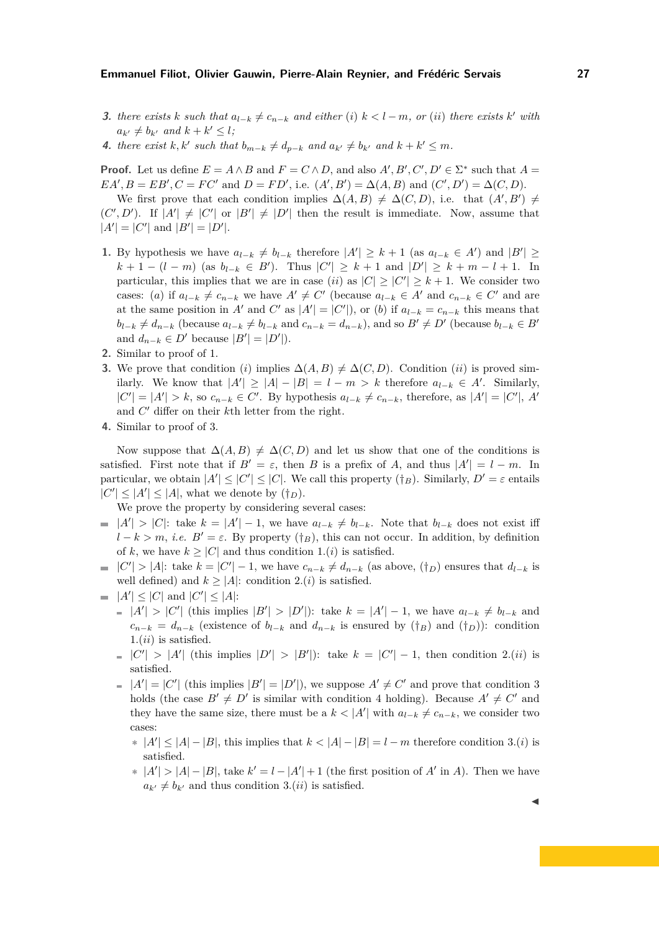- **3.** there exists k such that  $a_{l-k} \neq c_{n-k}$  and either (i)  $k < l-m$ , or (ii) there exists k' with  $a_{k'} \neq b_{k'}$  and  $k + k' \leq l$ ;
- **4.** *there exist k,k' such that*  $b_{m-k} \neq d_{p-k}$  *and*  $a_{k'} \neq b_{k'}$  *and*  $k + k' \leq m$ *.*

**Proof.** Let us define  $E = A \wedge B$  and  $F = C \wedge D$ , and also  $A', B', C', D' \in \Sigma^*$  such that  $A =$  $EA'$ ,  $B = EB'$ ,  $C = FC'$  and  $D = FD'$ , i.e.  $(A', B') = \Delta(A, B)$  and  $(C', D') = \Delta(C, D)$ .

We first prove that each condition implies  $\Delta(A, B) \neq \Delta(C, D)$ , i.e. that  $(A', B') \neq$  $(C', D')$ . If  $|A'| \neq |C'|$  or  $|B'| \neq |D'|$  then the result is immediate. Now, assume that  $|A'| = |C'|$  and  $|B'| = |D'|$ .

- **1.** By hypothesis we have  $a_{l-k} \neq b_{l-k}$  therefore  $|A'| \geq k+1$  (as  $a_{l-k} \in A'$ ) and  $|B'| \geq$  $k + 1 - (l - m)$  (as  $b_{l-k} \in B'$ ). Thus  $|C'| \geq k + 1$  and  $|D'| \geq k + m - l + 1$ . In particular, this implies that we are in case (*ii*) as  $|C| \geq |C'| \geq k + 1$ . We consider two cases: (*a*) if  $a_{l-k} \neq c_{n-k}$  we have  $A' \neq C'$  (because  $a_{l-k} \in A'$  and  $c_{n-k} \in C'$  and are at the same position in *A'* and *C'* as  $|A'| = |C'|$ , or (*b*) if  $a_{l-k} = c_{n-k}$  this means that  $b_{l-k} \neq d_{n-k}$  (because  $a_{l-k} \neq b_{l-k}$  and  $c_{n-k} = d_{n-k}$ ), and so  $B' \neq D'$  (because  $b_{l-k} \in B'$ and  $d_{n-k} \in D'$  because  $|B'| = |D'|$ .
- **2.** Similar to proof of 1.
- **3.** We prove that condition (*i*) implies  $\Delta(A, B) \neq \Delta(C, D)$ . Condition (*ii*) is proved similarly. We know that  $|A'| \geq |A| - |B| = l - m > k$  therefore  $a_{l-k} \in A'$ . Similarly,  $|C'| = |A'| > k$ , so  $c_{n-k} \in C'$ . By hypothesis  $a_{l-k} \neq c_{n-k}$ , therefore, as  $|A'| = |C'|$ , A<sup>*'*</sup> and *C* ′ differ on their *k*th letter from the right.
- **4.** Similar to proof of 3.

Now suppose that  $\Delta(A, B) \neq \Delta(C, D)$  and let us show that one of the conditions is satisfied. First note that if  $B' = \varepsilon$ , then *B* is a prefix of *A*, and thus  $|A'| = l - m$ . In particular, we obtain  $|A'| \leq |C'| \leq |C|$ . We call this property  $({\dagger_B})$ . Similarly,  $D' = \varepsilon$  entails  $|C'| \leq |A'| \leq |A|$ , what we denote by  $(\dagger_D)$ .

We prove the property by considering several cases:

- $|A'| > |C|$ : take  $k = |A'| 1$ , we have  $a_{l-k} \neq b_{l-k}$ . Note that  $b_{l-k}$  does not exist iff  $l - k > m$ , *i.e.*  $B' = \varepsilon$ . By property ( $\dagger_B$ ), this can not occur. In addition, by definition of *k*, we have  $k > |C|$  and thus condition 1.(*i*) is satisfied.
- $|C'|$  > |A|: take  $k = |C'| 1$ , we have  $c_{n-k} \neq d_{n-k}$  (as above,  $(\dagger_D)$  ensures that  $d_{l-k}$  is well defined) and  $k \geq |A|$ : condition 2*.*(*i*) is satisfied.
- $|A'| \leq |C|$  and  $|C'| \leq |A|$ :
	- $|A'| > |C'|$  (this implies  $|B'| > |D'|$ ): take  $k = |A'| 1$ , we have  $a_{l-k} \neq b_{l-k}$  and  $c_{n-k} = d_{n-k}$  (existence of  $b_{l-k}$  and  $d_{n-k}$  is ensured by (†*B*) and (†*D*)): condition 1*.*(*ii*) is satisfied.
	- $|C'|$  > |A'| (this implies  $|D'|$  > |B'|): take  $k = |C'| 1$ , then condition 2*.*(*ii*) is satisfied.
	- $|A'| = |C'|$  (this implies  $|B'| = |D'|$ ), we suppose  $A' \neq C'$  and prove that condition 3 holds (the case  $B' \neq D'$  is similar with condition 4 holding). Because  $A' \neq C'$  and they have the same size, there must be a  $k < |A'|$  with  $a_{l-k} \neq c_{n-k}$ , we consider two cases:
		- **∗**  $|A'|$  ≤  $|A| |B|$ , this implies that  $k < |A| |B| = l m$  therefore condition 3*.*(*i*) is satisfied.
		- **∗**  $|A'|$  >  $|A| |B|$ , take  $k' = l |A'| + 1$  (the first position of  $A'$  in  $A$ ). Then we have  $a_{k'} \neq b_{k'}$  and thus condition 3*.(ii)* is satisfied.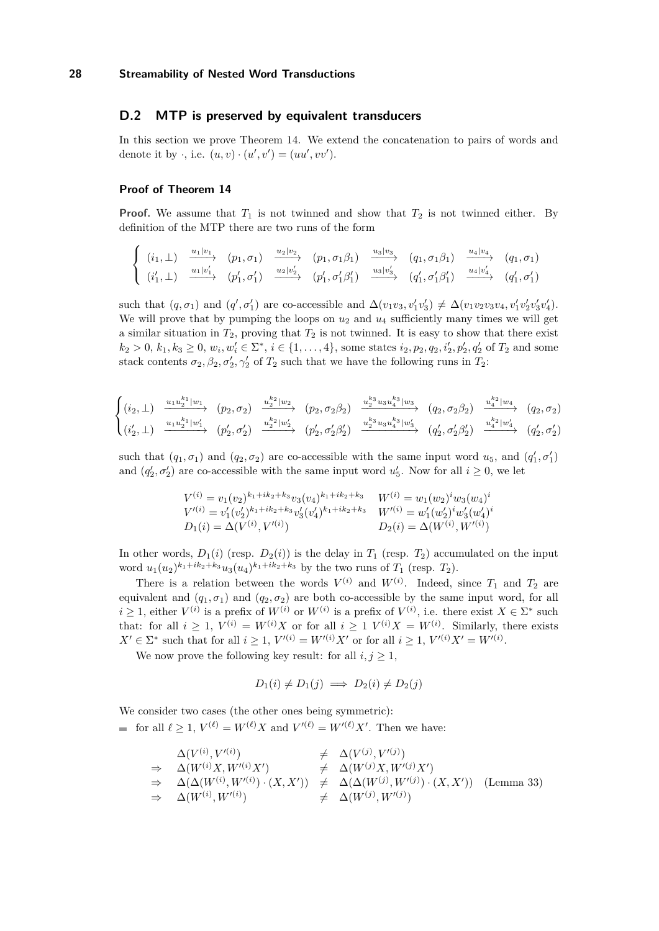# <span id="page-28-0"></span>**D.2 MTP is preserved by equivalent transducers**

In this section we prove Theorem [14.](#page-10-2) We extend the concatenation to pairs of words and denote it by  $\cdot$ , i.e.  $(u, v) \cdot (u', v') = (uu', vv')$ .

## **Proof of Theorem [14](#page-10-2)**

**Proof.** We assume that  $T_1$  is not twinned and show that  $T_2$  is not twinned either. By definition of the MTP there are two runs of the form

$$
\begin{cases}\n(i_1, \perp) \xrightarrow{u_1|v_1} (p_1, \sigma_1) \xrightarrow{u_2|v_2} (p_1, \sigma_1 \beta_1) \xrightarrow{u_3|v_3} (q_1, \sigma_1 \beta_1) \xrightarrow{u_4|v_4} (q_1, \sigma_1) \\
(i'_1, \perp) \xrightarrow{u_1|v'_1} (p'_1, \sigma'_1) \xrightarrow{u_2|v'_2} (p'_1, \sigma'_1 \beta'_1) \xrightarrow{u_3|v'_3} (q'_1, \sigma'_1 \beta'_1) \xrightarrow{u_4|v'_4} (q'_1, \sigma'_1)\n\end{cases}
$$

such that  $(q, \sigma_1)$  and  $(q', \sigma'_1)$  are co-accessible and  $\Delta(v_1v_3, v'_1v'_3) \neq \Delta(v_1v_2v_3v_4, v'_1v'_2v'_3v'_4)$ . We will prove that by pumping the loops on  $u_2$  and  $u_4$  sufficiently many times we will get a similar situation in  $T_2$ , proving that  $T_2$  is not twinned. It is easy to show that there exist  $k_2 > 0, k_1, k_3 \ge 0, w_i, w'_i \in \Sigma^*, i \in \{1, ..., 4\}$ , some states  $i_2, p_2, q_2, i'_2, p'_2, q'_2$  of  $T_2$  and some stack contents  $\sigma_2$ ,  $\beta_2$ ,  $\sigma'_2$ ,  $\gamma'_2$  of  $T_2$  such that we have the following runs in  $T_2$ :

$$
\begin{cases}\n(i_2, \perp) \xrightarrow{u_1 u_2^{k_1} |w_1} (p_2, \sigma_2) \xrightarrow{u_2^{k_2} |w_2} (p_2, \sigma_2 \beta_2) \xrightarrow{u_2^{k_3} u_3 u_4^{k_3} |w_3} (q_2, \sigma_2 \beta_2) \xrightarrow{u_4^{k_2} |w_4} (q_2, \sigma_2) \\
(i_2', \perp) \xrightarrow{u_1 u_2^{k_1} |w_1'} (p_2', \sigma_2') \xrightarrow{u_2^{k_2} |w_2'} (p_2', \sigma_2' \beta_2') \xrightarrow{u_2^{k_3} u_3 u_4^{k_3} |w_3'} (q_2', \sigma_2' \beta_2') \xrightarrow{u_4^{k_2} |w_4'} (q_2', \sigma_2')\n\end{cases}
$$

such that  $(q_1, \sigma_1)$  and  $(q_2, \sigma_2)$  are co-accessible with the same input word  $u_5$ , and  $(q'_1, \sigma'_1)$ and  $(q'_2, \sigma'_2)$  are co-accessible with the same input word  $u'_3$ . Now for all  $i \geq 0$ , we let

$$
V^{(i)} = v_1(v_2)^{k_1 + ik_2 + k_3} v_3(v_4)^{k_1 + ik_2 + k_3} \t W^{(i)} = w_1(w_2)^i w_3(w_4)^i
$$
  
\n
$$
V'^{(i)} = v'_1(v'_2)^{k_1 + ik_2 + k_3} v'_3(v'_4)^{k_1 + ik_2 + k_3} \t W'^{(i)} = w'_1(w'_2)^i w'_3(w'_4)^i
$$
  
\n
$$
D_1(i) = \Delta(V^{(i)}, V'^{(i)}) \t D_2(i) = \Delta(W^{(i)}, W'^{(i)})
$$

In other words,  $D_1(i)$  (resp.  $D_2(i)$ ) is the delay in  $T_1$  (resp.  $T_2$ ) accumulated on the input word  $u_1(u_2)^{k_1+ik_2+k_3}u_3(u_4)^{k_1+ik_2+k_3}$  by the two runs of  $T_1$  (resp.  $T_2$ ).

There is a relation between the words  $V^{(i)}$  and  $W^{(i)}$ . Indeed, since  $T_1$  and  $T_2$  are equivalent and  $(q_1, \sigma_1)$  and  $(q_2, \sigma_2)$  are both co-accessible by the same input word, for all  $i \geq 1$ , either  $V^{(i)}$  is a prefix of  $W^{(i)}$  or  $W^{(i)}$  is a prefix of  $V^{(i)}$ , i.e. there exist  $X \in \Sigma^*$  such that: for all  $i \geq 1$ ,  $V^{(i)} = W^{(i)}X$  or for all  $i \geq 1$   $V^{(i)}X = W^{(i)}$ . Similarly, there exists  $X' \in \Sigma^*$  such that for all  $i \geq 1$ ,  $V'(i) = W'(i)X'$  or for all  $i \geq 1$ ,  $V'(i)X' = W'(i)$ .

We now prove the following key result: for all  $i, j \geq 1$ ,

$$
D_1(i) \neq D_1(j) \implies D_2(i) \neq D_2(j)
$$

We consider two cases (the other ones being symmetric): for all  $\ell \geq 1$ ,  $V^{(\ell)} = W^{(\ell)}X$  and  $V'^{(\ell)} = W'^{(\ell)}X'$ . Then we have:

$$
\begin{array}{llll}\n\Delta(V^{(i)}, V'^{(i)}) & \neq & \Delta(V^{(j)}, V'^{(j)}) \\
\Rightarrow & \Delta(W^{(i)}X, W'^{(i)}X') & \neq & \Delta(W^{(j)}X, W'^{(j)}X') \\
\Rightarrow & \Delta(\Delta(W^{(i)}, W'^{(i)}) \cdot (X, X')) & \neq & \Delta(\Delta(W^{(j)}, W'^{(j)}) \cdot (X, X')) \quad \text{(Lemma 33)} \\
\Rightarrow & \Delta(W^{(i)}, W'^{(i)}) & \neq & \Delta(W^{(j)}, W'^{(j)})\n\end{array}
$$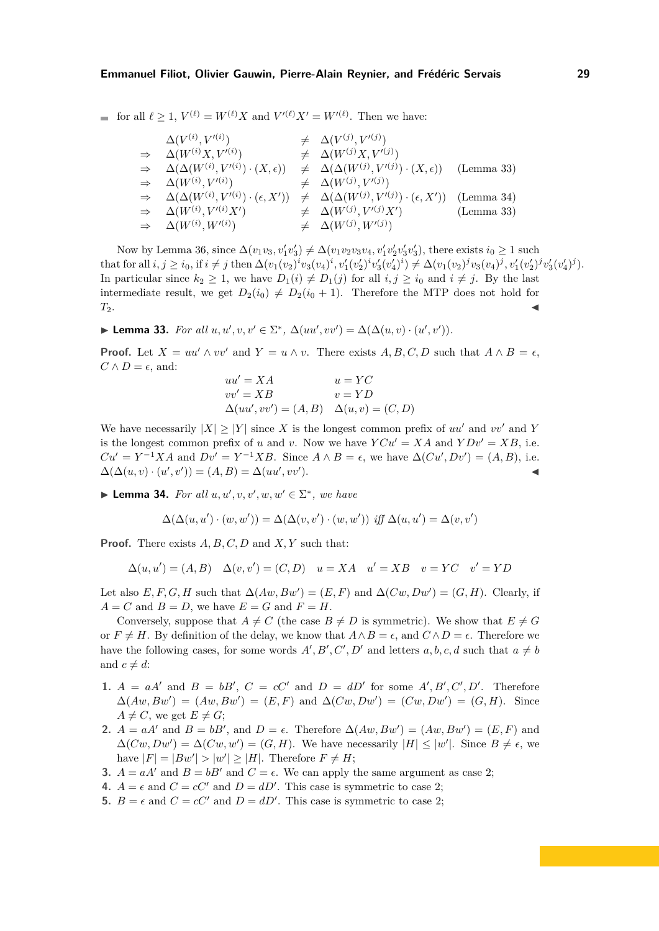for all  $\ell \geq 1$ ,  $V^{(\ell)} = W^{(\ell)}X$  and  $V'^{(\ell)}X' = W'^{(\ell)}$ . Then we have:

| $\Delta(V^{(i)}, V'^{(i)})$                                                                                                    | $\neq \Delta(V^{(j)}, V'^{(j)})$                                                                                                            |            |
|--------------------------------------------------------------------------------------------------------------------------------|---------------------------------------------------------------------------------------------------------------------------------------------|------------|
| $\Rightarrow \Delta(W^{(i)}X, V'^{(i)})$                                                                                       | $\neq \Delta(W^{(j)}X, V^{(j)})$                                                                                                            |            |
| $\Rightarrow \Delta(\Delta(W^{(i)}, V'^{(i)}) \cdot (X, \epsilon)) \neq \Delta(\Delta(W^{(j)}, V'^{(j)}) \cdot (X, \epsilon))$ |                                                                                                                                             | (Lemma 33) |
| $\Rightarrow \Delta(W^{(i)}, V'^{(i)})$                                                                                        | $\neq \Delta(W^{(j)}, V^{(j)})$                                                                                                             |            |
|                                                                                                                                | $\Rightarrow \Delta(\Delta(W^{(i)}, V'^{(i)}) \cdot (\epsilon, X')) \neq \Delta(\Delta(W^{(j)}, V'^{(j)}) \cdot (\epsilon, X'))$ (Lemma 34) |            |
| $\Rightarrow \Delta(W^{(i)}, V'^{(i)}X')$                                                                                      | $\neq \Delta(W^{(j)}, V'^{(j)}X')$                                                                                                          | (Lemma 33) |
| $\Rightarrow \Delta(W^{(i)}, W^{(i)})$                                                                                         | $\neq \Delta(W^{(j)}, W^{(j)})$                                                                                                             |            |

Now by Lemma [36,](#page-30-0) since  $\Delta(v_1v_3, v'_1v'_3) \neq \Delta(v_1v_2v_3v_4, v'_1v'_2v'_3v'_3)$ , there exists  $i_0 \geq 1$  such that for all  $i, j \geq i_0$ , if  $i \neq j$  then  $\Delta(v_1(v_2)^iv_3(v_4)^i, v'_1(v'_2)^iv'_3(v'_4)^i) \neq \Delta(v_1(v_2)^jv_3(v_4)^j, v'_1(v'_2)^jv'_3(v'_4)^j)$ . In particular since  $k_2 \geq 1$ , we have  $D_1(i) \neq D_1(j)$  for all  $i, j \geq i_0$  and  $i \neq j$ . By the last intermediate result, we get  $D_2(i_0) \neq D_2(i_0 + 1)$ . Therefore the MTP does not hold for  $T_2$ .

<span id="page-29-0"></span>► **Lemma 33.** *For all*  $u, u', v, v' \in \Sigma^*$ ,  $\Delta(uu', vv') = \Delta(\Delta(u, v) \cdot (u', v'))$ *.* 

**Proof.** Let  $X = uu' \wedge vv'$  and  $Y = u \wedge v$ . There exists  $A, B, C, D$  such that  $A \wedge B = \epsilon$ ,  $C \wedge D = \epsilon$ , and:

$$
uu' = XA
$$
  
\n
$$
vv' = XB
$$
  
\n
$$
\Delta(uu', vv') = (A, B) \quad \Delta(u, v) = (C, D)
$$

We have necessarily  $|X| > |Y|$  since X is the longest common prefix of *uu'* and *vv'* and Y is the longest common prefix of *u* and *v*. Now we have  $YCu' = XA$  and  $YDv' = XB$ , i.e.  $Cu' = Y^{-1}XA$  and  $Dv' = Y^{-1}XB$ . Since  $A \wedge B = \epsilon$ , we have  $\Delta(Cu', Dv') = (A, B)$ , i.e.  $\Delta(\Delta(u, v) \cdot (u', v')) = (A, B) = \Delta(uu', vv')$  $\blacksquare$ ).

<span id="page-29-1"></span>► **Lemma 34.** *For all*  $u, u', v, v', w, w' \in \Sigma^*$ *, we have* 

$$
\Delta(\Delta(u, u') \cdot (w, w')) = \Delta(\Delta(v, v') \cdot (w, w')) \text{ iff } \Delta(u, u') = \Delta(v, v')
$$

**Proof.** There exists *A, B, C, D* and *X, Y* such that:

$$
\Delta(u, u') = (A, B) \quad \Delta(v, v') = (C, D) \quad u = XA \quad u' = XB \quad v = YC \quad v' = YD
$$

Let also  $E, F, G, H$  such that  $\Delta(Aw, Bw') = (E, F)$  and  $\Delta(Cw, Dw') = (G, H)$ . Clearly, if  $A = C$  and  $B = D$ , we have  $E = G$  and  $F = H$ .

Conversely, suppose that  $A \neq C$  (the case  $B \neq D$  is symmetric). We show that  $E \neq G$ or  $F \neq H$ . By definition of the delay, we know that  $A \wedge B = \epsilon$ , and  $C \wedge D = \epsilon$ . Therefore we have the following cases, for some words  $A', B', C', D'$  and letters  $a, b, c, d$  such that  $a \neq b$ and  $c \neq d$ :

- **1.**  $A = aA'$  and  $B = bB'$ ,  $C = cC'$  and  $D = dD'$  for some  $A', B', C', D'$ . Therefore  $\Delta(Aw, Bw') = (Aw, Bw') = (E, F)$  and  $\Delta(Cw, Dw') = (Cw, Dw') = (G, H)$ . Since  $A \neq C$ , we get  $E \neq G$ ;
- **2.**  $A = aA'$  and  $B = bB'$ , and  $D = \epsilon$ . Therefore  $\Delta(Aw, Bw') = (Aw, Bw') = (E, F)$  and  $\Delta(Cw, Dw') = \Delta(Cw, w') = (G, H)$ . We have necessarily  $|H| \leq |w'|$ . Since  $B \neq \epsilon$ , we have  $|F| = |Bw'| > |w'| \ge |H|$ . Therefore  $F \ne H$ ;
- **3.**  $A = aA'$  and  $B = bB'$  and  $C = \epsilon$ . We can apply the same argument as case 2;
- **4.**  $A = \epsilon$  and  $C = cC'$  and  $D = dD'$ . This case is symmetric to case 2;
- **5.**  $B = \epsilon$  and  $C = cC'$  and  $D = dD'$ . This case is symmetric to case 2;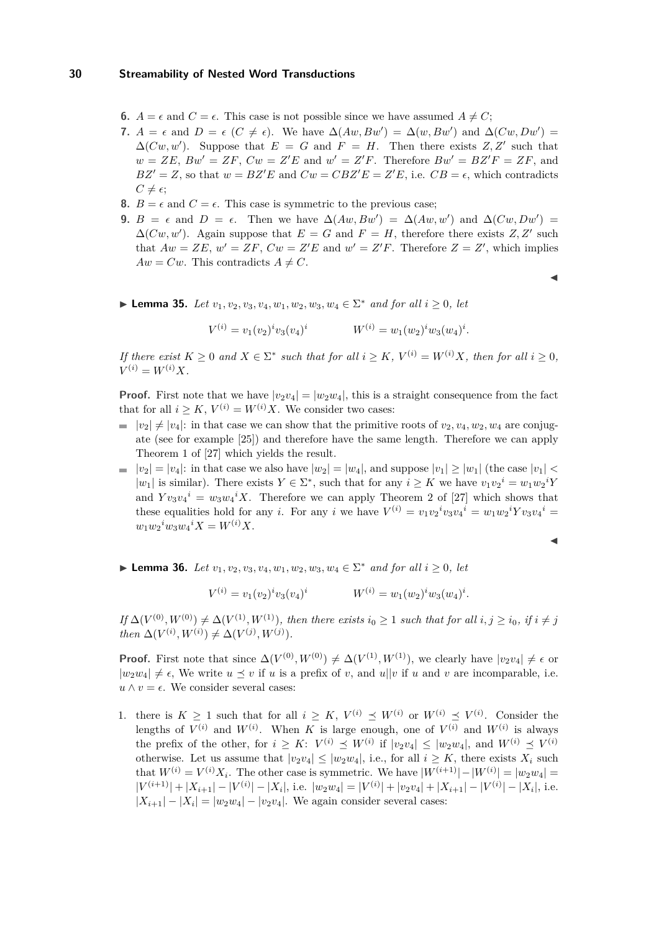- **6.**  $A = \epsilon$  and  $C = \epsilon$ . This case is not possible since we have assumed  $A \neq C$ ;
- **7.**  $A = \epsilon$  and  $D = \epsilon$  ( $C \neq \epsilon$ ). We have  $\Delta(Aw, Bw') = \Delta(w, Bw')$  and  $\Delta(Cw, Dw') =$  $\Delta(Cw, w')$ . Suppose that  $E = G$  and  $F = H$ . Then there exists  $Z, Z'$  such that  $w = ZE$ ,  $Bw' = ZF$ ,  $Cw = Z'E$  and  $w' = Z'F$ . Therefore  $Bw' = BZ'F = ZF$ , and  $BZ' = Z$ , so that  $w = BZ'E$  and  $Cw = CBZ'E = Z'E$ , i.e.  $CB = \epsilon$ , which contradicts  $C \neq \epsilon$ ;
- **8.**  $B = \epsilon$  and  $C = \epsilon$ . This case is symmetric to the previous case;
- **9.**  $B = \epsilon$  and  $D = \epsilon$ . Then we have  $\Delta(Aw, Bw') = \Delta(Aw, w')$  and  $\Delta(Cw, Dw') =$  $\Delta(Cw, w')$ . Again suppose that  $E = G$  and  $F = H$ , therefore there exists  $Z, Z'$  such that  $Aw = ZE$ ,  $w' = ZF$ ,  $Cw = Z'E$  and  $w' = Z'F$ . Therefore  $Z = Z'$ , which implies  $Aw = Cw$ . This contradicts  $A \neq C$ .
	- ◭
- <span id="page-30-1"></span>► **Lemma 35.** *Let*  $v_1, v_2, v_3, v_4, w_1, w_2, w_3, w_4 \in \Sigma^*$  *and for all*  $i \ge 0$ *, let*

$$
V^{(i)} = v_1(v_2)^i v_3(v_4)^i \qquad W^{(i)} = w_1(w_2)^i w_3(w_4)^i.
$$

*If there exist*  $K \geq 0$  *and*  $X \in \Sigma^*$  *such that for all*  $i \geq K$ *,*  $V^{(i)} = W^{(i)}X$ *, then for all*  $i \geq 0$ *,*  $V^{(i)} = W^{(i)}X$ .

**Proof.** First note that we have  $|v_2v_4| = |w_2w_4|$ , this is a straight consequence from the fact that for all  $i \geq K$ ,  $V^{(i)} = W^{(i)}X$ . We consider two cases:

- $|v_2| \neq |v_4|$ : in that case we can show that the primitive roots of  $v_2, v_4, w_2, w_4$  are conjugate (see for example [25]) and therefore have the same length. Therefore we can apply Theorem 1 of [27] which yields the result.
- $|v_2| = |v_4|$ : in that case we also have  $|w_2| = |w_4|$ , and suppose  $|v_1| \ge |w_1|$  (the case  $|v_1|$  <  $|w_1|$  is similar). There exists  $Y \in \Sigma^*$ , such that for any  $i \geq K$  we have  $v_1v_2^i = w_1w_2^iY$ and  $Yv_3v_4^i = w_3w_4^iX$ . Therefore we can apply Theorem 2 of [27] which shows that these equalities hold for any *i*. For any *i* we have  $V^{(i)} = v_1 v_2^i v_3 v_4^i = w_1 w_2^i Y v_3 v_4^i =$  $w_1 w_2$ <sup>*i*</sup> $w_3 w_4$ <sup>*i*</sup> $X = W$ <sup>(*i*</sup>)</sub> $X$ .

$$
\blacktriangleleft
$$

<span id="page-30-0"></span>► **Lemma 36.** *Let*  $v_1, v_2, v_3, v_4, w_1, w_2, w_3, w_4 \in \Sigma^*$  *and for all*  $i \ge 0$ *, let* 

$$
V^{(i)} = v_1(v_2)^i v_3(v_4)^i \qquad W^{(i)} = w_1(w_2)^i w_3(w_4)^i.
$$

 $If \Delta(V^{(0)}, W^{(0)}) \neq \Delta(V^{(1)}, W^{(1)})$ , then there exists  $i_0 \geq 1$  such that for all  $i, j \geq i_0$ , if  $i \neq j$  $then \Delta(V^{(i)}, W^{(i)}) \neq \Delta(V^{(j)}, W^{(j)})$ .

**Proof.** First note that since  $\Delta(V^{(0)}, W^{(0)}) \neq \Delta(V^{(1)}, W^{(1)})$ , we clearly have  $|v_2v_4| \neq \epsilon$  or  $|w_2w_4| \neq \epsilon$ , We write  $u \preceq v$  if *u* is a prefix of *v*, and *u*||*v* if *u* and *v* are incomparable, i.e.  $u \wedge v = \epsilon$ . We consider several cases:

1. there is  $K \geq 1$  such that for all  $i \geq K$ ,  $V^{(i)} \preceq W^{(i)}$  or  $W^{(i)} \preceq V^{(i)}$ . Consider the lengths of  $V^{(i)}$  and  $W^{(i)}$ . When *K* is large enough, one of  $V^{(i)}$  and  $W^{(i)}$  is always the prefix of the other, for  $i \geq K$ :  $V^{(i)} \preceq W^{(i)}$  if  $|v_2v_4| \leq |w_2w_4|$ , and  $W^{(i)} \preceq V^{(i)}$ otherwise. Let us assume that  $|v_2v_4| \leq |w_2w_4|$ , i.e., for all  $i \geq K$ , there exists  $X_i$  such that  $W^{(i)} = V^{(i)}X_i$ . The other case is symmetric. We have  $|W^{(i+1)}| - |W^{(i)}| = |w_2w_4|$  $|V^{(i+1)}| + |X_{i+1}| - |V^{(i)}| - |X_i|$ , i.e.  $|w_2w_4| = |V^{(i)}| + |v_2v_4| + |X_{i+1}| - |V^{(i)}| - |X_i|$ , i.e.  $|X_{i+1}| - |X_i| = |w_2w_4| - |v_2v_4|$ . We again consider several cases: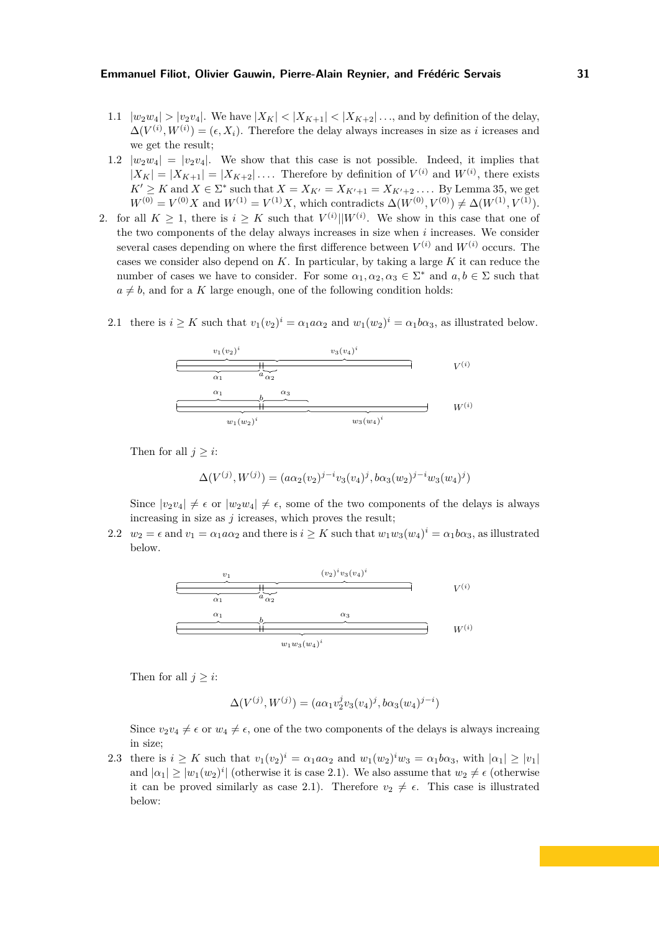- 1.1  $|w_2w_4| > |v_2v_4|$ . We have  $|X_K| < |X_{K+1}| < |X_{K+2}| \dots$ , and by definition of the delay,  $\Delta(V^{(i)}, W^{(i)}) = (\epsilon, X_i)$ . Therefore the delay always increases in size as *i* icreases and we get the result;
- 1.2  $|w_2w_4| = |v_2v_4|$ . We show that this case is not possible. Indeed, it implies that  $|X_K| = |X_{K+1}| = |X_{K+2}| \dots$  Therefore by definition of  $V^{(i)}$  and  $W^{(i)}$ , there exists *K*<sup>′</sup> ≥ *K* and *X* ∈  $\Sigma^*$  such that *X* = *X<sub>K'</sub>* = *X<sub>K'+1</sub>* = *X<sub>K'+2</sub>* . . . . By Lemma [35,](#page-30-1) we get  $W^{(0)} = V^{(0)}X$  and  $W^{(1)} = V^{(1)}X$ , which contradicts  $\Delta(W^{(0)}, V^{(0)}) \neq \Delta(W^{(1)}, V^{(1)})$ .
- 2. for all  $K \geq 1$ , there is  $i \geq K$  such that  $V^{(i)}||W^{(i)}$ . We show in this case that one of the two components of the delay always increases in size when *i* increases. We consider several cases depending on where the first difference between  $V^{(i)}$  and  $W^{(i)}$  occurs. The cases we consider also depend on *K*. In particular, by taking a large *K* it can reduce the number of cases we have to consider. For some  $\alpha_1, \alpha_2, \alpha_3 \in \Sigma^*$  and  $a, b \in \Sigma$  such that  $a \neq b$ , and for a *K* large enough, one of the following condition holds:
	- 2.1 there is  $i \geq K$  such that  $v_1(v_2)^i = \alpha_1 a \alpha_2$  and  $w_1(w_2)^i = \alpha_1 b \alpha_3$ , as illustrated below.

$$
\begin{array}{|c|c|}\n\hline\nv_1(v_2)^i & v_3(v_4)^i \\
\hline\n\hline\n\alpha_1 & a \alpha_2 \\
\hline\n\alpha_2 & \\
\hline\n\alpha_3 & \\
\hline\nw_1(w_2)^i & w_3(w_4)^i\n\end{array}
$$
  $V^{(i)}$ 

Then for all  $j \geq i$ :

$$
\Delta(V^{(j)}, W^{(j)}) = (a\alpha_2(v_2)^{j-i}v_3(v_4)^j, b\alpha_3(w_2)^{j-i}w_3(w_4)^j)
$$

Since  $|v_2v_4| \neq \epsilon$  or  $|w_2w_4| \neq \epsilon$ , some of the two components of the delays is always increasing in size as *j* icreases, which proves the result;

2.2  $w_2 = \epsilon$  and  $v_1 = \alpha_1 a \alpha_2$  and there is  $i \geq K$  such that  $w_1 w_3 (w_4)^i = \alpha_1 b \alpha_3$ , as illustrated below.



Then for all  $j \geq i$ :

$$
\Delta(V^{(j)}, W^{(j)}) = (a\alpha_1 v_2^j v_3(v_4)^j, b\alpha_3(w_4)^{j-i})
$$

Since  $v_2v_4 \neq \epsilon$  or  $w_4 \neq \epsilon$ , one of the two components of the delays is always increaing in size;

2.3 there is  $i \geq K$  such that  $v_1(v_2)^i = \alpha_1 a \alpha_2$  and  $w_1(w_2)^i w_3 = \alpha_1 b \alpha_3$ , with  $|\alpha_1| \geq |v_1|$ and  $|\alpha_1| \ge |w_1(w_2)^i|$  (otherwise it is case 2.1). We also assume that  $w_2 \ne \epsilon$  (otherwise it can be proved similarly as case 2.1). Therefore  $v_2 \neq \epsilon$ . This case is illustrated below: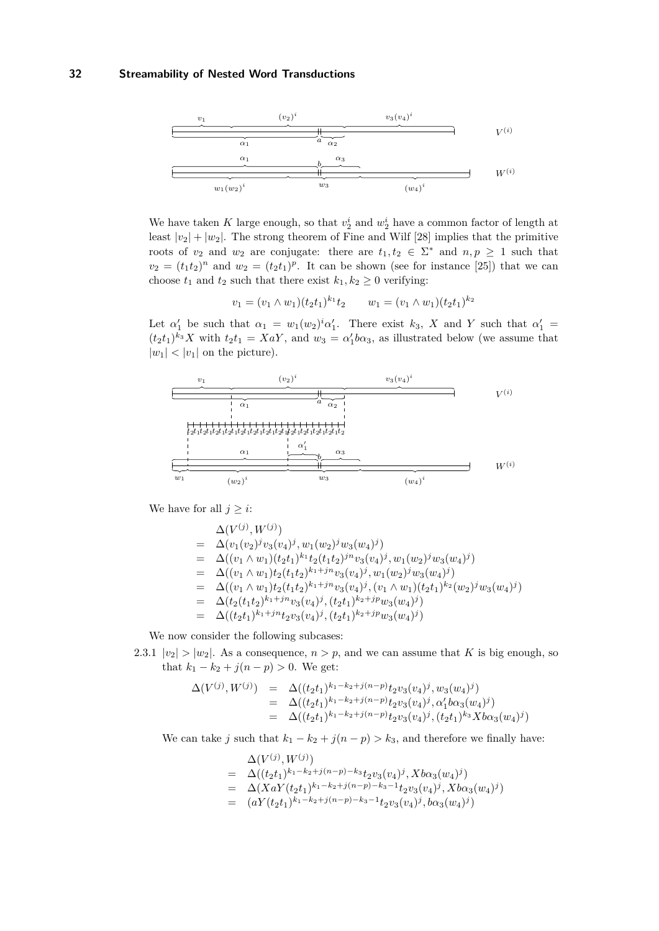

We have taken *K* large enough, so that  $v_2^i$  and  $w_2^i$  have a common factor of length at least  $|v_2| + |w_2|$ . The strong theorem of Fine and Wilf [28] implies that the primitive roots of  $v_2$  and  $w_2$  are conjugate: there are  $t_1, t_2 \in \Sigma^*$  and  $n, p \ge 1$  such that  $v_2 = (t_1 t_2)^n$  and  $w_2 = (t_2 t_1)^p$ . It can be shown (see for instance [25]) that we can choose  $t_1$  and  $t_2$  such that there exist  $k_1, k_2 \geq 0$  verifying:

$$
v_1 = (v_1 \wedge w_1)(t_2 t_1)^{k_1} t_2 \qquad w_1 = (v_1 \wedge w_1)(t_2 t_1)^{k_2}
$$

Let  $\alpha'_1$  be such that  $\alpha_1 = w_1(w_2)^i \alpha'_1$ . There exist  $k_3$ , X and Y such that  $\alpha'_1 =$  $(t_2t_1)^{k_3}X$  with  $t_2t_1 = XaY$ , and  $w_3 = \alpha'_1b\alpha_3$ , as illustrated below (we assume that  $|w_1|$  <  $|v_1|$  on the picture).



We have for all  $j \geq i$ :

$$
\begin{array}{rcl}\n&\Delta(V^{(j)},W^{(j)}) \\
&=&\Delta(v_1(v_2)^jv_3(v_4)^j,w_1(w_2)^jw_3(w_4)^j) \\
&=&\Delta((v_1\wedge w_1)(t_2t_1)^{k_1}t_2(t_1t_2)^{jn}v_3(v_4)^j,w_1(w_2)^jw_3(w_4)^j) \\
&=&\Delta((v_1\wedge w_1)t_2(t_1t_2)^{k_1+jn}v_3(v_4)^j,w_1(w_2)^jw_3(w_4)^j) \\
&=&\Delta((v_1\wedge w_1)t_2(t_1t_2)^{k_1+jn}v_3(v_4)^j,(v_1\wedge w_1)(t_2t_1)^{k_2}(w_2)^jw_3(w_4)^j) \\
&=&\Delta(t_2(t_1t_2)^{k_1+jn}v_3(v_4)^j,(t_2t_1)^{k_2+jp}w_3(w_4)^j) \\
&=&\Delta((t_2t_1)^{k_1+jn}t_2v_3(v_4)^j,(t_2t_1)^{k_2+jp}w_3(w_4)^j)\n\end{array}
$$

We now consider the following subcases:

2.3.1  $|v_2| > |w_2|$ . As a consequence,  $n > p$ , and we can assume that *K* is big enough, so that  $k_1 - k_2 + j(n - p) > 0$ . We get:

$$
\begin{array}{rcl}\n\Delta(V^{(j)},W^{(j)}) &=& \Delta((t_2t_1)^{k_1-k_2+j(n-p)}t_2v_3(v_4)^j,w_3(w_4)^j) \\
&=& \Delta((t_2t_1)^{k_1-k_2+j(n-p)}t_2v_3(v_4)^j,\alpha_1'b\alpha_3(w_4)^j) \\
&=& \Delta((t_2t_1)^{k_1-k_2+j(n-p)}t_2v_3(v_4)^j,(t_2t_1)^{k_3}Xb\alpha_3(w_4)^j)\n\end{array}
$$

We can take *j* such that  $k_1 - k_2 + j(n - p) > k_3$ , and therefore we finally have:

$$
\begin{array}{lll} & \Delta(V^{(j)},W^{(j)}) \\ = & \Delta((t_2t_1)^{k_1-k_2+j(n-p)-k_3}t_2v_3(v_4)^j,Xb\alpha_3(w_4)^j) \\ = & \Delta(XaY(t_2t_1)^{k_1-k_2+j(n-p)-k_3-1}t_2v_3(v_4)^j,Xb\alpha_3(w_4)^j) \\ = & (aY(t_2t_1)^{k_1-k_2+j(n-p)-k_3-1}t_2v_3(v_4)^j,b\alpha_3(w_4)^j) \end{array}
$$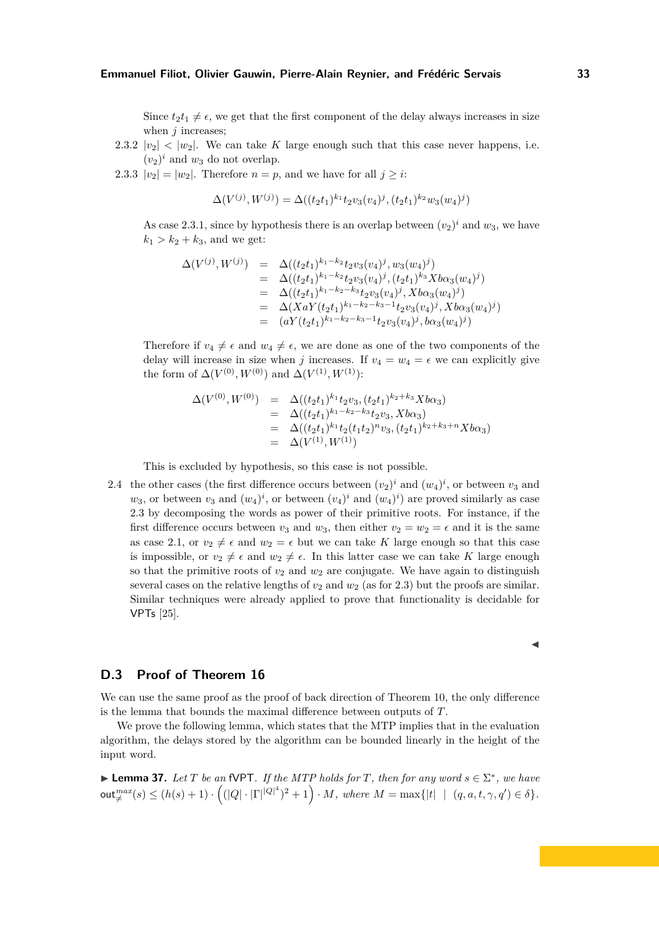Since  $t_2 t_1 \neq \epsilon$ , we get that the first component of the delay always increases in size when *j* increases;

- 2.3.2  $|v_2| < |w_2|$ . We can take K large enough such that this case never happens, i.e.  $(v_2)^i$  and  $w_3$  do not overlap.
- 2.3.3  $|v_2| = |w_2|$ . Therefore  $n = p$ , and we have for all  $j \geq i$ .

$$
\Delta(V^{(j)}, W^{(j)}) = \Delta((t_2t_1)^{k_1}t_2v_3(v_4)^j, (t_2t_1)^{k_2}w_3(w_4)^j)
$$

As case 2.3.1, since by hypothesis there is an overlap between  $(v_2)^i$  and  $w_3$ , we have  $k_1 > k_2 + k_3$ , and we get:

$$
\Delta(V^{(j)}, W^{(j)}) = \Delta((t_2 t_1)^{k_1 - k_2} t_2 v_3 (v_4)^j, w_3 (w_4)^j)
$$
  
\n
$$
= \Delta((t_2 t_1)^{k_1 - k_2} t_2 v_3 (v_4)^j, (t_2 t_1)^{k_3} X b \alpha_3 (w_4)^j)
$$
  
\n
$$
= \Delta((t_2 t_1)^{k_1 - k_2 - k_3} t_2 v_3 (v_4)^j, X b \alpha_3 (w_4)^j)
$$
  
\n
$$
= \Delta(X a Y (t_2 t_1)^{k_1 - k_2 - k_3 - 1} t_2 v_3 (v_4)^j, X b \alpha_3 (w_4)^j)
$$
  
\n
$$
= (a Y (t_2 t_1)^{k_1 - k_2 - k_3 - 1} t_2 v_3 (v_4)^j, b \alpha_3 (w_4)^j)
$$

Therefore if  $v_4 \neq \epsilon$  and  $w_4 \neq \epsilon$ , we are done as one of the two components of the delay will increase in size when *j* increases. If  $v_4 = w_4 = \epsilon$  we can explicitly give the form of  $\Delta(V^{(0)}, W^{(0)})$  and  $\Delta(V^{(1)}, W^{(1)})$ :

$$
\Delta(V^{(0)}, W^{(0)}) = \Delta((t_2t_1)^{k_1}t_2v_3, (t_2t_1)^{k_2+k_3}Xb\alpha_3)
$$
  
\n
$$
= \Delta((t_2t_1)^{k_1-k_2-k_3}t_2v_3, Xb\alpha_3)
$$
  
\n
$$
= \Delta((t_2t_1)^{k_1}t_2(t_1t_2)^n v_3, (t_2t_1)^{k_2+k_3+n}Xb\alpha_3)
$$
  
\n
$$
= \Delta(V^{(1)}, W^{(1)})
$$

This is excluded by hypothesis, so this case is not possible.

2.4 the other cases (the first difference occurs between  $(v_2)^i$  and  $(w_4)^i$ , or between  $v_3$  and  $w_3$ , or between  $v_3$  and  $(w_4)^i$ , or between  $(v_4)^i$  and  $(w_4)^i$ ) are proved similarly as case 2.3 by decomposing the words as power of their primitive roots. For instance, if the first difference occurs between  $v_3$  and  $w_3$ , then either  $v_2 = w_2 = \epsilon$  and it is the same as case 2.1, or  $v_2 \neq \epsilon$  and  $w_2 = \epsilon$  but we can take *K* large enough so that this case is impossible, or  $v_2 \neq \epsilon$  and  $w_2 \neq \epsilon$ . In this latter case we can take *K* large enough so that the primitive roots of  $v_2$  and  $w_2$  are conjugate. We have again to distinguish several cases on the relative lengths of  $v_2$  and  $w_2$  (as for 2.3) but the proofs are similar. Similar techniques were already applied to prove that functionality is decidable for VPTs [25].

# **D.3 Proof of Theorem [16](#page-11-0)**

We can use the same proof as the proof of back direction of Theorem [10,](#page-8-1) the only difference is the lemma that bounds the maximal difference between outputs of *T*.

We prove the following lemma, which states that the MTP implies that in the evaluation algorithm, the delays stored by the algorithm can be bounded linearly in the height of the input word.

► **Lemma 37.** *Let*  $T$  *be an* fVPT*. If the MTP holds for*  $T$ *, then for any word*  $s \in \Sigma^*$ *, we have*  $\mathsf{out}^{max}_{\neq}(s) \leq (h(s)+1) \cdot \left( (|Q| \cdot |\Gamma|^{ |Q |^4 })^2 + 1 \right) \cdot M, \textit{ where } M = \max \{ |t| \hspace{0.5mm}| \hspace{0.5mm} (q, a, t, \gamma, q') \in \delta \}.$ 

$$
\blacktriangleleft
$$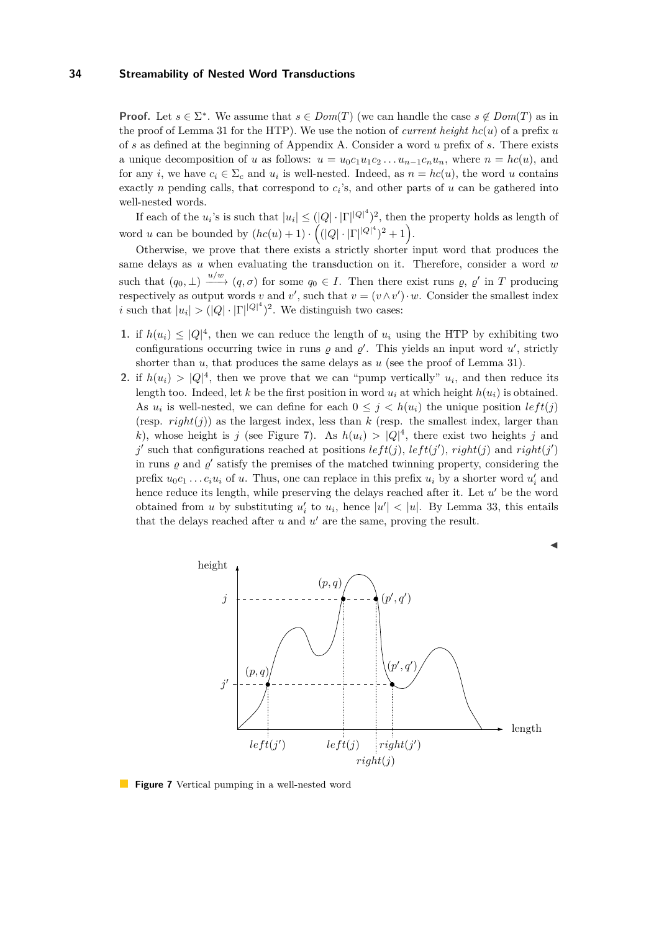**Proof.** Let  $s \in \Sigma^*$ . We assume that  $s \in Dom(T)$  (we can handle the case  $s \notin Dom(T)$  as in the proof of Lemma [31](#page-25-1) for the HTP). We use the notion of *current height hc*(*u*) of a prefix *u* of *s* as defined at the beginning of Appendix [A.](#page-14-1) Consider a word *u* prefix of *s*. There exists a unique decomposition of *u* as follows:  $u = u_0 c_1 u_1 c_2 \ldots u_{n-1} c_n u_n$ , where  $n = hc(u)$ , and for any *i*, we have  $c_i \in \Sigma_c$  and  $u_i$  is well-nested. Indeed, as  $n = hc(u)$ , the word *u* contains exactly *n* pending calls, that correspond to  $c_i$ 's, and other parts of  $u$  can be gathered into well-nested words.

If each of the  $u_i$ 's is such that  $|u_i| \leq (|Q| \cdot |\Gamma| |Q|^4)^2$ , then the property holds as length of word *u* can be bounded by  $(hc(u) + 1) \cdot ((|Q| \cdot |\Gamma| |Q|^4)^2 + 1)$ .

Otherwise, we prove that there exists a strictly shorter input word that produces the same delays as *u* when evaluating the transduction on it. Therefore, consider a word *w* such that  $(q_0, \perp) \xrightarrow{u/w} (q, \sigma)$  for some  $q_0 \in I$ . Then there exist runs  $\varrho, \varrho'$  in T producing respectively as output words *v* and *v*', such that  $v = (v \wedge v') \cdot w$ . Consider the smallest index *i* such that  $|u_i| > (|Q| \cdot |\Gamma|^{|Q|^4})^2$ . We distinguish two cases:

- **1.** if  $h(u_i) \leq |Q|^4$ , then we can reduce the length of  $u_i$  using the HTP by exhibiting two configurations occurring twice in runs  $\varrho$  and  $\varrho'$ . This yields an input word  $u'$ , strictly shorter than  $u$ , that produces the same delays as  $u$  (see the proof of Lemma [31\)](#page-25-1).
- **2.** if  $h(u_i) > |Q|^4$ , then we prove that we can "pump vertically"  $u_i$ , and then reduce its length too. Indeed, let *k* be the first position in word  $u_i$  at which height  $h(u_i)$  is obtained. As  $u_i$  is well-nested, we can define for each  $0 \leq j \leq h(u_i)$  the unique position  $left(j)$ (resp.  $right(j)$ ) as the largest index, less than  $k$  (resp. the smallest index, larger than *k*), whose height is *j* (see Figure [7\)](#page-34-0). As  $h(u_i) > |Q|^4$ , there exist two heights *j* and  $j'$  such that configurations reached at positions  $left(j\right)$ ,  $left(j'\right)$ ,  $right(j)$  and  $right(j')$ in runs  $\varrho$  and  $\varrho'$  satisfy the premises of the matched twinning property, considering the prefix  $u_0c_1 \ldots c_iu_i$  of *u*. Thus, one can replace in this prefix  $u_i$  by a shorter word  $u'_i$  and hence reduce its length, while preserving the delays reached after it. Let  $u'$  be the word obtained from *u* by substituting  $u'_i$  to  $u_i$ , hence  $|u'| < |u|$ . By Lemma [33,](#page-29-0) this entails that the delays reached after  $u$  and  $u'$  are the same, proving the result.

<span id="page-34-0"></span>

**Figure 7** Vertical pumping in a well-nested word

◭